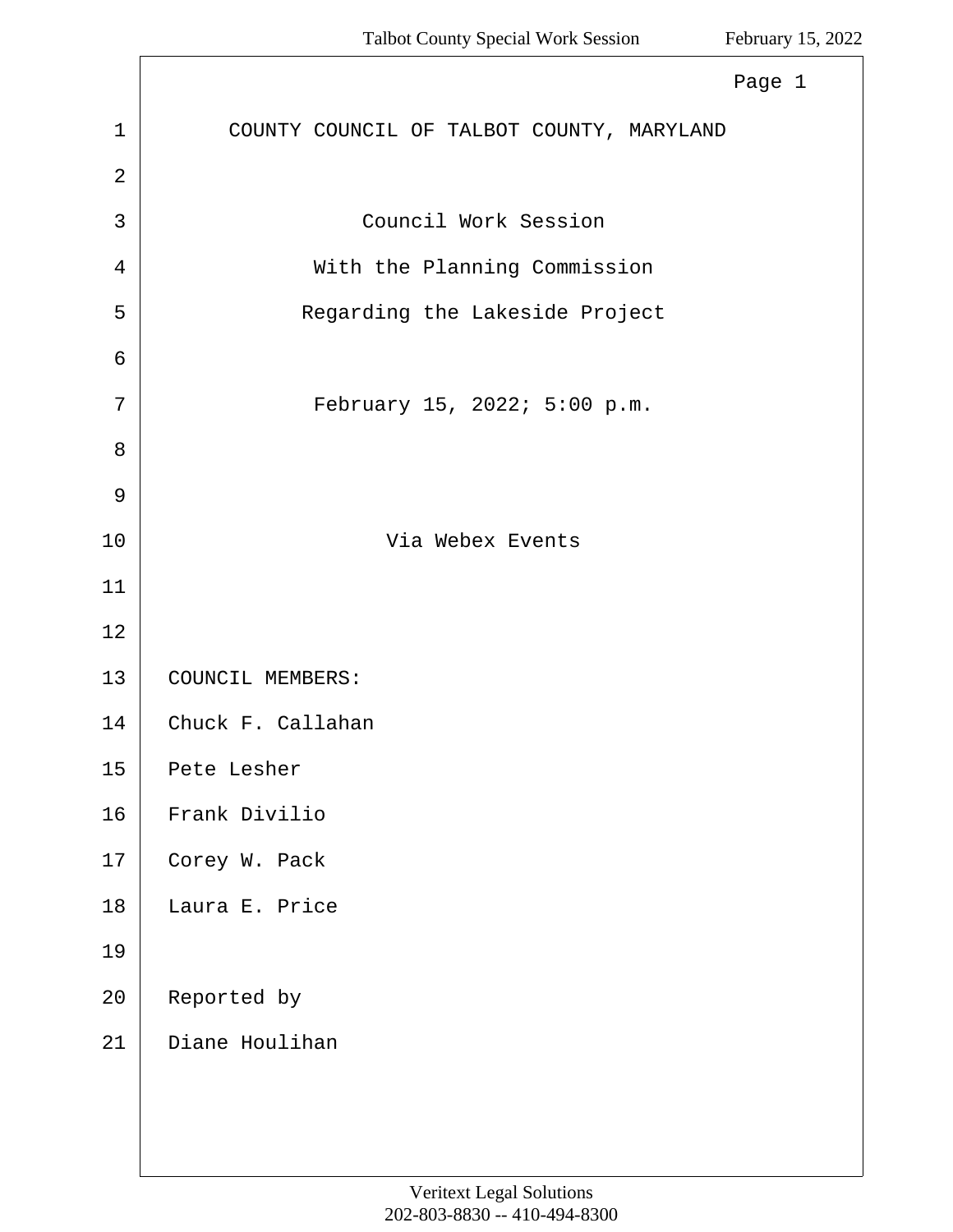Л

<span id="page-0-0"></span>

|                | Page 1                                    |
|----------------|-------------------------------------------|
| $\mathbf{1}$   | COUNTY COUNCIL OF TALBOT COUNTY, MARYLAND |
| $\overline{2}$ |                                           |
| 3              | Council Work Session                      |
| 4              | With the Planning Commission              |
| 5              | Regarding the Lakeside Project            |
| 6              |                                           |
| 7              | February 15, 2022; 5:00 p.m.              |
| 8              |                                           |
| 9              |                                           |
| 10             | Via Webex Events                          |
| 11             |                                           |
| 12             |                                           |
| 13             | COUNCIL MEMBERS:                          |
| 14             | Chuck F. Callahan                         |
| 15             | Pete Lesher                               |
| 16             | Frank Divilio                             |
| 17             | Corey W. Pack                             |
| 18             | Laura E. Price                            |
| 19             |                                           |
| 20             | Reported by                               |
| 21             | Diane Houlihan                            |
|                |                                           |
|                |                                           |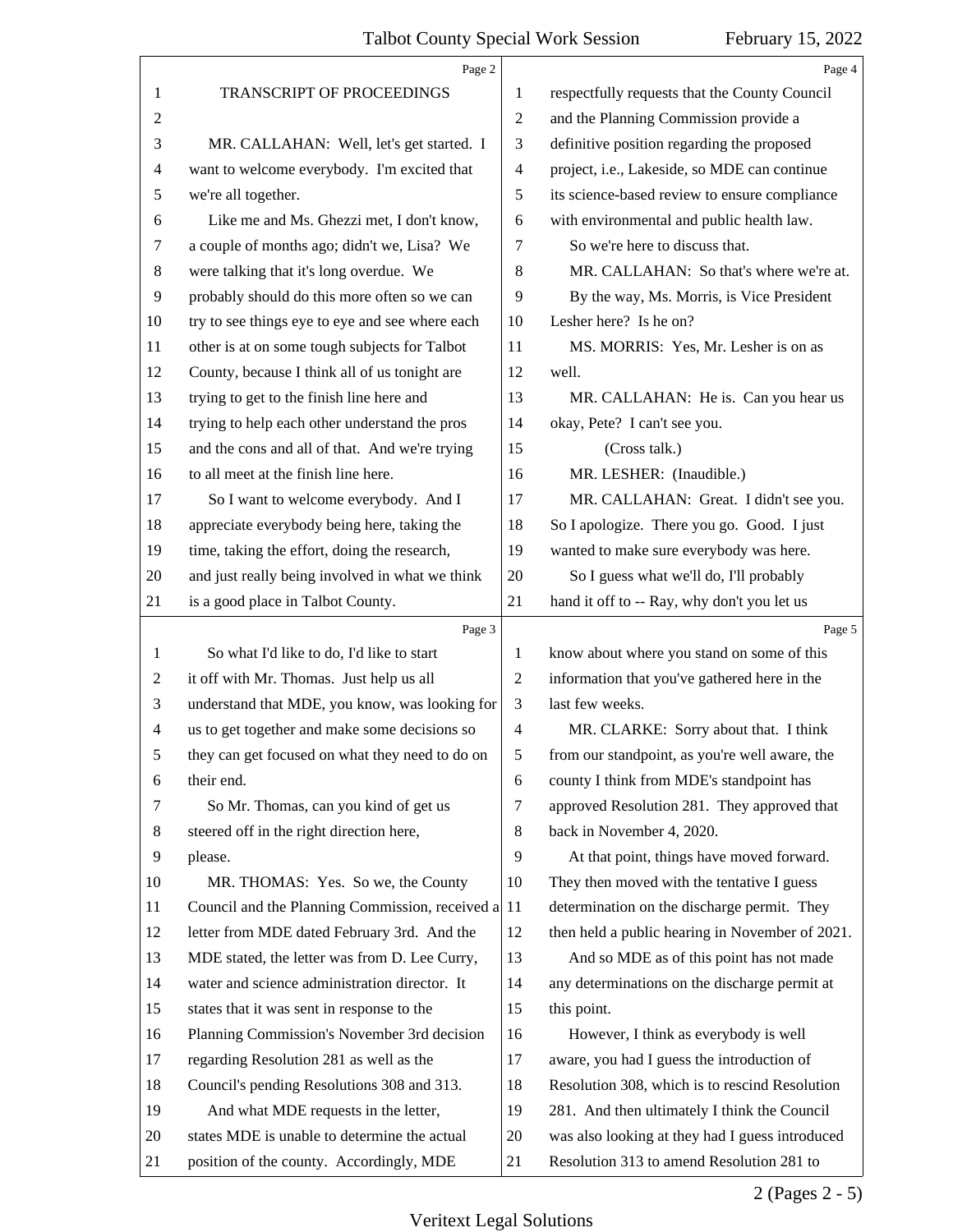<span id="page-1-0"></span>

|                          | Page 2                                             |                | Page 4                                          |
|--------------------------|----------------------------------------------------|----------------|-------------------------------------------------|
| 1                        | TRANSCRIPT OF PROCEEDINGS                          | 1              | respectfully requests that the County Council   |
| 2                        |                                                    | $\overline{c}$ | and the Planning Commission provide a           |
| 3                        | MR. CALLAHAN: Well, let's get started. I           | 3              | definitive position regarding the proposed      |
| $\overline{\mathcal{A}}$ | want to welcome everybody. I'm excited that        | $\overline{4}$ | project, i.e., Lakeside, so MDE can continue    |
| 5                        | we're all together.                                | 5              | its science-based review to ensure compliance   |
| 6                        | Like me and Ms. Ghezzi met, I don't know,          | 6              | with environmental and public health law.       |
| 7                        | a couple of months ago; didn't we, Lisa? We        | 7              | So we're here to discuss that.                  |
| 8                        | were talking that it's long overdue. We            | 8              | MR. CALLAHAN: So that's where we're at.         |
| 9                        | probably should do this more often so we can       | 9              | By the way, Ms. Morris, is Vice President       |
| 10                       | try to see things eye to eye and see where each    | 10             | Lesher here? Is he on?                          |
| 11                       | other is at on some tough subjects for Talbot      | 11             | MS. MORRIS: Yes, Mr. Lesher is on as            |
| 12                       | County, because I think all of us tonight are      | 12             | well.                                           |
| 13                       | trying to get to the finish line here and          | 13             | MR. CALLAHAN: He is. Can you hear us            |
| 14                       | trying to help each other understand the pros      | 14             | okay, Pete? I can't see you.                    |
| 15                       | and the cons and all of that. And we're trying     | 15             | (Cross talk.)                                   |
| 16                       | to all meet at the finish line here.               | 16             | MR. LESHER: (Inaudible.)                        |
| 17                       | So I want to welcome everybody. And I              | 17             | MR. CALLAHAN: Great. I didn't see you.          |
| 18                       | appreciate everybody being here, taking the        | 18             | So I apologize. There you go. Good. I just      |
| 19                       | time, taking the effort, doing the research,       | 19             | wanted to make sure everybody was here.         |
| 20                       | and just really being involved in what we think    | 20             | So I guess what we'll do, I'll probably         |
| 21                       | is a good place in Talbot County.                  | 21             | hand it off to -- Ray, why don't you let us     |
|                          |                                                    |                |                                                 |
|                          | Page 3                                             |                | Page 5                                          |
| 1                        | So what I'd like to do, I'd like to start          | 1              | know about where you stand on some of this      |
| 2                        | it off with Mr. Thomas. Just help us all           | 2              | information that you've gathered here in the    |
| 3                        | understand that MDE, you know, was looking for     | 3              | last few weeks.                                 |
| $\overline{4}$           | us to get together and make some decisions so      | 4              | MR. CLARKE: Sorry about that. I think           |
| 5                        | they can get focused on what they need to do on    | 5              | from our standpoint, as you're well aware, the  |
| 6                        | their end.                                         | 6              | county I think from MDE's standpoint has        |
| 7                        | So Mr. Thomas, can you kind of get us              | 7              | approved Resolution 281. They approved that     |
| 8                        | steered off in the right direction here,           | 8              | back in November 4, 2020.                       |
| 9                        | please.                                            | 9              | At that point, things have moved forward.       |
| 10                       | MR. THOMAS: Yes. So we, the County                 | 10             | They then moved with the tentative I guess      |
| 11                       | Council and the Planning Commission, received a 11 |                | determination on the discharge permit. They     |
| 12                       | letter from MDE dated February 3rd. And the        | 12             | then held a public hearing in November of 2021. |
| 13                       | MDE stated, the letter was from D. Lee Curry,      | 13             | And so MDE as of this point has not made        |
| 14                       | water and science administration director. It      | 14             | any determinations on the discharge permit at   |
| 15                       | states that it was sent in response to the         | 15             | this point.                                     |
| 16                       | Planning Commission's November 3rd decision        | 16             | However, I think as everybody is well           |
| 17                       | regarding Resolution 281 as well as the            | 17             | aware, you had I guess the introduction of      |
| 18                       | Council's pending Resolutions 308 and 313.         | 18             | Resolution 308, which is to rescind Resolution  |
| 19                       | And what MDE requests in the letter,               | 19             | 281. And then ultimately I think the Council    |
| 20                       | states MDE is unable to determine the actual       | 20             | was also looking at they had I guess introduced |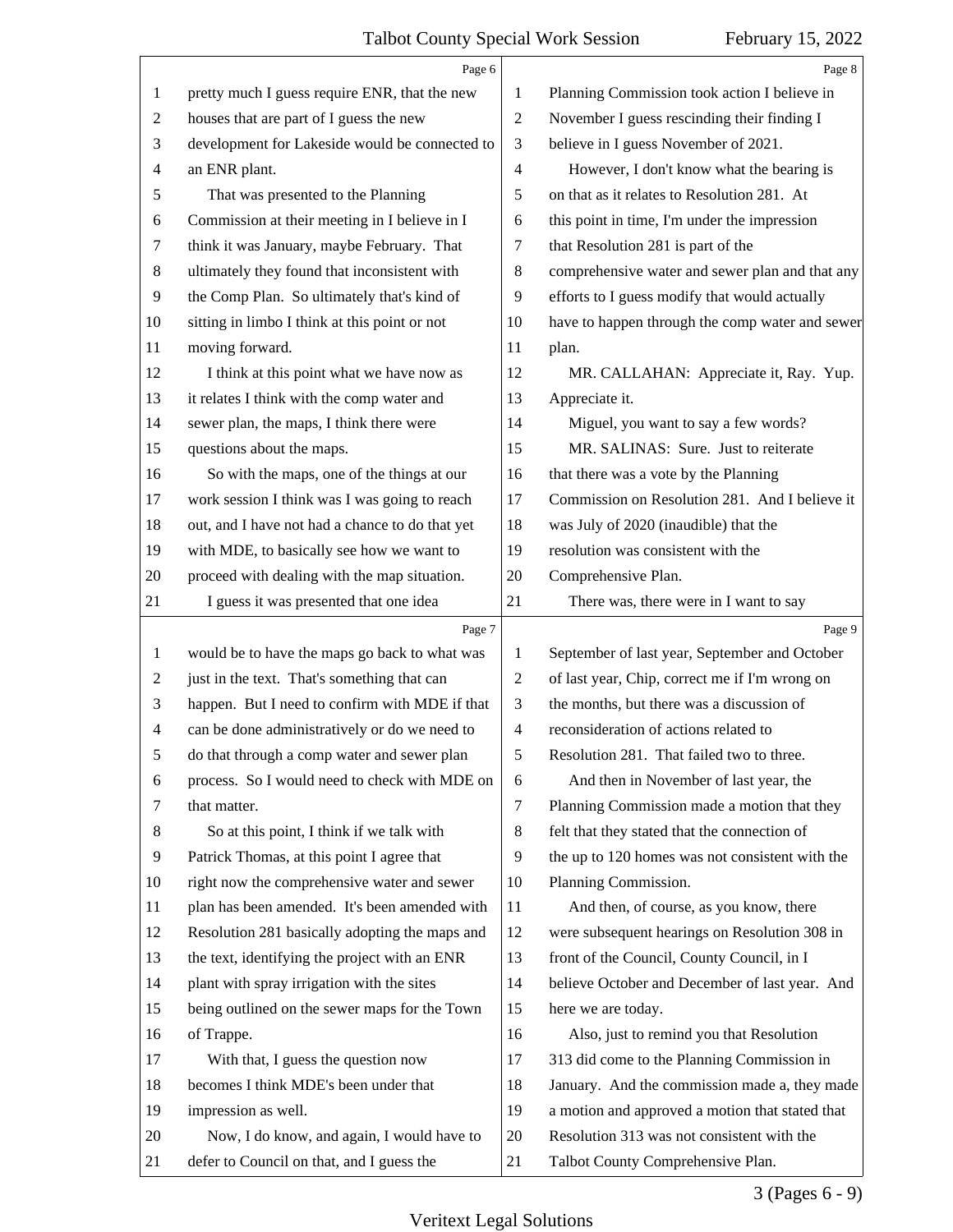<span id="page-2-0"></span>

|                | Page 6                                          |                | Page 8                                          |
|----------------|-------------------------------------------------|----------------|-------------------------------------------------|
| 1              | pretty much I guess require ENR, that the new   | 1              | Planning Commission took action I believe in    |
| 2              | houses that are part of I guess the new         | $\overline{2}$ | November I guess rescinding their finding I     |
| 3              | development for Lakeside would be connected to  | 3              | believe in I guess November of 2021.            |
| 4              | an ENR plant.                                   | $\overline{4}$ | However, I don't know what the bearing is       |
| 5              | That was presented to the Planning              | 5              | on that as it relates to Resolution 281. At     |
| 6              | Commission at their meeting in I believe in I   | 6              | this point in time, I'm under the impression    |
| 7              | think it was January, maybe February. That      | 7              | that Resolution 281 is part of the              |
| 8              | ultimately they found that inconsistent with    | $\,8\,$        | comprehensive water and sewer plan and that any |
| 9              | the Comp Plan. So ultimately that's kind of     | 9              | efforts to I guess modify that would actually   |
| 10             | sitting in limbo I think at this point or not   | 10             | have to happen through the comp water and sewer |
| 11             | moving forward.                                 | 11             | plan.                                           |
| 12             | I think at this point what we have now as       | 12             | MR. CALLAHAN: Appreciate it, Ray. Yup.          |
| 13             | it relates I think with the comp water and      | 13             | Appreciate it.                                  |
| 14             | sewer plan, the maps, I think there were        | 14             | Miguel, you want to say a few words?            |
| 15             | questions about the maps.                       | 15             | MR. SALINAS: Sure. Just to reiterate            |
| 16             | So with the maps, one of the things at our      | 16             | that there was a vote by the Planning           |
| 17             | work session I think was I was going to reach   | 17             | Commission on Resolution 281. And I believe it  |
| 18             | out, and I have not had a chance to do that yet | 18             | was July of 2020 (inaudible) that the           |
| 19             | with MDE, to basically see how we want to       | 19             | resolution was consistent with the              |
| 20             | proceed with dealing with the map situation.    | 20             | Comprehensive Plan.                             |
| 21             | I guess it was presented that one idea          | 21             | There was, there were in I want to say          |
|                |                                                 |                |                                                 |
|                | Page 7                                          |                | Page 9                                          |
| $\mathbf{1}$   | would be to have the maps go back to what was   | 1              | September of last year, September and October   |
| 2              | just in the text. That's something that can     | $\overline{c}$ | of last year, Chip, correct me if I'm wrong on  |
| 3              | happen. But I need to confirm with MDE if that  | 3              | the months, but there was a discussion of       |
| $\overline{4}$ | can be done administratively or do we need to   | $\overline{4}$ | reconsideration of actions related to           |
| 5              | do that through a comp water and sewer plan     | 5              | Resolution 281. That failed two to three.       |
| 6              | process. So I would need to check with MDE on   | 6              | And then in November of last year, the          |
| 7              | that matter.                                    | $\tau$         | Planning Commission made a motion that they     |
| 8              | So at this point, I think if we talk with       | 8              | felt that they stated that the connection of    |
| 9              | Patrick Thomas, at this point I agree that      | 9              | the up to 120 homes was not consistent with the |
| 10             | right now the comprehensive water and sewer     | 10             | Planning Commission.                            |
| 11             | plan has been amended. It's been amended with   | 11             | And then, of course, as you know, there         |
| 12             | Resolution 281 basically adopting the maps and  | 12             | were subsequent hearings on Resolution 308 in   |
| 13             | the text, identifying the project with an ENR   | 13             | front of the Council, County Council, in I      |
| 14             | plant with spray irrigation with the sites      | 14             | believe October and December of last year. And  |
| 15             | being outlined on the sewer maps for the Town   | 15             | here we are today.                              |
| 16             | of Trappe.                                      | 16             | Also, just to remind you that Resolution        |
| 17             | With that, I guess the question now             | 17             | 313 did come to the Planning Commission in      |
| 18             | becomes I think MDE's been under that           | 18             | January. And the commission made a, they made   |
| 19             | impression as well.                             | 19             | a motion and approved a motion that stated that |
| 20             | Now, I do know, and again, I would have to      | 20             | Resolution 313 was not consistent with the      |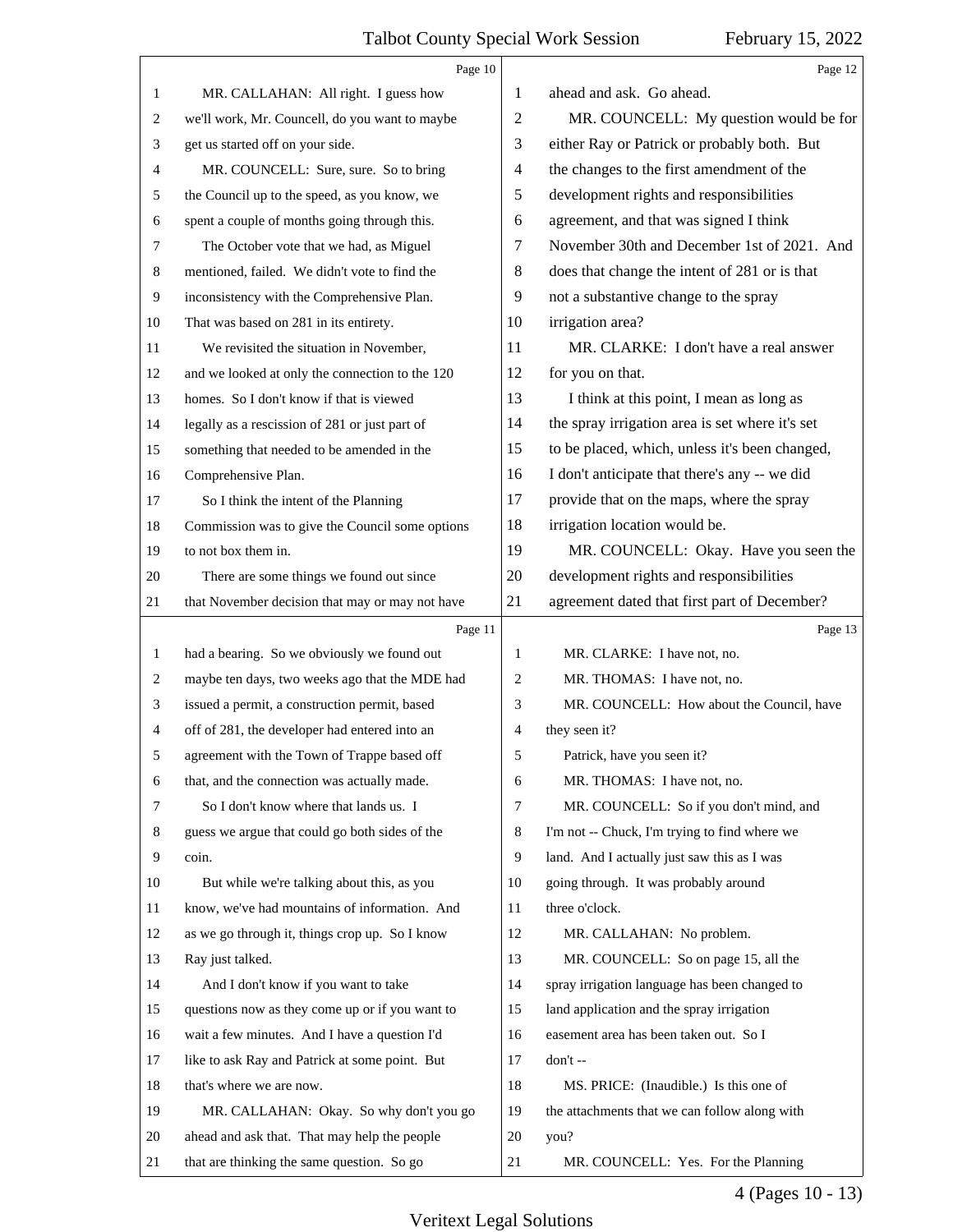5

<span id="page-3-0"></span>

|    | Page 10                                         |                          | Page 12                                         |
|----|-------------------------------------------------|--------------------------|-------------------------------------------------|
| 1  | MR. CALLAHAN: All right. I guess how            | 1                        | ahead and ask. Go ahead.                        |
| 2  | we'll work, Mr. Councell, do you want to maybe  | $\overline{2}$           | MR. COUNCELL: My question would be for          |
| 3  | get us started off on your side.                | 3                        | either Ray or Patrick or probably both. But     |
| 4  | MR. COUNCELL: Sure, sure. So to bring           | $\overline{\mathcal{A}}$ | the changes to the first amendment of the       |
| 5  | the Council up to the speed, as you know, we    | 5                        | development rights and responsibilities         |
| 6  | spent a couple of months going through this.    | 6                        | agreement, and that was signed I think          |
| 7  | The October vote that we had, as Miguel         | 7                        | November 30th and December 1st of 2021. And     |
| 8  | mentioned, failed. We didn't vote to find the   | 8                        | does that change the intent of 281 or is that   |
| 9  | inconsistency with the Comprehensive Plan.      | 9                        | not a substantive change to the spray           |
| 10 | That was based on 281 in its entirety.          | 10                       | irrigation area?                                |
| 11 | We revisited the situation in November,         | 11                       | MR. CLARKE: I don't have a real answer          |
| 12 | and we looked at only the connection to the 120 | 12                       | for you on that.                                |
| 13 | homes. So I don't know if that is viewed        | 13                       | I think at this point, I mean as long as        |
| 14 | legally as a rescission of 281 or just part of  | 14                       | the spray irrigation area is set where it's set |
| 15 | something that needed to be amended in the      | 15                       | to be placed, which, unless it's been changed,  |
| 16 | Comprehensive Plan.                             | 16                       | I don't anticipate that there's any -- we did   |
| 17 | So I think the intent of the Planning           | 17                       | provide that on the maps, where the spray       |
| 18 | Commission was to give the Council some options | 18                       | irrigation location would be.                   |
| 19 | to not box them in.                             | 19                       | MR. COUNCELL: Okay. Have you seen the           |
| 20 | There are some things we found out since        | 20                       | development rights and responsibilities         |
| 21 | that November decision that may or may not have | 21                       | agreement dated that first part of December?    |
|    | Page 11                                         |                          | Page 13                                         |
| 1  | had a bearing. So we obviously we found out     | $\mathbf{1}$             | MR. CLARKE: I have not, no.                     |
| 2  | maybe ten days, two weeks ago that the MDE had  | 2                        | MR. THOMAS: I have not, no.                     |
| 3  | issued a permit, a construction permit, based   | 3                        | MR. COUNCELL: How about the Council, have       |
| 4  | off of 281, the developer had entered into an   | 4                        | they seen it?                                   |
| 5  | agreement with the Town of Trappe based off     | 5                        | Patrick, have you seen it?                      |
| 6  | that, and the connection was actually made.     | 6                        | MR. THOMAS: I have not, no.                     |
| 7  | So I don't know where that lands us. I          | 7                        | MR. COUNCELL: So if you don't mind, and         |
| 8  | guess we argue that could go both sides of the  | 8                        | I'm not -- Chuck, I'm trying to find where we   |
| 9  | coin.                                           | 9                        | land. And I actually just saw this as I was     |
| 10 | But while we're talking about this, as you      | 10                       | going through. It was probably around           |
| 11 | know, we've had mountains of information. And   | 11                       | three o'clock.                                  |
| 12 | as we go through it, things crop up. So I know  | 12                       | MR. CALLAHAN: No problem.                       |
| 13 | Ray just talked.                                | 13                       | MR. COUNCELL: So on page 15, all the            |
| 14 | And I don't know if you want to take            | 14                       | spray irrigation language has been changed to   |
| 15 | questions now as they come up or if you want to | 15                       | land application and the spray irrigation       |
| 16 | wait a few minutes. And I have a question I'd   | 16                       | easement area has been taken out. So I          |
| 17 | like to ask Ray and Patrick at some point. But  | 17                       | don't --                                        |
| 18 | that's where we are now.                        | 18                       | MS. PRICE: (Inaudible.) Is this one of          |
| 19 | MR. CALLAHAN: Okay. So why don't you go         | 19                       | the attachments that we can follow along with   |
|    |                                                 |                          |                                                 |
| 20 | ahead and ask that. That may help the people    | 20                       | you?                                            |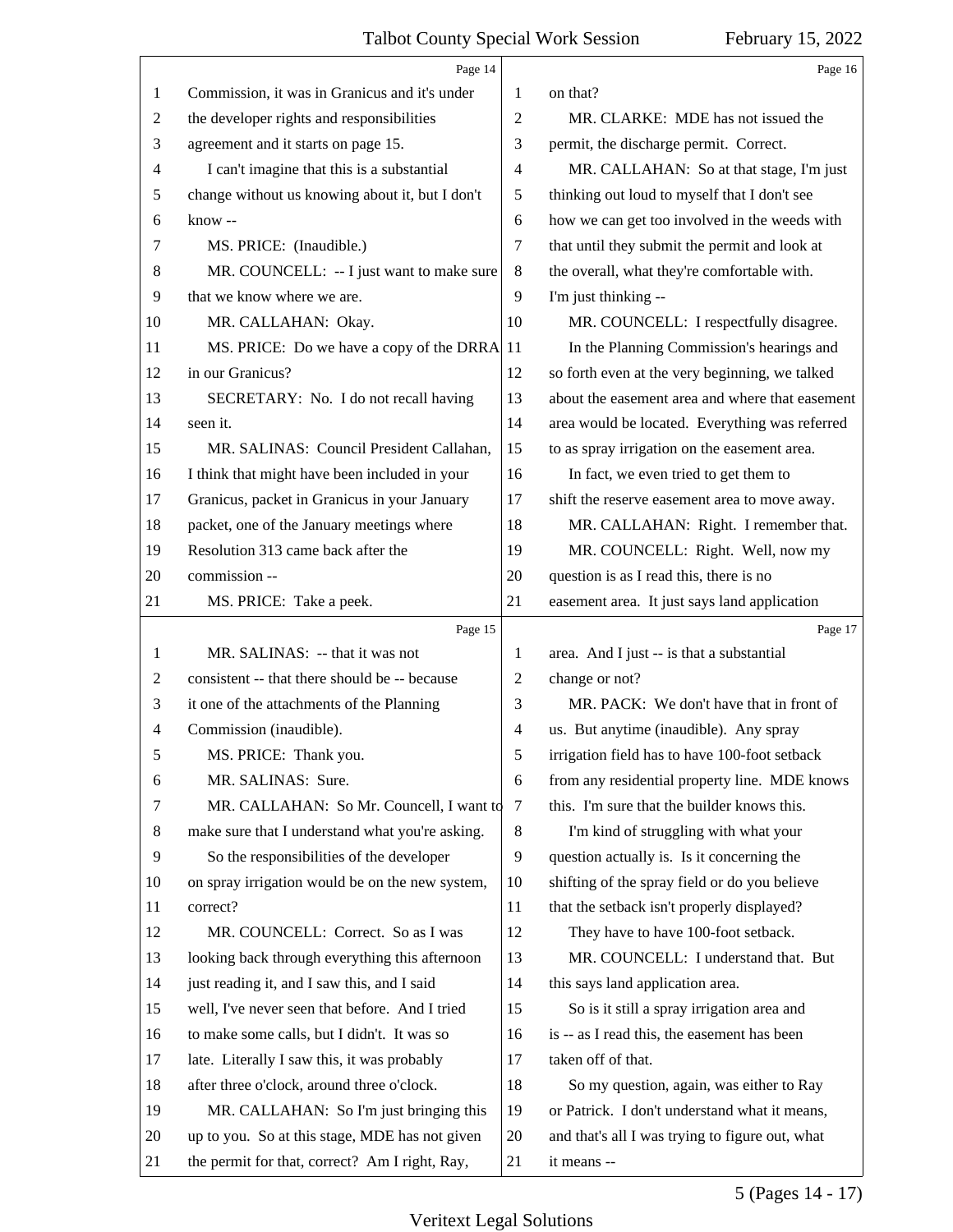<span id="page-4-0"></span>

|                | Page 14                                         |                | Page 16                                         |
|----------------|-------------------------------------------------|----------------|-------------------------------------------------|
| 1              | Commission, it was in Granicus and it's under   | 1              | on that?                                        |
| 2              | the developer rights and responsibilities       | $\overline{2}$ | MR. CLARKE: MDE has not issued the              |
| 3              | agreement and it starts on page 15.             | 3              | permit, the discharge permit. Correct.          |
| 4              | I can't imagine that this is a substantial      | $\overline{4}$ | MR. CALLAHAN: So at that stage, I'm just        |
| 5              | change without us knowing about it, but I don't | 5              | thinking out loud to myself that I don't see    |
| 6              | know --                                         | 6              | how we can get too involved in the weeds with   |
| 7              | MS. PRICE: (Inaudible.)                         | 7              | that until they submit the permit and look at   |
| 8              | MR. COUNCELL: -- I just want to make sure       | 8              | the overall, what they're comfortable with.     |
| 9              | that we know where we are.                      | 9              | I'm just thinking --                            |
| 10             | MR. CALLAHAN: Okay.                             | 10             | MR. COUNCELL: I respectfully disagree.          |
| 11             | MS. PRICE: Do we have a copy of the DRRA        | 11             | In the Planning Commission's hearings and       |
| 12             | in our Granicus?                                | 12             | so forth even at the very beginning, we talked  |
| 13             | SECRETARY: No. I do not recall having           | 13             | about the easement area and where that easement |
| 14             | seen it.                                        | 14             | area would be located. Everything was referred  |
| 15             | MR. SALINAS: Council President Callahan,        | 15             | to as spray irrigation on the easement area.    |
| 16             | I think that might have been included in your   | 16             | In fact, we even tried to get them to           |
| 17             | Granicus, packet in Granicus in your January    | 17             | shift the reserve easement area to move away.   |
| 18             | packet, one of the January meetings where       | 18             | MR. CALLAHAN: Right. I remember that.           |
| 19             | Resolution 313 came back after the              | 19             | MR. COUNCELL: Right. Well, now my               |
| 20             | commission --                                   | 20             | question is as I read this, there is no         |
| 21             | MS. PRICE: Take a peek.                         | 21             | easement area. It just says land application    |
|                |                                                 |                |                                                 |
|                | Page 15                                         |                | Page 17                                         |
| 1              | MR. SALINAS: -- that it was not                 | 1              | area. And I just -- is that a substantial       |
| 2              | consistent -- that there should be -- because   | $\overline{2}$ | change or not?                                  |
| 3              | it one of the attachments of the Planning       | 3              | MR. PACK: We don't have that in front of        |
| $\overline{4}$ | Commission (inaudible).                         | $\overline{4}$ | us. But anytime (inaudible). Any spray          |
| 5              | MS. PRICE: Thank you.                           | 5              | irrigation field has to have 100-foot setback   |
| 6              | MR. SALINAS: Sure.                              | 6              | from any residential property line. MDE knows   |
| 7              | MR. CALLAHAN: So Mr. Councell, I want to        | 7              | this. I'm sure that the builder knows this.     |
| 8              | make sure that I understand what you're asking. | 8              | I'm kind of struggling with what your           |
| 9              | So the responsibilities of the developer        | 9              | question actually is. Is it concerning the      |
| 10             | on spray irrigation would be on the new system, | 10             | shifting of the spray field or do you believe   |
| 11             | correct?                                        | 11             | that the setback isn't properly displayed?      |
| 12             | MR. COUNCELL: Correct. So as I was              | 12             | They have to have 100-foot setback.             |
| 13             | looking back through everything this afternoon  | 13             | MR. COUNCELL: I understand that. But            |
| 14             | just reading it, and I saw this, and I said     | 14             | this says land application area.                |
| 15             | well, I've never seen that before. And I tried  | 15             | So is it still a spray irrigation area and      |
| 16             | to make some calls, but I didn't. It was so     | 16             | is -- as I read this, the easement has been     |
| 17             | late. Literally I saw this, it was probably     | 17             | taken off of that.                              |
| 18             | after three o'clock, around three o'clock.      | 18             | So my question, again, was either to Ray        |
| 19             | MR. CALLAHAN: So I'm just bringing this         | 19             | or Patrick. I don't understand what it means,   |
| 20             | up to you. So at this stage, MDE has not given  | 20             | and that's all I was trying to figure out, what |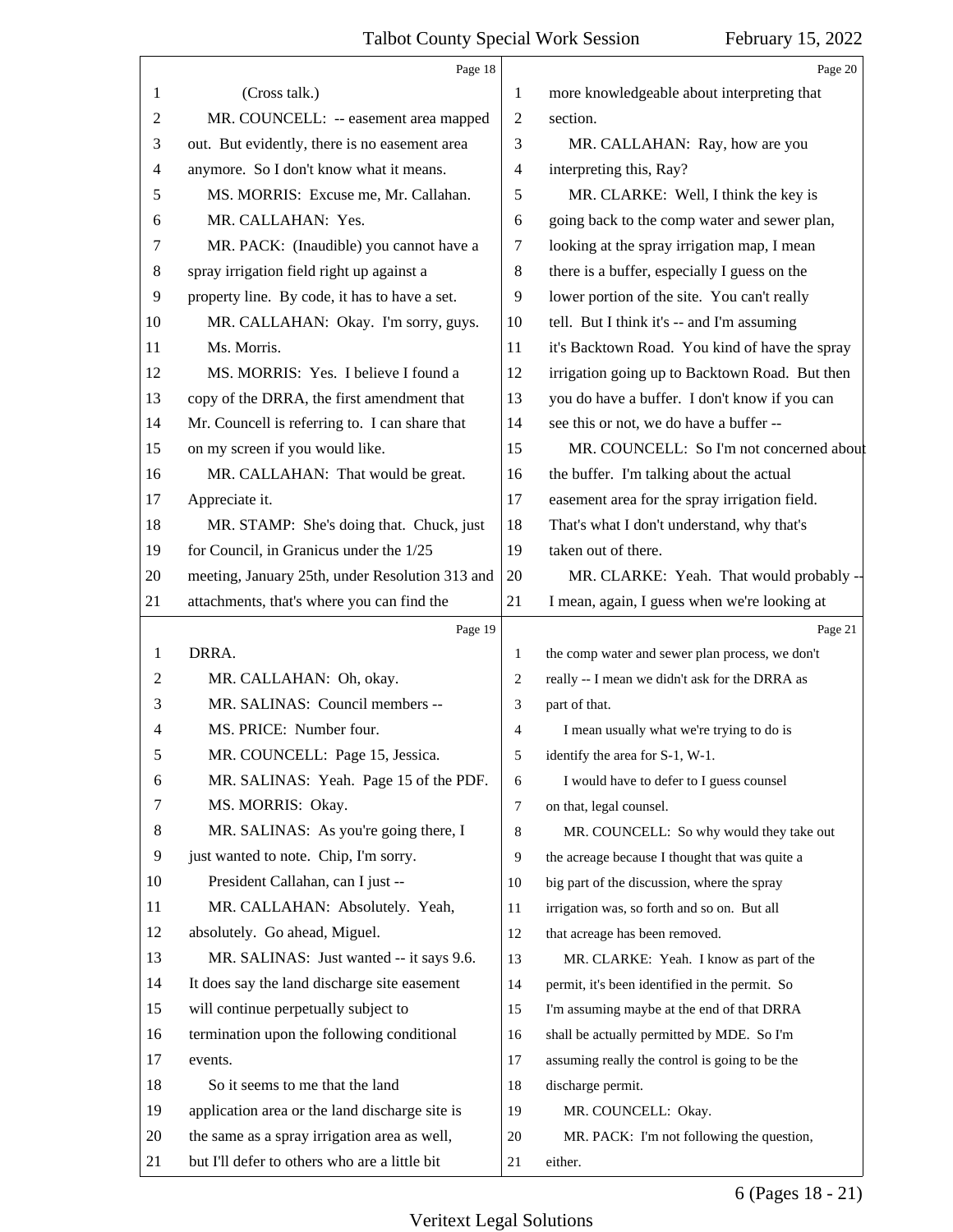<span id="page-5-0"></span>

|                | Page 18                                         |                | Page 20                                         |
|----------------|-------------------------------------------------|----------------|-------------------------------------------------|
| 1              | (Cross talk.)                                   | 1              | more knowledgeable about interpreting that      |
| $\overline{2}$ | MR. COUNCELL: -- easement area mapped           | 2              | section.                                        |
| 3              | out. But evidently, there is no easement area   | 3              | MR. CALLAHAN: Ray, how are you                  |
| $\overline{4}$ | anymore. So I don't know what it means.         | $\overline{4}$ | interpreting this, Ray?                         |
| 5              | MS. MORRIS: Excuse me, Mr. Callahan.            | 5              | MR. CLARKE: Well, I think the key is            |
| 6              | MR. CALLAHAN: Yes.                              | 6              | going back to the comp water and sewer plan,    |
| 7              | MR. PACK: (Inaudible) you cannot have a         | 7              | looking at the spray irrigation map, I mean     |
| 8              | spray irrigation field right up against a       | 8              | there is a buffer, especially I guess on the    |
| 9              | property line. By code, it has to have a set.   | 9              | lower portion of the site. You can't really     |
| 10             | MR. CALLAHAN: Okay. I'm sorry, guys.            | 10             | tell. But I think it's -- and I'm assuming      |
| 11             | Ms. Morris.                                     | 11             | it's Backtown Road. You kind of have the spray  |
| 12             | MS. MORRIS: Yes. I believe I found a            | 12             | irrigation going up to Backtown Road. But then  |
| 13             | copy of the DRRA, the first amendment that      | 13             | you do have a buffer. I don't know if you can   |
| 14             | Mr. Councell is referring to. I can share that  | 14             | see this or not, we do have a buffer --         |
| 15             | on my screen if you would like.                 | 15             | MR. COUNCELL: So I'm not concerned about        |
| 16             | MR. CALLAHAN: That would be great.              | 16             | the buffer. I'm talking about the actual        |
| 17             | Appreciate it.                                  | 17             | easement area for the spray irrigation field.   |
| 18             | MR. STAMP: She's doing that. Chuck, just        | 18             | That's what I don't understand, why that's      |
| 19             | for Council, in Granicus under the 1/25         | 19             | taken out of there.                             |
| 20             | meeting, January 25th, under Resolution 313 and | 20             | MR. CLARKE: Yeah. That would probably --        |
| 21             | attachments, that's where you can find the      | 21             | I mean, again, I guess when we're looking at    |
|                | Page 19                                         |                | Page 21                                         |
| 1              | DRRA.                                           | 1              | the comp water and sewer plan process, we don't |
| $\mathfrak{2}$ | MR. CALLAHAN: Oh, okay.                         | 2              | really -- I mean we didn't ask for the DRRA as  |
| 3              |                                                 |                |                                                 |
|                | MR. SALINAS: Council members --                 | 3              | part of that.                                   |
| $\overline{4}$ | MS. PRICE: Number four.                         | $\overline{4}$ | I mean usually what we're trying to do is       |
| 5              | MR. COUNCELL: Page 15, Jessica.                 | 5              | identify the area for S-1, W-1.                 |
| 6              | MR. SALINAS: Yeah. Page 15 of the PDF.          | 6              | I would have to defer to I guess counsel        |
| 7              | MS. MORRIS: Okay.                               | $\overline{7}$ | on that, legal counsel.                         |
| 8              | MR. SALINAS: As you're going there, I           | 8              | MR. COUNCELL: So why would they take out        |
| 9              | just wanted to note. Chip, I'm sorry.           | $\overline{9}$ | the acreage because I thought that was quite a  |
| 10             | President Callahan, can I just --               | 10             | big part of the discussion, where the spray     |
| 11             | MR. CALLAHAN: Absolutely. Yeah,                 | 11             | irrigation was, so forth and so on. But all     |
| 12             | absolutely. Go ahead, Miguel.                   | 12             | that acreage has been removed.                  |
| 13             | MR. SALINAS: Just wanted -- it says 9.6.        | 13             | MR. CLARKE: Yeah. I know as part of the         |
| 14             | It does say the land discharge site easement    | 14             | permit, it's been identified in the permit. So  |
| 15             | will continue perpetually subject to            | 15             | I'm assuming maybe at the end of that DRRA      |
| 16             | termination upon the following conditional      | 16             | shall be actually permitted by MDE. So I'm      |
| 17             | events.                                         | 17             | assuming really the control is going to be the  |
| 18             | So it seems to me that the land                 | 18             | discharge permit.                               |
| 19             | application area or the land discharge site is  | 19             | MR. COUNCELL: Okay.                             |
| 20             | the same as a spray irrigation area as well,    | 20             | MR. PACK: I'm not following the question,       |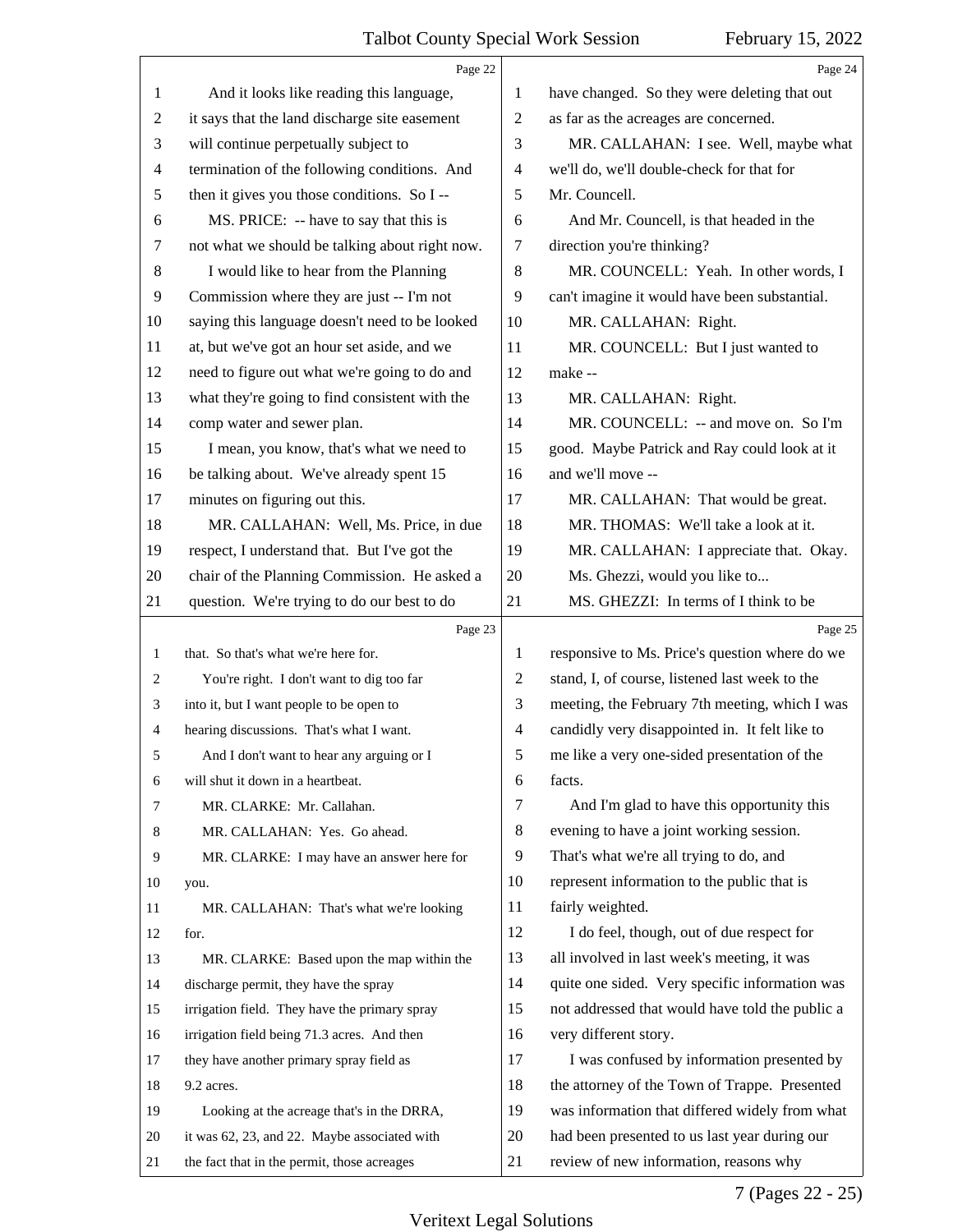<span id="page-6-0"></span>

|              | Page 22                                        |                          | Page 24                                         |
|--------------|------------------------------------------------|--------------------------|-------------------------------------------------|
| 1            | And it looks like reading this language,       | 1                        | have changed. So they were deleting that out    |
| 2            | it says that the land discharge site easement  | $\mathbf{2}$             | as far as the acreages are concerned.           |
| 3            | will continue perpetually subject to           | 3                        | MR. CALLAHAN: I see. Well, maybe what           |
| 4            | termination of the following conditions. And   | 4                        | we'll do, we'll double-check for that for       |
| 5            | then it gives you those conditions. So I --    | 5                        | Mr. Councell.                                   |
| 6            | MS. PRICE: -- have to say that this is         | 6                        | And Mr. Councell, is that headed in the         |
| 7            | not what we should be talking about right now. | 7                        | direction you're thinking?                      |
| 8            | I would like to hear from the Planning         | $\,8\,$                  | MR. COUNCELL: Yeah. In other words, I           |
| 9            | Commission where they are just -- I'm not      | 9                        | can't imagine it would have been substantial.   |
| 10           | saying this language doesn't need to be looked | 10                       | MR. CALLAHAN: Right.                            |
| 11           | at, but we've got an hour set aside, and we    | 11                       | MR. COUNCELL: But I just wanted to              |
| 12           | need to figure out what we're going to do and  | 12                       | make --                                         |
| 13           | what they're going to find consistent with the | 13                       | MR. CALLAHAN: Right.                            |
| 14           | comp water and sewer plan.                     | 14                       | MR. COUNCELL: -- and move on. So I'm            |
| 15           | I mean, you know, that's what we need to       | 15                       | good. Maybe Patrick and Ray could look at it    |
| 16           | be talking about. We've already spent 15       | 16                       | and we'll move --                               |
| 17           | minutes on figuring out this.                  | 17                       | MR. CALLAHAN: That would be great.              |
| 18           | MR. CALLAHAN: Well, Ms. Price, in due          | 18                       | MR. THOMAS: We'll take a look at it.            |
| 19           | respect, I understand that. But I've got the   | 19                       | MR. CALLAHAN: I appreciate that. Okay.          |
| 20           | chair of the Planning Commission. He asked a   | 20                       | Ms. Ghezzi, would you like to                   |
| 21           | question. We're trying to do our best to do    | 21                       | MS. GHEZZI: In terms of I think to be           |
|              | Page 23                                        |                          | Page 25                                         |
| 1            | that. So that's what we're here for.           | 1                        | responsive to Ms. Price's question where do we  |
| $\mathbf{2}$ | You're right. I don't want to dig too far      |                          | stand, I, of course, listened last week to the  |
|              |                                                | $\mathbf{2}$             |                                                 |
| 3            | into it, but I want people to be open to       | 3                        | meeting, the February 7th meeting, which I was  |
| 4            | hearing discussions. That's what I want.       | $\overline{\mathcal{A}}$ | candidly very disappointed in. It felt like to  |
| 5            | And I don't want to hear any arguing or I      | 5                        | me like a very one-sided presentation of the    |
| 6            | will shut it down in a heartbeat.              | 6                        | facts.                                          |
| 7            | MR. CLARKE: Mr. Callahan.                      | 7                        | And I'm glad to have this opportunity this      |
| 8            | MR. CALLAHAN: Yes. Go ahead.                   | $\,8\,$                  | evening to have a joint working session.        |
| 9            | MR. CLARKE: I may have an answer here for      | 9                        | That's what we're all trying to do, and         |
| 10           | you.                                           | 10                       | represent information to the public that is     |
| 11           | MR. CALLAHAN: That's what we're looking        | 11                       | fairly weighted.                                |
| 12           | for.                                           | 12                       | I do feel, though, out of due respect for       |
| 13           | MR. CLARKE: Based upon the map within the      | 13                       | all involved in last week's meeting, it was     |
| 14           | discharge permit, they have the spray          | 14                       | quite one sided. Very specific information was  |
| 15           | irrigation field. They have the primary spray  | 15                       | not addressed that would have told the public a |
| 16           | irrigation field being 71.3 acres. And then    | 16                       | very different story.                           |
| 17           | they have another primary spray field as       | 17                       | I was confused by information presented by      |
| 18           | 9.2 acres.                                     | 18                       | the attorney of the Town of Trappe. Presented   |
| 19           | Looking at the acreage that's in the DRRA,     | 19                       | was information that differed widely from what  |
| 20           | it was 62, 23, and 22. Maybe associated with   | 20                       | had been presented to us last year during our   |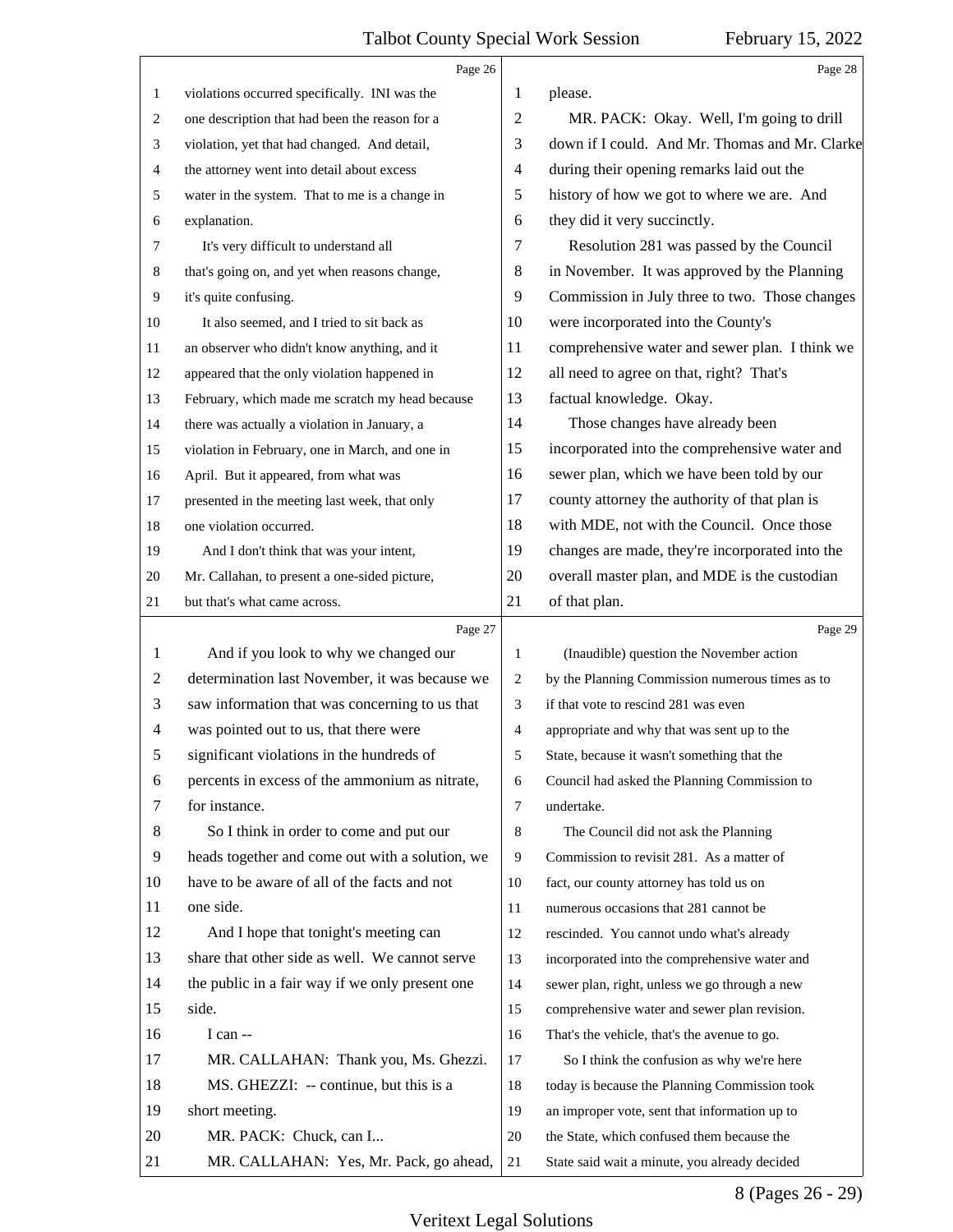<span id="page-7-0"></span>

|    | Page 26                                         |                | Page 28                                         |
|----|-------------------------------------------------|----------------|-------------------------------------------------|
| 1  | violations occurred specifically. INI was the   | 1              | please.                                         |
| 2  | one description that had been the reason for a  | 2              | MR. PACK: Okay. Well, I'm going to drill        |
| 3  | violation, yet that had changed. And detail,    | 3              | down if I could. And Mr. Thomas and Mr. Clarke  |
| 4  | the attorney went into detail about excess      | $\overline{4}$ | during their opening remarks laid out the       |
| 5  | water in the system. That to me is a change in  | 5              | history of how we got to where we are. And      |
| 6  | explanation.                                    | 6              | they did it very succinctly.                    |
| 7  | It's very difficult to understand all           | 7              | Resolution 281 was passed by the Council        |
| 8  | that's going on, and yet when reasons change,   | 8              | in November. It was approved by the Planning    |
| 9  | it's quite confusing.                           | 9              | Commission in July three to two. Those changes  |
| 10 | It also seemed, and I tried to sit back as      | 10             | were incorporated into the County's             |
| 11 | an observer who didn't know anything, and it    | 11             | comprehensive water and sewer plan. I think we  |
| 12 | appeared that the only violation happened in    | 12             | all need to agree on that, right? That's        |
| 13 | February, which made me scratch my head because | 13             | factual knowledge. Okay.                        |
| 14 | there was actually a violation in January, a    | 14             | Those changes have already been                 |
| 15 | violation in February, one in March, and one in | 15             | incorporated into the comprehensive water and   |
| 16 | April. But it appeared, from what was           | 16             | sewer plan, which we have been told by our      |
| 17 | presented in the meeting last week, that only   | 17             | county attorney the authority of that plan is   |
| 18 | one violation occurred.                         | 18             | with MDE, not with the Council. Once those      |
| 19 | And I don't think that was your intent,         | 19             | changes are made, they're incorporated into the |
| 20 | Mr. Callahan, to present a one-sided picture,   | 20             | overall master plan, and MDE is the custodian   |
| 21 | but that's what came across.                    | 21             | of that plan.                                   |
|    | Page 27                                         |                | Page 29                                         |
| 1  | And if you look to why we changed our           | $\mathbf{1}$   | (Inaudible) question the November action        |
| 2  | determination last November, it was because we  | 2              | by the Planning Commission numerous times as to |
| 3  | saw information that was concerning to us that  | 3              | if that vote to rescind 281 was even            |
| 4  | was pointed out to us, that there were          | 4              | appropriate and why that was sent up to the     |
| 5  | significant violations in the hundreds of       | 5              | State, because it wasn't something that the     |
| 6  | percents in excess of the ammonium as nitrate,  | 6              | Council had asked the Planning Commission to    |
| 7  | for instance.                                   | 7              | undertake.                                      |
| 8  | So I think in order to come and put our         | 8              | The Council did not ask the Planning            |
| 9  | heads together and come out with a solution, we | 9              | Commission to revisit 281. As a matter of       |
| 10 | have to be aware of all of the facts and not    | 10             | fact, our county attorney has told us on        |
| 11 | one side.                                       | 11             | numerous occasions that 281 cannot be           |
| 12 | And I hope that tonight's meeting can           | 12             | rescinded. You cannot undo what's already       |
| 13 | share that other side as well. We cannot serve  | 13             | incorporated into the comprehensive water and   |
| 14 | the public in a fair way if we only present one | 14             | sewer plan, right, unless we go through a new   |
| 15 |                                                 |                |                                                 |
| 16 | side.                                           | 15             | comprehensive water and sewer plan revision.    |
| 17 | I can --                                        | 16             | That's the vehicle, that's the avenue to go.    |
|    | MR. CALLAHAN: Thank you, Ms. Ghezzi.            | 17             | So I think the confusion as why we're here      |
| 18 | MS. GHEZZI: -- continue, but this is a          | $18\,$         | today is because the Planning Commission took   |
| 19 | short meeting.                                  | 19             | an improper vote, sent that information up to   |
| 20 | MR. PACK: Chuck, can I                          | 20             | the State, which confused them because the      |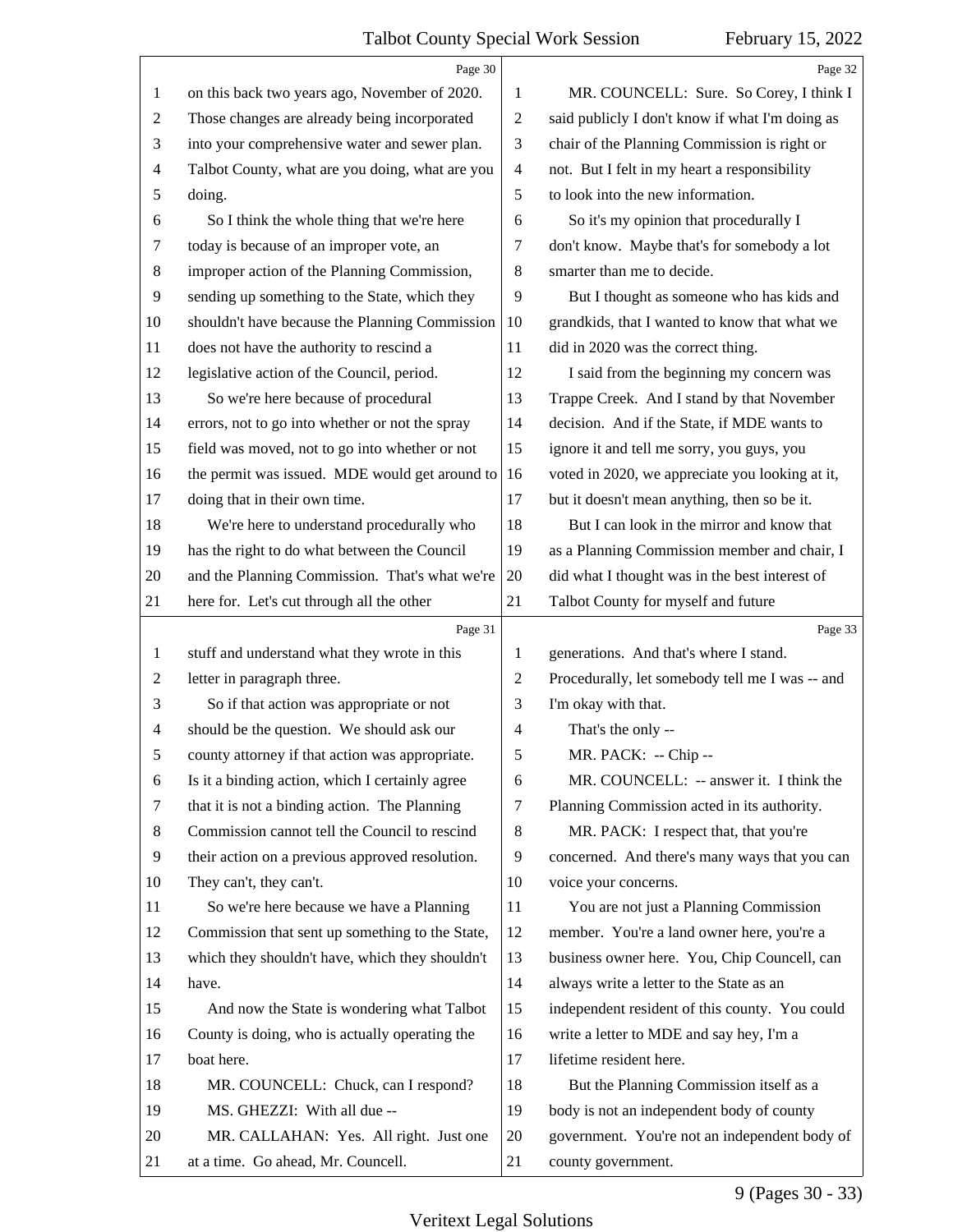<span id="page-8-0"></span>

|    | Page 30                                         |                          | Page 32                                         |
|----|-------------------------------------------------|--------------------------|-------------------------------------------------|
| 1  | on this back two years ago, November of 2020.   | 1                        | MR. COUNCELL: Sure. So Corey, I think I         |
| 2  | Those changes are already being incorporated    | $\mathbf{2}$             | said publicly I don't know if what I'm doing as |
| 3  | into your comprehensive water and sewer plan.   | 3                        | chair of the Planning Commission is right or    |
| 4  | Talbot County, what are you doing, what are you | $\overline{\mathcal{A}}$ | not. But I felt in my heart a responsibility    |
| 5  | doing.                                          | 5                        | to look into the new information.               |
| 6  | So I think the whole thing that we're here      | 6                        | So it's my opinion that procedurally I          |
| 7  | today is because of an improper vote, an        | 7                        | don't know. Maybe that's for somebody a lot     |
| 8  | improper action of the Planning Commission,     | 8                        | smarter than me to decide.                      |
| 9  | sending up something to the State, which they   | 9                        | But I thought as someone who has kids and       |
| 10 | shouldn't have because the Planning Commission  | 10                       | grandkids, that I wanted to know that what we   |
| 11 | does not have the authority to rescind a        | 11                       | did in 2020 was the correct thing.              |
| 12 | legislative action of the Council, period.      | 12                       | I said from the beginning my concern was        |
| 13 | So we're here because of procedural             | 13                       | Trappe Creek. And I stand by that November      |
| 14 | errors, not to go into whether or not the spray | 14                       | decision. And if the State, if MDE wants to     |
| 15 | field was moved, not to go into whether or not  | 15                       | ignore it and tell me sorry, you guys, you      |
| 16 | the permit was issued. MDE would get around to  | 16                       | voted in 2020, we appreciate you looking at it, |
| 17 | doing that in their own time.                   | 17                       | but it doesn't mean anything, then so be it.    |
| 18 | We're here to understand procedurally who       | 18                       | But I can look in the mirror and know that      |
| 19 | has the right to do what between the Council    | 19                       | as a Planning Commission member and chair, I    |
| 20 | and the Planning Commission. That's what we're  | 20                       | did what I thought was in the best interest of  |
| 21 | here for. Let's cut through all the other       | 21                       | Talbot County for myself and future             |
|    |                                                 |                          |                                                 |
|    | Page 31                                         |                          | Page 33                                         |
| 1  | stuff and understand what they wrote in this    | 1                        | generations. And that's where I stand.          |
| 2  | letter in paragraph three.                      | 2                        | Procedurally, let somebody tell me I was -- and |
| 3  | So if that action was appropriate or not        | 3                        | I'm okay with that.                             |
| 4  | should be the question. We should ask our       | $\overline{4}$           | That's the only --                              |
| 5  | county attorney if that action was appropriate. | 5                        | MR. PACK: -- Chip                               |
| 6  | Is it a binding action, which I certainly agree | 6                        | MR. COUNCELL: -- answer it. I think the         |
| 7  | that it is not a binding action. The Planning   | 7                        | Planning Commission acted in its authority.     |
| 8  | Commission cannot tell the Council to rescind   | 8                        | MR. PACK: I respect that, that you're           |
| 9  | their action on a previous approved resolution. | 9                        | concerned. And there's many ways that you can   |
| 10 | They can't, they can't.                         | 10                       | voice your concerns.                            |
| 11 | So we're here because we have a Planning        | 11                       | You are not just a Planning Commission          |
| 12 | Commission that sent up something to the State, | 12                       | member. You're a land owner here, you're a      |
| 13 | which they shouldn't have, which they shouldn't | 13                       | business owner here. You, Chip Councell, can    |
| 14 | have.                                           | 14                       | always write a letter to the State as an        |
| 15 | And now the State is wondering what Talbot      | 15                       | independent resident of this county. You could  |
| 16 | County is doing, who is actually operating the  | 16                       | write a letter to MDE and say hey, I'm a        |
| 17 | boat here.                                      | 17                       | lifetime resident here.                         |
| 18 | MR. COUNCELL: Chuck, can I respond?             | 18                       | But the Planning Commission itself as a         |
| 19 | MS. GHEZZI: With all due --                     | 19                       | body is not an independent body of county       |
| 20 | MR. CALLAHAN: Yes. All right. Just one          | 20                       | government. You're not an independent body of   |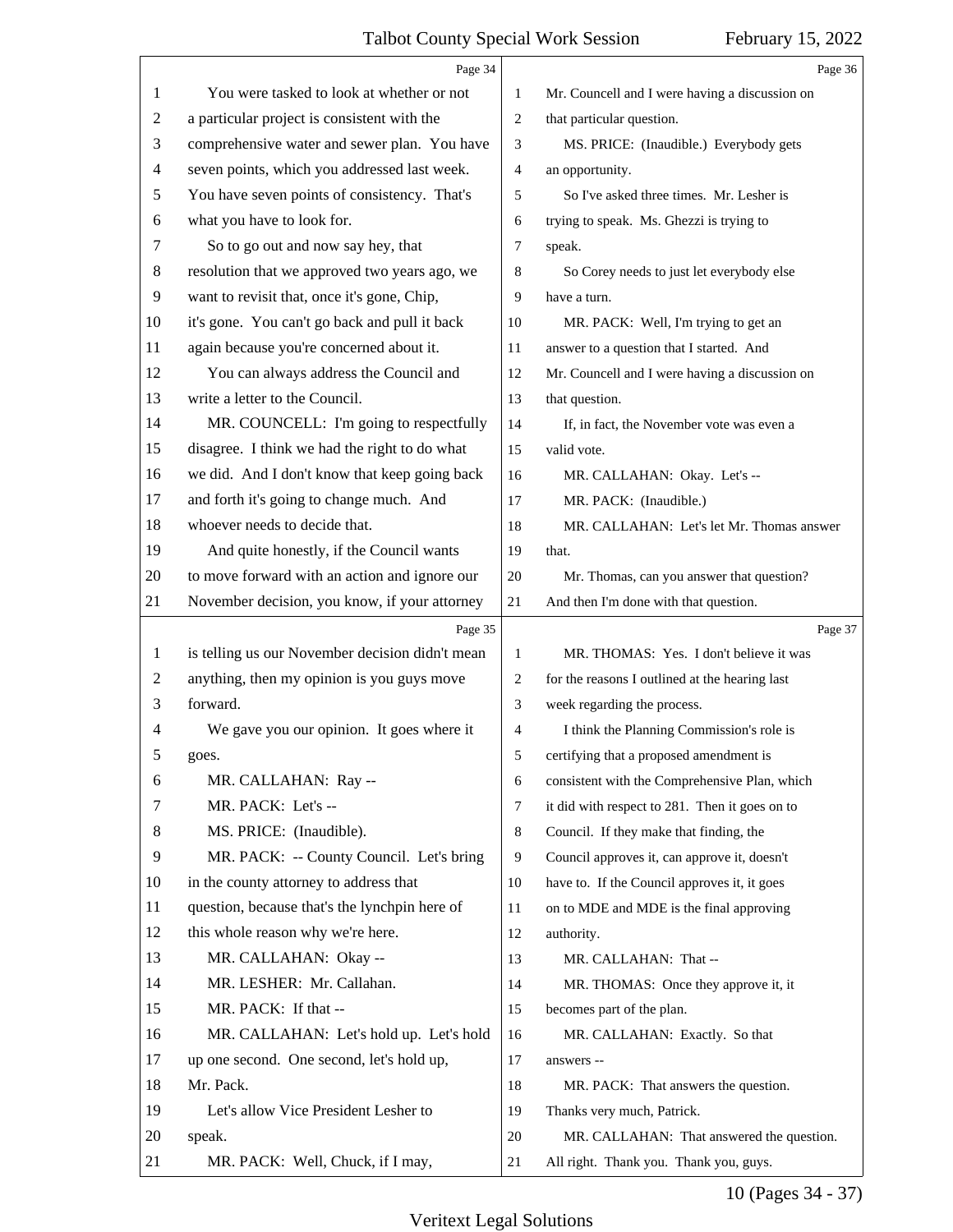$\overline{\phantom{a}}$ 

<span id="page-9-0"></span>

|                | Page 34                                         |                | Page 36                                        |
|----------------|-------------------------------------------------|----------------|------------------------------------------------|
| 1              | You were tasked to look at whether or not       | 1              | Mr. Councell and I were having a discussion on |
| $\overline{c}$ | a particular project is consistent with the     | 2              | that particular question.                      |
| 3              | comprehensive water and sewer plan. You have    | 3              | MS. PRICE: (Inaudible.) Everybody gets         |
| 4              | seven points, which you addressed last week.    | 4              | an opportunity.                                |
| 5              | You have seven points of consistency. That's    | 5              | So I've asked three times. Mr. Lesher is       |
| 6              | what you have to look for.                      | 6              | trying to speak. Ms. Ghezzi is trying to       |
| 7              | So to go out and now say hey, that              | 7              | speak.                                         |
| 8              | resolution that we approved two years ago, we   | 8              | So Corey needs to just let everybody else      |
| 9              | want to revisit that, once it's gone, Chip,     | 9              | have a turn.                                   |
| 10             | it's gone. You can't go back and pull it back   | 10             | MR. PACK: Well, I'm trying to get an           |
| 11             | again because you're concerned about it.        | 11             | answer to a question that I started. And       |
| 12             | You can always address the Council and          | 12             | Mr. Councell and I were having a discussion on |
| 13             | write a letter to the Council.                  | 13             | that question.                                 |
| 14             | MR. COUNCELL: I'm going to respectfully         | 14             | If, in fact, the November vote was even a      |
| 15             | disagree. I think we had the right to do what   | 15             | valid vote.                                    |
| 16             | we did. And I don't know that keep going back   | 16             | MR. CALLAHAN: Okay. Let's --                   |
| 17             | and forth it's going to change much. And        | 17             | MR. PACK: (Inaudible.)                         |
| 18             | whoever needs to decide that.                   | 18             | MR. CALLAHAN: Let's let Mr. Thomas answer      |
| 19             | And quite honestly, if the Council wants        | 19             | that.                                          |
| 20             | to move forward with an action and ignore our   | 20             | Mr. Thomas, can you answer that question?      |
| 21             | November decision, you know, if your attorney   | 21             | And then I'm done with that question.          |
|                | Page 35                                         |                | Page 37                                        |
|                |                                                 |                |                                                |
| 1              | is telling us our November decision didn't mean | 1              | MR. THOMAS: Yes. I don't believe it was        |
| 2              | anything, then my opinion is you guys move      | 2              | for the reasons I outlined at the hearing last |
| 3              | forward.                                        | 3              | week regarding the process.                    |
| 4              | We gave you our opinion. It goes where it       | $\overline{4}$ | I think the Planning Commission's role is      |
| 5              | goes.                                           | 5              | certifying that a proposed amendment is        |
| 6              | MR. CALLAHAN: Ray --                            | 6              | consistent with the Comprehensive Plan, which  |
| 7              | MR. PACK: Let's --                              | $\tau$         | it did with respect to 281. Then it goes on to |
| 8              | MS. PRICE: (Inaudible).                         | 8              | Council. If they make that finding, the        |
| 9              | MR. PACK: -- County Council. Let's bring        | 9              | Council approves it, can approve it, doesn't   |
| 10             | in the county attorney to address that          | 10             | have to. If the Council approves it, it goes   |
| 11             | question, because that's the lynchpin here of   | 11             | on to MDE and MDE is the final approving       |
| 12             | this whole reason why we're here.               | 12             | authority.                                     |
| 13             | MR. CALLAHAN: Okay --                           | 13             | MR. CALLAHAN: That --                          |
| 14             | MR. LESHER: Mr. Callahan.                       | 14             | MR. THOMAS: Once they approve it, it           |
| 15             | MR. PACK: If that --                            | 15             | becomes part of the plan.                      |
| 16             | MR. CALLAHAN: Let's hold up. Let's hold         | 16             | MR. CALLAHAN: Exactly. So that                 |
| 17             | up one second. One second, let's hold up,       | 17             | answers --                                     |
| 18             | Mr. Pack.                                       | 18             | MR. PACK: That answers the question.           |
| 19             | Let's allow Vice President Lesher to            | 19             | Thanks very much, Patrick.                     |
| 20             | speak.                                          | 20             | MR. CALLAHAN: That answered the question.      |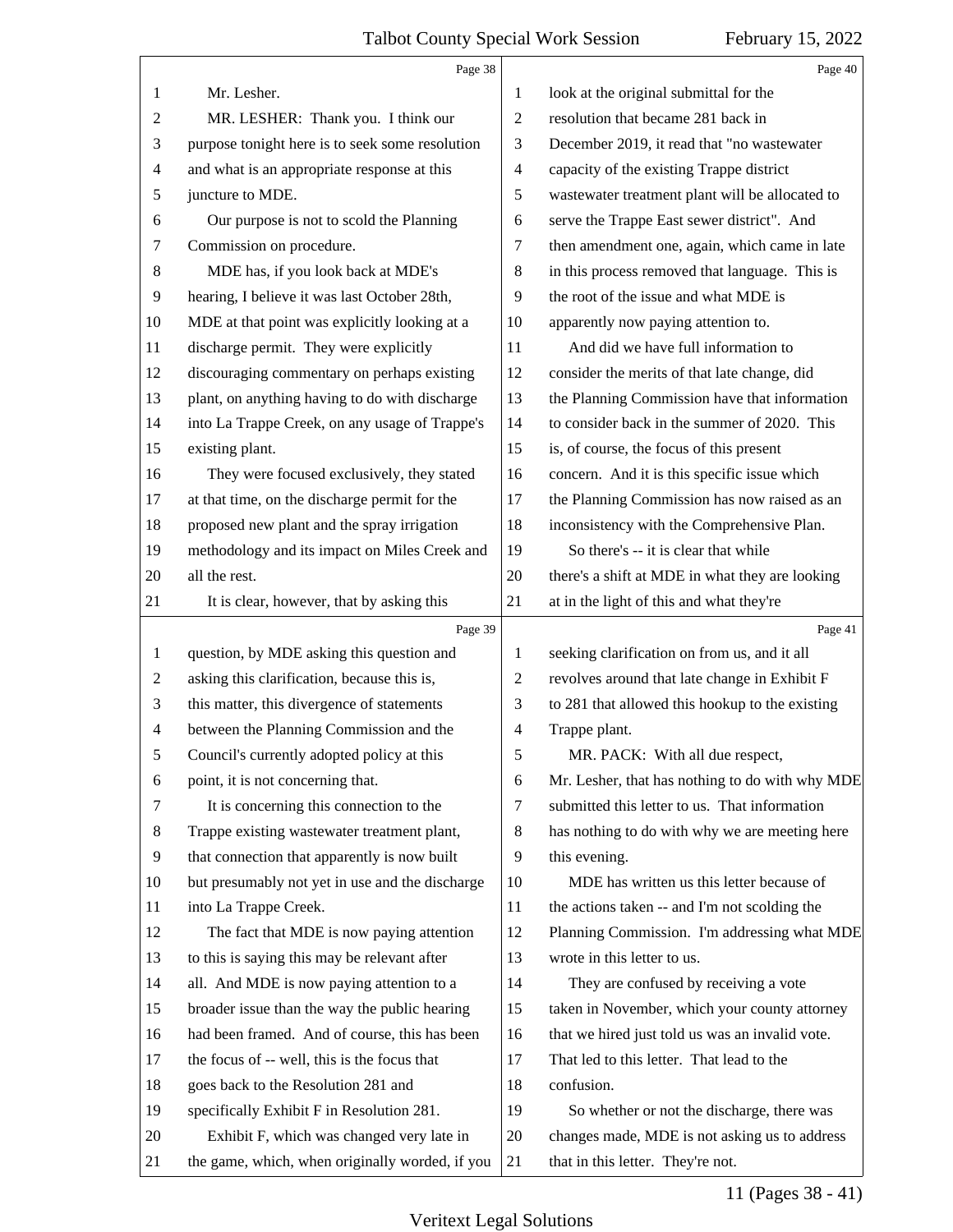#### Talbot County Special Work Session February 15, 2022  $\overline{\phantom{a}}$

<span id="page-10-0"></span>

|                | Page 38                                         |                | Page 40                                         |
|----------------|-------------------------------------------------|----------------|-------------------------------------------------|
| 1              | Mr. Lesher.                                     | 1              | look at the original submittal for the          |
| $\mathbf{2}$   | MR. LESHER: Thank you. I think our              | $\overline{2}$ | resolution that became 281 back in              |
| 3              | purpose tonight here is to seek some resolution | 3              | December 2019, it read that "no wastewater      |
| $\overline{4}$ | and what is an appropriate response at this     | 4              | capacity of the existing Trappe district        |
| 5              | juncture to MDE.                                | 5              | wastewater treatment plant will be allocated to |
| 6              | Our purpose is not to scold the Planning        | 6              | serve the Trappe East sewer district". And      |
| 7              | Commission on procedure.                        | 7              | then amendment one, again, which came in late   |
| 8              | MDE has, if you look back at MDE's              | 8              | in this process removed that language. This is  |
| 9              | hearing, I believe it was last October 28th,    | 9              | the root of the issue and what MDE is           |
| 10             | MDE at that point was explicitly looking at a   | 10             | apparently now paying attention to.             |
| 11             | discharge permit. They were explicitly          | 11             | And did we have full information to             |
| 12             | discouraging commentary on perhaps existing     | 12             | consider the merits of that late change, did    |
| 13             | plant, on anything having to do with discharge  | 13             | the Planning Commission have that information   |
| 14             | into La Trappe Creek, on any usage of Trappe's  | 14             | to consider back in the summer of 2020. This    |
| 15             | existing plant.                                 | 15             | is, of course, the focus of this present        |
| 16             | They were focused exclusively, they stated      | 16             | concern. And it is this specific issue which    |
| 17             | at that time, on the discharge permit for the   | 17             | the Planning Commission has now raised as an    |
| 18             | proposed new plant and the spray irrigation     | 18             | inconsistency with the Comprehensive Plan.      |
| 19             | methodology and its impact on Miles Creek and   | 19             | So there's -- it is clear that while            |
| 20             | all the rest.                                   | 20             | there's a shift at MDE in what they are looking |
| 21             | It is clear, however, that by asking this       | 21             | at in the light of this and what they're        |
|                | Page 39                                         |                | Page 41                                         |
| $\mathbf{1}$   | question, by MDE asking this question and       | 1              | seeking clarification on from us, and it all    |
| $\sqrt{2}$     | asking this clarification, because this is,     | $\overline{2}$ | revolves around that late change in Exhibit F   |
| 3              |                                                 |                |                                                 |
|                | this matter, this divergence of statements      | 3              | to 281 that allowed this hookup to the existing |
| $\overline{4}$ | between the Planning Commission and the         | 4              | Trappe plant.                                   |
| 5              | Council's currently adopted policy at this      | 5              | MR. PACK: With all due respect,                 |
| 6              | point, it is not concerning that.               | 6              | Mr. Lesher, that has nothing to do with why MDE |
| 7              | It is concerning this connection to the         | 7              | submitted this letter to us. That information   |
| 8              | Trappe existing wastewater treatment plant,     | 8              | has nothing to do with why we are meeting here  |
| 9              | that connection that apparently is now built    | 9              | this evening.                                   |
| 10             | but presumably not yet in use and the discharge | 10             | MDE has written us this letter because of       |
| 11             | into La Trappe Creek.                           | 11             | the actions taken -- and I'm not scolding the   |
| 12             | The fact that MDE is now paying attention       | 12             | Planning Commission. I'm addressing what MDE    |
| 13             | to this is saying this may be relevant after    | 13             | wrote in this letter to us.                     |
| 14             | all. And MDE is now paying attention to a       | 14             | They are confused by receiving a vote           |
| 15             | broader issue than the way the public hearing   | 15             | taken in November, which your county attorney   |
| 16             | had been framed. And of course, this has been   | 16             | that we hired just told us was an invalid vote. |
| 17             | the focus of -- well, this is the focus that    | 17             | That led to this letter. That lead to the       |
| 18             | goes back to the Resolution 281 and             | 18             | confusion.                                      |
| 19             | specifically Exhibit F in Resolution 281.       | 19             | So whether or not the discharge, there was      |
| 20             | Exhibit F, which was changed very late in       | 20             | changes made, MDE is not asking us to address   |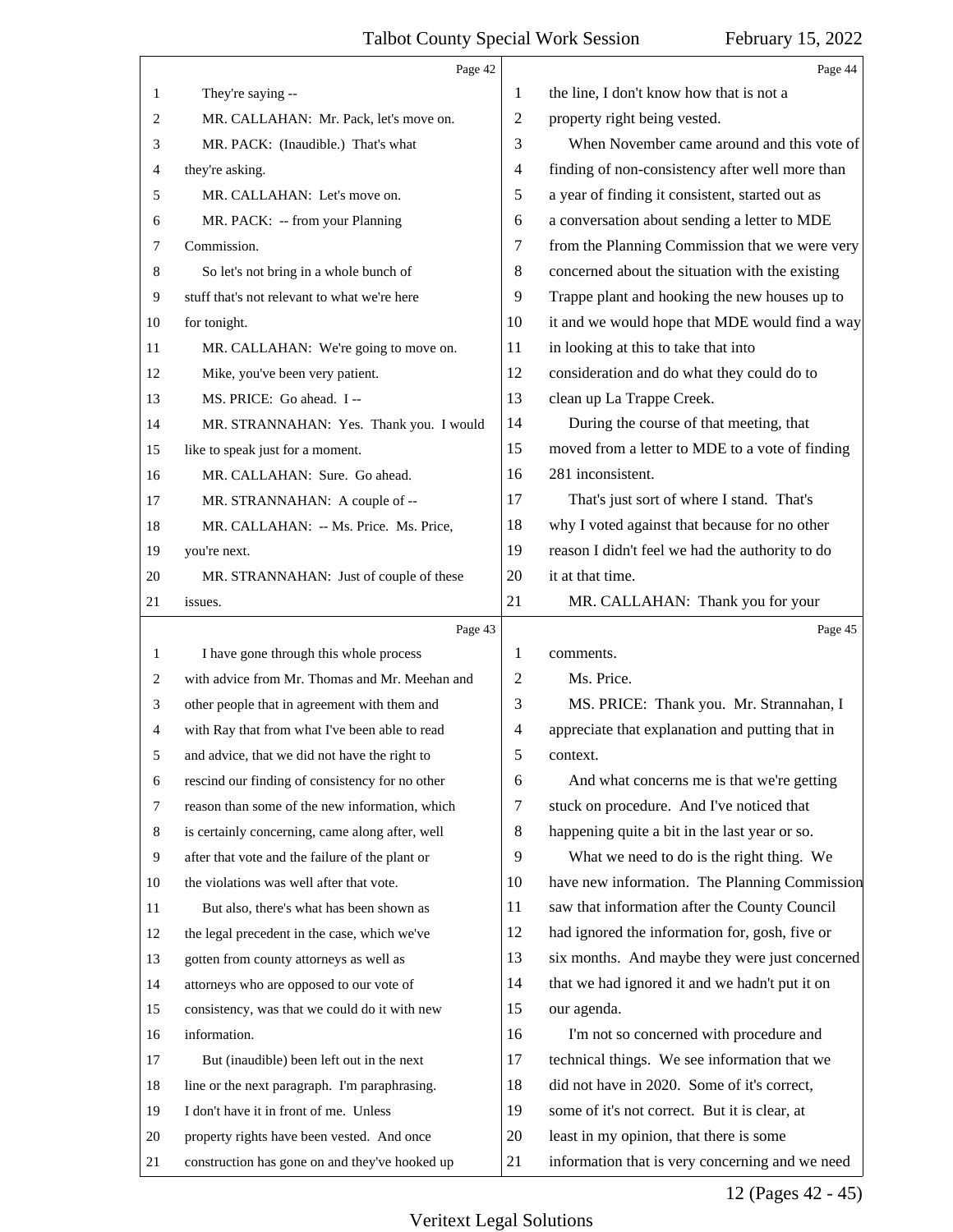<span id="page-11-0"></span>

|        | Page 42                                         |                          | Page 44                                         |
|--------|-------------------------------------------------|--------------------------|-------------------------------------------------|
| 1      | They're saying --                               | 1                        | the line, I don't know how that is not a        |
| 2      | MR. CALLAHAN: Mr. Pack, let's move on.          | 2                        | property right being vested.                    |
| 3      | MR. PACK: (Inaudible.) That's what              | 3                        | When November came around and this vote of      |
| 4      | they're asking.                                 | $\overline{4}$           | finding of non-consistency after well more than |
| 5      | MR. CALLAHAN: Let's move on.                    | 5                        | a year of finding it consistent, started out as |
| 6      | MR. PACK: -- from your Planning                 | 6                        | a conversation about sending a letter to MDE    |
| 7      | Commission.                                     | 7                        | from the Planning Commission that we were very  |
| 8      | So let's not bring in a whole bunch of          | 8                        | concerned about the situation with the existing |
| 9      | stuff that's not relevant to what we're here    | 9                        | Trappe plant and hooking the new houses up to   |
| 10     | for tonight.                                    | 10                       | it and we would hope that MDE would find a way  |
| 11     | MR. CALLAHAN: We're going to move on.           | 11                       | in looking at this to take that into            |
| 12     | Mike, you've been very patient.                 | 12                       | consideration and do what they could do to      |
| 13     | MS. PRICE: Go ahead. I --                       | 13                       | clean up La Trappe Creek.                       |
| 14     | MR. STRANNAHAN: Yes. Thank you. I would         | 14                       | During the course of that meeting, that         |
| 15     | like to speak just for a moment.                | 15                       | moved from a letter to MDE to a vote of finding |
| 16     | MR. CALLAHAN: Sure. Go ahead.                   | 16                       | 281 inconsistent.                               |
| 17     | MR. STRANNAHAN: A couple of --                  | 17                       | That's just sort of where I stand. That's       |
| 18     | MR. CALLAHAN: -- Ms. Price. Ms. Price,          | 18                       | why I voted against that because for no other   |
| 19     | you're next.                                    | 19                       | reason I didn't feel we had the authority to do |
| 20     | MR. STRANNAHAN: Just of couple of these         | 20                       | it at that time.                                |
| 21     | issues.                                         | 21                       | MR. CALLAHAN: Thank you for your                |
|        |                                                 |                          |                                                 |
|        | Page 43                                         |                          | Page 45                                         |
| 1      | I have gone through this whole process          | 1                        | comments.                                       |
| 2      | with advice from Mr. Thomas and Mr. Meehan and  | $\overline{c}$           | Ms. Price.                                      |
| 3      | other people that in agreement with them and    | 3                        | MS. PRICE: Thank you. Mr. Strannahan, I         |
| 4      | with Ray that from what I've been able to read  | $\overline{\mathcal{A}}$ | appreciate that explanation and putting that in |
|        | and advice, that we did not have the right to   | 5                        | context.                                        |
| 6      | rescind our finding of consistency for no other | 6                        | And what concerns me is that we're getting      |
| 7      | reason than some of the new information, which  | 7                        | stuck on procedure. And I've noticed that       |
| 8      | is certainly concerning, came along after, well | 8                        | happening quite a bit in the last year or so.   |
| 9      | after that vote and the failure of the plant or | 9                        | What we need to do is the right thing. We       |
| 10     | the violations was well after that vote.        | 10                       | have new information. The Planning Commission   |
| 11     | But also, there's what has been shown as        | 11                       | saw that information after the County Council   |
| 12     | the legal precedent in the case, which we've    | 12                       | had ignored the information for, gosh, five or  |
| 13     | gotten from county attorneys as well as         | 13                       | six months. And maybe they were just concerned  |
| 14     | attorneys who are opposed to our vote of        | 14                       | that we had ignored it and we hadn't put it on  |
| 15     | consistency, was that we could do it with new   | 15                       | our agenda.                                     |
| 16     | information.                                    | 16                       | I'm not so concerned with procedure and         |
| 17     | But (inaudible) been left out in the next       | 17                       | technical things. We see information that we    |
| 18     | line or the next paragraph. I'm paraphrasing.   | 18                       | did not have in 2020. Some of it's correct,     |
| 19     | I don't have it in front of me. Unless          | 19                       | some of it's not correct. But it is clear, at   |
| $20\,$ | property rights have been vested. And once      | 20                       | least in my opinion, that there is some         |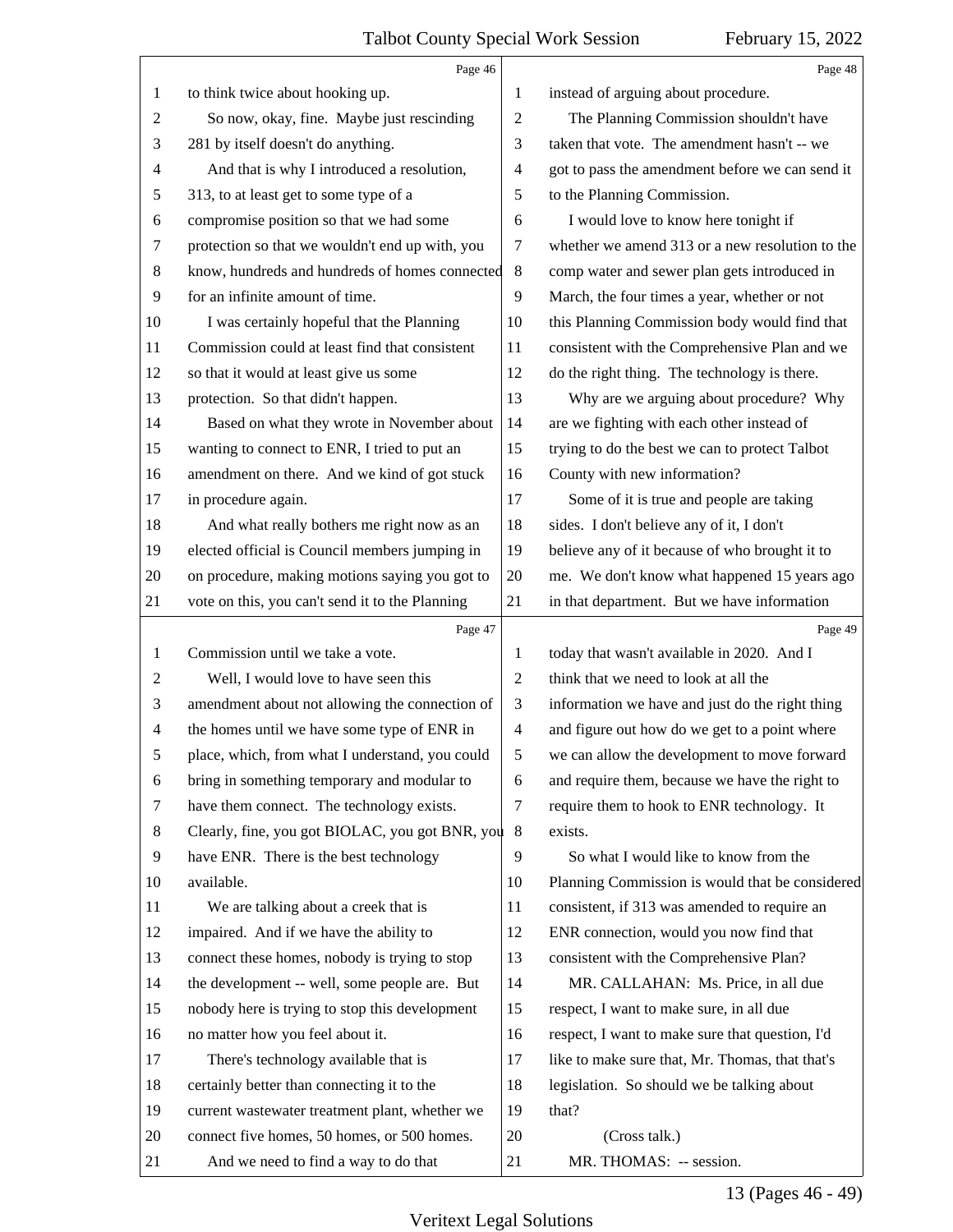<span id="page-12-0"></span>

|                | Page 46                                         |                | Page 48                                         |
|----------------|-------------------------------------------------|----------------|-------------------------------------------------|
| 1              | to think twice about hooking up.                | 1              | instead of arguing about procedure.             |
| 2              | So now, okay, fine. Maybe just rescinding       | 2              | The Planning Commission shouldn't have          |
| 3              | 281 by itself doesn't do anything.              | 3              | taken that vote. The amendment hasn't -- we     |
| 4              | And that is why I introduced a resolution,      | 4              | got to pass the amendment before we can send it |
| 5              | 313, to at least get to some type of a          | 5              | to the Planning Commission.                     |
| 6              | compromise position so that we had some         | 6              | I would love to know here tonight if            |
| $\tau$         | protection so that we wouldn't end up with, you | 7              | whether we amend 313 or a new resolution to the |
| 8              | know, hundreds and hundreds of homes connected  | $\,8\,$        | comp water and sewer plan gets introduced in    |
| 9              | for an infinite amount of time.                 | 9              | March, the four times a year, whether or not    |
| 10             | I was certainly hopeful that the Planning       | 10             | this Planning Commission body would find that   |
| 11             | Commission could at least find that consistent  | 11             | consistent with the Comprehensive Plan and we   |
| 12             | so that it would at least give us some          | 12             | do the right thing. The technology is there.    |
| 13             | protection. So that didn't happen.              | 13             | Why are we arguing about procedure? Why         |
| 14             | Based on what they wrote in November about      | 14             | are we fighting with each other instead of      |
| 15             | wanting to connect to ENR, I tried to put an    | 15             | trying to do the best we can to protect Talbot  |
| 16             | amendment on there. And we kind of got stuck    | 16             | County with new information?                    |
| 17             | in procedure again.                             | 17             | Some of it is true and people are taking        |
| 18             | And what really bothers me right now as an      | 18             | sides. I don't believe any of it, I don't       |
| 19             | elected official is Council members jumping in  | 19             | believe any of it because of who brought it to  |
| 20             | on procedure, making motions saying you got to  | 20             | me. We don't know what happened 15 years ago    |
| 21             | vote on this, you can't send it to the Planning | 21             | in that department. But we have information     |
|                | Page 47                                         |                | Page 49                                         |
| 1              | Commission until we take a vote.                | 1              | today that wasn't available in 2020. And I      |
| $\overline{c}$ | Well, I would love to have seen this            | $\overline{c}$ | think that we need to look at all the           |
| 3              | amendment about not allowing the connection of  |                |                                                 |
|                |                                                 | 3              | information we have and just do the right thing |
| $\overline{4}$ | the homes until we have some type of ENR in     | $\overline{4}$ | and figure out how do we get to a point where   |
| 5              | place, which, from what I understand, you could | 5              | we can allow the development to move forward    |
| 6              | bring in something temporary and modular to     | 6              | and require them, because we have the right to  |
| 7              | have them connect. The technology exists.       | 7              | require them to hook to ENR technology. It      |
| 8              | Clearly, fine, you got BIOLAC, you got BNR, you | 8              | exists.                                         |
| 9              | have ENR. There is the best technology          | 9              | So what I would like to know from the           |
| 10             | available.                                      | 10             | Planning Commission is would that be considered |
| 11             | We are talking about a creek that is            | 11             | consistent, if 313 was amended to require an    |
| 12             | impaired. And if we have the ability to         | 12             | ENR connection, would you now find that         |
| 13             | connect these homes, nobody is trying to stop   | 13             | consistent with the Comprehensive Plan?         |
| 14             | the development -- well, some people are. But   | 14             | MR. CALLAHAN: Ms. Price, in all due             |
| 15             | nobody here is trying to stop this development  | 15             | respect, I want to make sure, in all due        |
| 16             | no matter how you feel about it.                | 16             | respect, I want to make sure that question, I'd |
| 17             | There's technology available that is            | 17             | like to make sure that, Mr. Thomas, that that's |
| 18             | certainly better than connecting it to the      | 18             | legislation. So should we be talking about      |
| 19             | current wastewater treatment plant, whether we  | 19             | that?                                           |
| 20             | connect five homes, 50 homes, or 500 homes.     | 20             | (Cross talk.)                                   |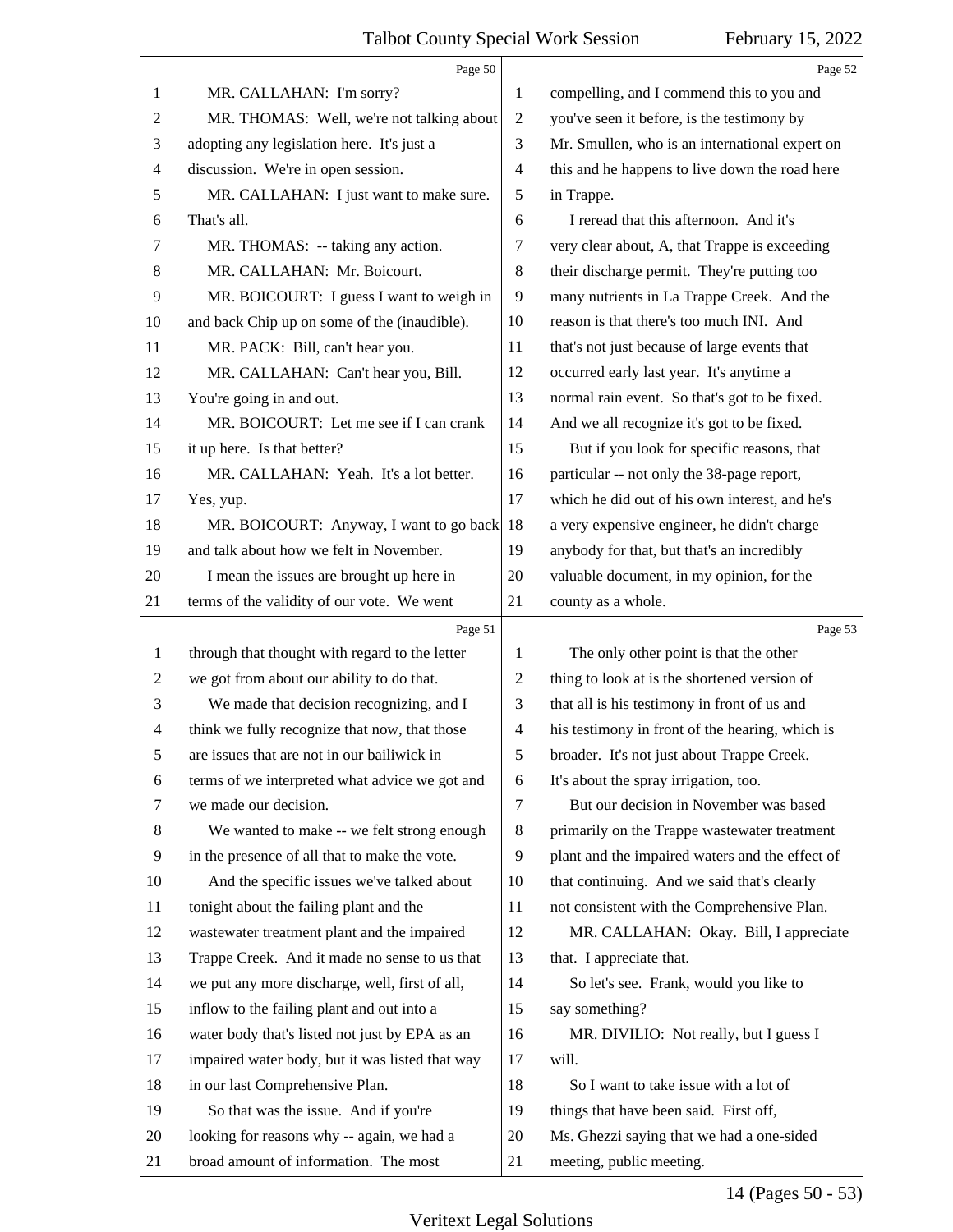<span id="page-13-0"></span>

|                | Page 50                                         |                | Page 52                                         |
|----------------|-------------------------------------------------|----------------|-------------------------------------------------|
| 1              | MR. CALLAHAN: I'm sorry?                        | 1              | compelling, and I commend this to you and       |
| 2              | MR. THOMAS: Well, we're not talking about       | $\overline{2}$ | you've seen it before, is the testimony by      |
| 3              | adopting any legislation here. It's just a      | 3              | Mr. Smullen, who is an international expert on  |
| 4              | discussion. We're in open session.              | $\overline{4}$ | this and he happens to live down the road here  |
| 5              | MR. CALLAHAN: I just want to make sure.         | 5              | in Trappe.                                      |
| 6              | That's all.                                     | 6              | I reread that this afternoon. And it's          |
| 7              | MR. THOMAS: -- taking any action.               | 7              | very clear about, A, that Trappe is exceeding   |
| 8              | MR. CALLAHAN: Mr. Boicourt.                     | 8              | their discharge permit. They're putting too     |
| 9              | MR. BOICOURT: I guess I want to weigh in        | 9              | many nutrients in La Trappe Creek. And the      |
| 10             | and back Chip up on some of the (inaudible).    | 10             | reason is that there's too much INI. And        |
| 11             | MR. PACK: Bill, can't hear you.                 | 11             | that's not just because of large events that    |
| 12             | MR. CALLAHAN: Can't hear you, Bill.             | 12             | occurred early last year. It's anytime a        |
| 13             | You're going in and out.                        | 13             | normal rain event. So that's got to be fixed.   |
| 14             | MR. BOICOURT: Let me see if I can crank         | 14             | And we all recognize it's got to be fixed.      |
| 15             | it up here. Is that better?                     | 15             | But if you look for specific reasons, that      |
| 16             | MR. CALLAHAN: Yeah. It's a lot better.          | 16             | particular -- not only the 38-page report,      |
| 17             | Yes, yup.                                       | 17             | which he did out of his own interest, and he's  |
| 18             | MR. BOICOURT: Anyway, I want to go back         | 18             | a very expensive engineer, he didn't charge     |
| 19             | and talk about how we felt in November.         | 19             | anybody for that, but that's an incredibly      |
| 20             | I mean the issues are brought up here in        | 20             | valuable document, in my opinion, for the       |
| 21             | terms of the validity of our vote. We went      | 21             | county as a whole.                              |
|                |                                                 |                |                                                 |
|                | Page 51                                         |                | Page 53                                         |
| 1              | through that thought with regard to the letter  | 1              | The only other point is that the other          |
| 2              | we got from about our ability to do that.       | 2              | thing to look at is the shortened version of    |
| 3              | We made that decision recognizing, and I        | 3              | that all is his testimony in front of us and    |
| $\overline{4}$ | think we fully recognize that now, that those   | $\overline{4}$ | his testimony in front of the hearing, which is |
| 5              | are issues that are not in our bailiwick in     | 5              | broader. It's not just about Trappe Creek.      |
| 6              | terms of we interpreted what advice we got and  | 6              | It's about the spray irrigation, too.           |
| 7              | we made our decision.                           | $\tau$         | But our decision in November was based          |
| 8              | We wanted to make -- we felt strong enough      | 8              | primarily on the Trappe wastewater treatment    |
| 9              | in the presence of all that to make the vote.   | 9              | plant and the impaired waters and the effect of |
| 10             | And the specific issues we've talked about      | 10             | that continuing. And we said that's clearly     |
| 11             | tonight about the failing plant and the         | 11             | not consistent with the Comprehensive Plan.     |
| 12             | wastewater treatment plant and the impaired     | 12             | MR. CALLAHAN: Okay. Bill, I appreciate          |
| 13             | Trappe Creek. And it made no sense to us that   | 13             | that. I appreciate that.                        |
| 14             | we put any more discharge, well, first of all,  | 14             | So let's see. Frank, would you like to          |
| 15             | inflow to the failing plant and out into a      | 15             | say something?                                  |
| 16             | water body that's listed not just by EPA as an  | 16             | MR. DIVILIO: Not really, but I guess I          |
| 17             | impaired water body, but it was listed that way | 17             | will.                                           |
| 18             | in our last Comprehensive Plan.                 | 18             | So I want to take issue with a lot of           |
| 19             | So that was the issue. And if you're            | 19             | things that have been said. First off,          |
| 20             | looking for reasons why -- again, we had a      | 20             | Ms. Ghezzi saying that we had a one-sided       |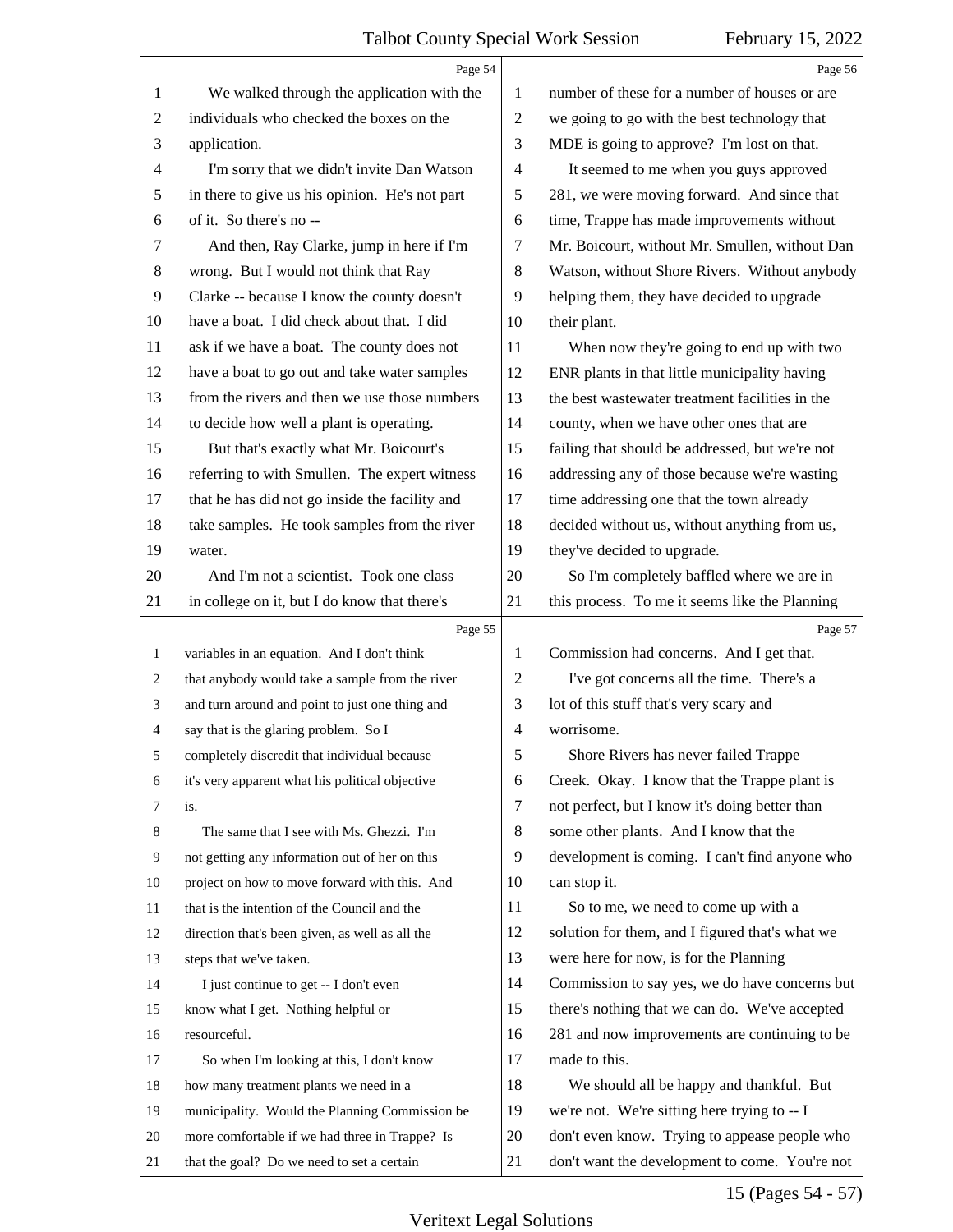<span id="page-14-0"></span>

|    | Page 54                                         |                          | Page 56                                         |
|----|-------------------------------------------------|--------------------------|-------------------------------------------------|
| 1  | We walked through the application with the      | 1                        | number of these for a number of houses or are   |
| 2  | individuals who checked the boxes on the        | $\overline{2}$           | we going to go with the best technology that    |
| 3  | application.                                    | 3                        | MDE is going to approve? I'm lost on that.      |
| 4  | I'm sorry that we didn't invite Dan Watson      | $\overline{\mathcal{A}}$ | It seemed to me when you guys approved          |
| 5  | in there to give us his opinion. He's not part  | 5                        | 281, we were moving forward. And since that     |
| 6  | of it. So there's no --                         | 6                        | time, Trappe has made improvements without      |
| 7  | And then, Ray Clarke, jump in here if I'm       | 7                        | Mr. Boicourt, without Mr. Smullen, without Dan  |
| 8  | wrong. But I would not think that Ray           | 8                        | Watson, without Shore Rivers. Without anybody   |
| 9  | Clarke -- because I know the county doesn't     | 9                        | helping them, they have decided to upgrade      |
| 10 | have a boat. I did check about that. I did      | 10                       | their plant.                                    |
| 11 | ask if we have a boat. The county does not      | 11                       | When now they're going to end up with two       |
| 12 | have a boat to go out and take water samples    | 12                       | ENR plants in that little municipality having   |
| 13 | from the rivers and then we use those numbers   | 13                       | the best wastewater treatment facilities in the |
| 14 | to decide how well a plant is operating.        | 14                       | county, when we have other ones that are        |
| 15 | But that's exactly what Mr. Boicourt's          | 15                       | failing that should be addressed, but we're not |
| 16 | referring to with Smullen. The expert witness   | 16                       | addressing any of those because we're wasting   |
| 17 | that he has did not go inside the facility and  | 17                       | time addressing one that the town already       |
| 18 | take samples. He took samples from the river    | 18                       | decided without us, without anything from us,   |
| 19 | water.                                          | 19                       | they've decided to upgrade.                     |
| 20 | And I'm not a scientist. Took one class         | 20                       | So I'm completely baffled where we are in       |
| 21 | in college on it, but I do know that there's    | 21                       | this process. To me it seems like the Planning  |
|    |                                                 |                          |                                                 |
|    | Page 55                                         |                          | Page 57                                         |
| 1  | variables in an equation. And I don't think     | 1                        | Commission had concerns. And I get that.        |
| 2  | that anybody would take a sample from the river | $\overline{c}$           | I've got concerns all the time. There's a       |
| 3  | and turn around and point to just one thing and | 3                        | lot of this stuff that's very scary and         |
| 4  | say that is the glaring problem. So I           | $\overline{4}$           | worrisome.                                      |
|    | completely discredit that individual because    | 5                        | Shore Rivers has never failed Trappe            |
| 6  | it's very apparent what his political objective | 6                        | Creek. Okay. I know that the Trappe plant is    |
| 7  | is.                                             | 7                        | not perfect, but I know it's doing better than  |
| 8  | The same that I see with Ms. Ghezzi. I'm        | 8                        | some other plants. And I know that the          |
| 9  | not getting any information out of her on this  | 9                        | development is coming. I can't find anyone who  |
| 10 | project on how to move forward with this. And   | 10                       | can stop it.                                    |
| 11 | that is the intention of the Council and the    | 11                       | So to me, we need to come up with a             |
| 12 | direction that's been given, as well as all the | 12                       | solution for them, and I figured that's what we |
| 13 | steps that we've taken.                         | 13                       | were here for now, is for the Planning          |
| 14 | I just continue to get -- I don't even          | 14                       | Commission to say yes, we do have concerns but  |
| 15 | know what I get. Nothing helpful or             | 15                       | there's nothing that we can do. We've accepted  |
| 16 | resourceful.                                    | 16                       | 281 and now improvements are continuing to be   |
| 17 | So when I'm looking at this, I don't know       | 17                       | made to this.                                   |
| 18 | how many treatment plants we need in a          | 18                       | We should all be happy and thankful. But        |
| 19 | municipality. Would the Planning Commission be  | 19                       | we're not. We're sitting here trying to -- I    |
| 20 | more comfortable if we had three in Trappe? Is  | 20                       | don't even know. Trying to appease people who   |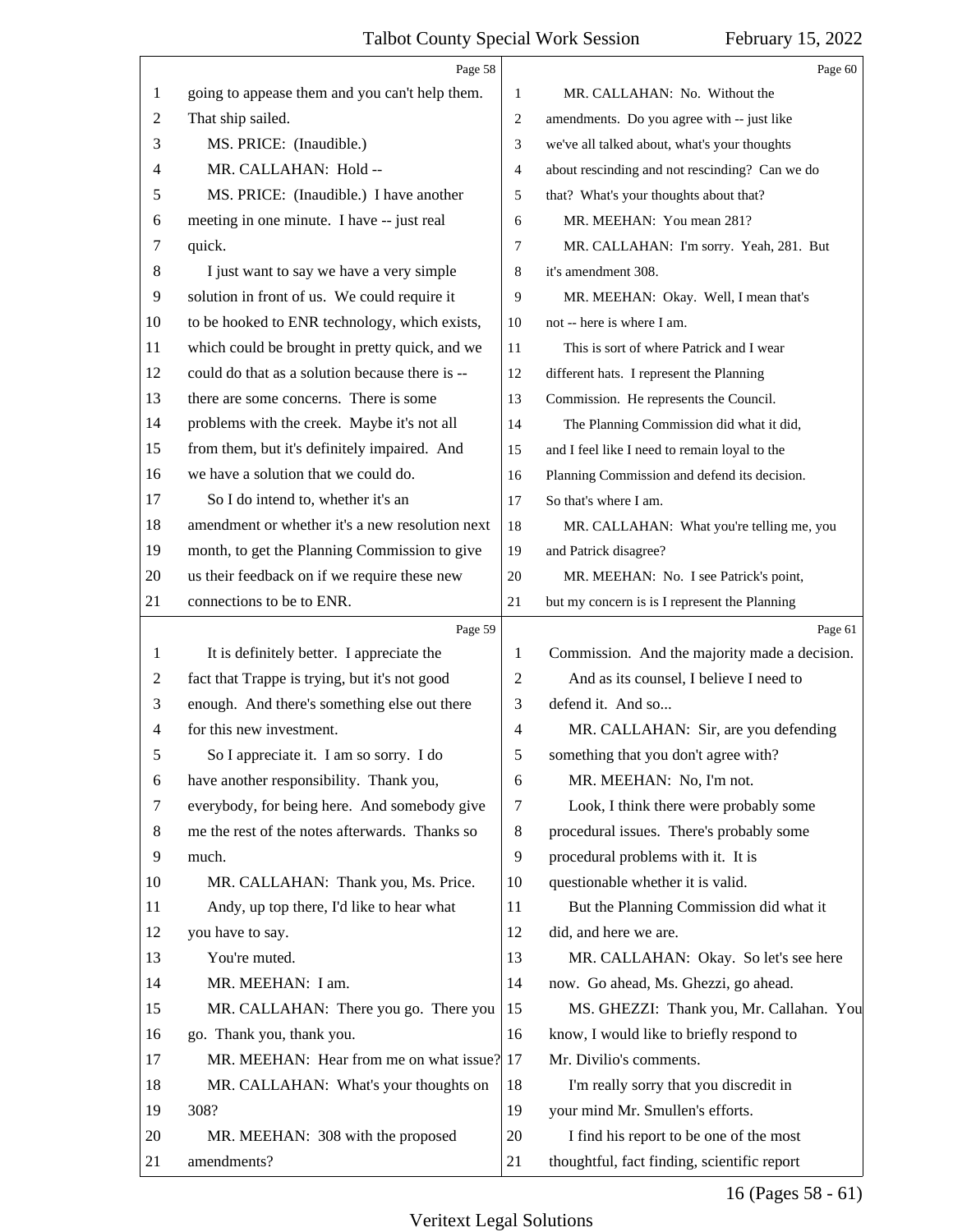<span id="page-15-0"></span>

|                | Page 58                                         |                | Page 60                                        |
|----------------|-------------------------------------------------|----------------|------------------------------------------------|
| 1              | going to appease them and you can't help them.  | 1              | MR. CALLAHAN: No. Without the                  |
| 2              | That ship sailed.                               | 2              | amendments. Do you agree with -- just like     |
| 3              | MS. PRICE: (Inaudible.)                         | 3              | we've all talked about, what's your thoughts   |
| 4              | MR. CALLAHAN: Hold --                           | $\overline{4}$ | about rescinding and not rescinding? Can we do |
| 5              | MS. PRICE: (Inaudible.) I have another          | 5              | that? What's your thoughts about that?         |
| 6              | meeting in one minute. I have -- just real      | 6              | MR. MEEHAN: You mean 281?                      |
| 7              | quick.                                          | 7              | MR. CALLAHAN: I'm sorry. Yeah, 281. But        |
| 8              | I just want to say we have a very simple        | 8              | it's amendment 308.                            |
| 9              | solution in front of us. We could require it    | 9              | MR. MEEHAN: Okay. Well, I mean that's          |
| 10             | to be hooked to ENR technology, which exists,   | 10             | not -- here is where I am.                     |
| 11             | which could be brought in pretty quick, and we  | 11             | This is sort of where Patrick and I wear       |
| 12             | could do that as a solution because there is -- | 12             | different hats. I represent the Planning       |
| 13             | there are some concerns. There is some          | 13             | Commission. He represents the Council.         |
| 14             | problems with the creek. Maybe it's not all     | 14             | The Planning Commission did what it did,       |
| 15             | from them, but it's definitely impaired. And    | 15             | and I feel like I need to remain loyal to the  |
| 16             | we have a solution that we could do.            | 16             | Planning Commission and defend its decision.   |
| 17             | So I do intend to, whether it's an              | 17             | So that's where I am.                          |
| 18             | amendment or whether it's a new resolution next | 18             | MR. CALLAHAN: What you're telling me, you      |
| 19             | month, to get the Planning Commission to give   | 19             | and Patrick disagree?                          |
| 20             | us their feedback on if we require these new    | 20             | MR. MEEHAN: No. I see Patrick's point,         |
| 21             | connections to be to ENR.                       | 21             | but my concern is is I represent the Planning  |
|                | Page 59                                         |                | Page 61                                        |
|                |                                                 |                |                                                |
| 1              | It is definitely better. I appreciate the       | 1              | Commission. And the majority made a decision.  |
| 2              | fact that Trappe is trying, but it's not good   | $\mathbf{2}$   | And as its counsel, I believe I need to        |
| 3              | enough. And there's something else out there    | 3              | defend it. And so                              |
| $\overline{4}$ | for this new investment.                        | 4              | MR. CALLAHAN: Sir, are you defending           |
| 5              | So I appreciate it. I am so sorry. I do         | 5              | something that you don't agree with?           |
| 6              | have another responsibility. Thank you,         | 6              | MR. MEEHAN: No, I'm not.                       |
| 7              | everybody, for being here. And somebody give    | 7              | Look, I think there were probably some         |
| 8              | me the rest of the notes afterwards. Thanks so  | 8              | procedural issues. There's probably some       |
| 9              | much.                                           | 9              | procedural problems with it. It is             |
| 10             | MR. CALLAHAN: Thank you, Ms. Price.             | 10             | questionable whether it is valid.              |
| 11             | Andy, up top there, I'd like to hear what       | 11             | But the Planning Commission did what it        |
| 12             | you have to say.                                | 12             | did, and here we are.                          |
| 13             | You're muted.                                   | 13             | MR. CALLAHAN: Okay. So let's see here          |
| 14             | MR. MEEHAN: I am.                               | 14             | now. Go ahead, Ms. Ghezzi, go ahead.           |
| 15             | MR. CALLAHAN: There you go. There you           | 15             | MS. GHEZZI: Thank you, Mr. Callahan. You       |
| 16             | go. Thank you, thank you.                       | 16             | know, I would like to briefly respond to       |
| 17             | MR. MEEHAN: Hear from me on what issue? 17      |                | Mr. Divilio's comments.                        |
| 18             | MR. CALLAHAN: What's your thoughts on           | 18             | I'm really sorry that you discredit in         |
| 19             | 308?                                            | 19             | your mind Mr. Smullen's efforts.               |
| 20             | MR. MEEHAN: 308 with the proposed               | 20             | I find his report to be one of the most        |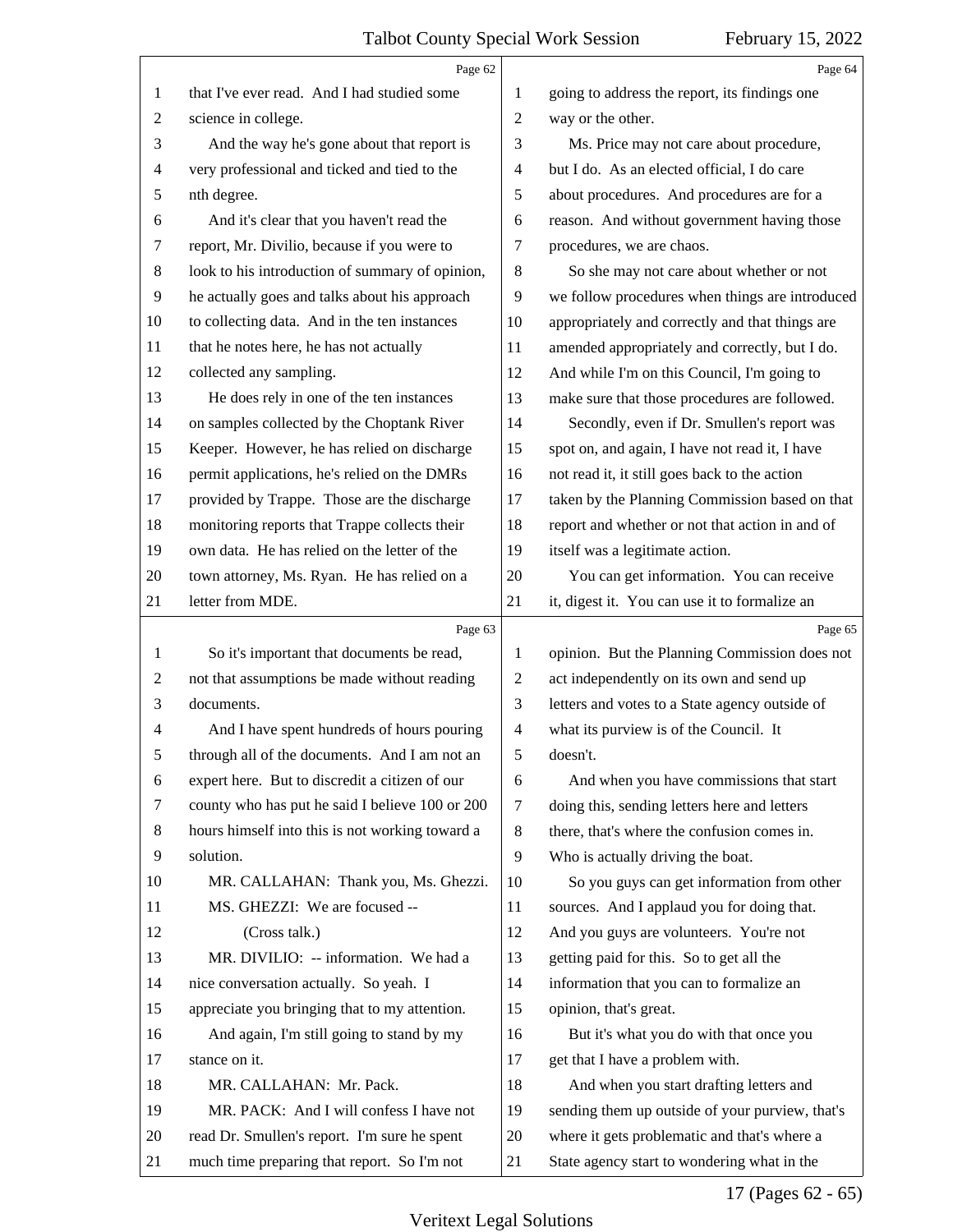<span id="page-16-0"></span>

|                | Page 62                                         |                | Page 64                                         |
|----------------|-------------------------------------------------|----------------|-------------------------------------------------|
| 1              | that I've ever read. And I had studied some     | 1              | going to address the report, its findings one   |
| 2              | science in college.                             | $\overline{2}$ | way or the other.                               |
| 3              | And the way he's gone about that report is      | 3              | Ms. Price may not care about procedure,         |
| 4              | very professional and ticked and tied to the    | $\overline{4}$ | but I do. As an elected official, I do care     |
| 5              | nth degree.                                     | 5              | about procedures. And procedures are for a      |
| 6              | And it's clear that you haven't read the        | 6              | reason. And without government having those     |
| 7              | report, Mr. Divilio, because if you were to     | 7              | procedures, we are chaos.                       |
| 8              | look to his introduction of summary of opinion, | 8              | So she may not care about whether or not        |
| $\overline{9}$ | he actually goes and talks about his approach   | 9              | we follow procedures when things are introduced |
| 10             | to collecting data. And in the ten instances    | 10             | appropriately and correctly and that things are |
| 11             | that he notes here, he has not actually         | 11             | amended appropriately and correctly, but I do.  |
| 12             | collected any sampling.                         | 12             | And while I'm on this Council, I'm going to     |
| 13             | He does rely in one of the ten instances        | 13             | make sure that those procedures are followed.   |
| 14             | on samples collected by the Choptank River      | 14             | Secondly, even if Dr. Smullen's report was      |
| 15             | Keeper. However, he has relied on discharge     | 15             | spot on, and again, I have not read it, I have  |
| 16             | permit applications, he's relied on the DMRs    | 16             | not read it, it still goes back to the action   |
| 17             | provided by Trappe. Those are the discharge     | 17             | taken by the Planning Commission based on that  |
| 18             | monitoring reports that Trappe collects their   | 18             | report and whether or not that action in and of |
| 19             | own data. He has relied on the letter of the    | 19             | itself was a legitimate action.                 |
| 20             | town attorney, Ms. Ryan. He has relied on a     | 20             | You can get information. You can receive        |
| 21             | letter from MDE.                                | 21             | it, digest it. You can use it to formalize an   |
|                |                                                 |                |                                                 |
|                | Page 63                                         |                | Page 65                                         |
| 1              | So it's important that documents be read,       | 1              | opinion. But the Planning Commission does not   |
| $\overline{c}$ | not that assumptions be made without reading    | $\mathbf{2}$   | act independently on its own and send up        |
| 3              | documents.                                      | 3              | letters and votes to a State agency outside of  |
| 4              | And I have spent hundreds of hours pouring      | $\overline{4}$ | what its purview is of the Council. It          |
| 5              | through all of the documents. And I am not an   | 5              | doesn't.                                        |
| 6              | expert here. But to discredit a citizen of our  | 6              | And when you have commissions that start        |
| 7              | county who has put he said I believe 100 or 200 | 7              | doing this, sending letters here and letters    |
| 8              | hours himself into this is not working toward a | 8              | there, that's where the confusion comes in.     |
| 9              | solution.                                       | 9              | Who is actually driving the boat.               |
| 10             | MR. CALLAHAN: Thank you, Ms. Ghezzi.            | 10             | So you guys can get information from other      |
| 11             | MS. GHEZZI: We are focused --                   | 11             | sources. And I applaud you for doing that.      |
| 12             | (Cross talk.)                                   | 12             | And you guys are volunteers. You're not         |
| 13             | MR. DIVILIO: -- information. We had a           | 13             | getting paid for this. So to get all the        |
| 14             | nice conversation actually. So yeah. I          | 14             | information that you can to formalize an        |
| 15             | appreciate you bringing that to my attention.   | 15             | opinion, that's great.                          |
| 16             | And again, I'm still going to stand by my       | 16             | But it's what you do with that once you         |
| 17             | stance on it.                                   | 17             | get that I have a problem with.                 |
| 18             | MR. CALLAHAN: Mr. Pack.                         | 18             | And when you start drafting letters and         |
| 19             | MR. PACK: And I will confess I have not         | 19             | sending them up outside of your purview, that's |
| 20             | read Dr. Smullen's report. I'm sure he spent    | 20             | where it gets problematic and that's where a    |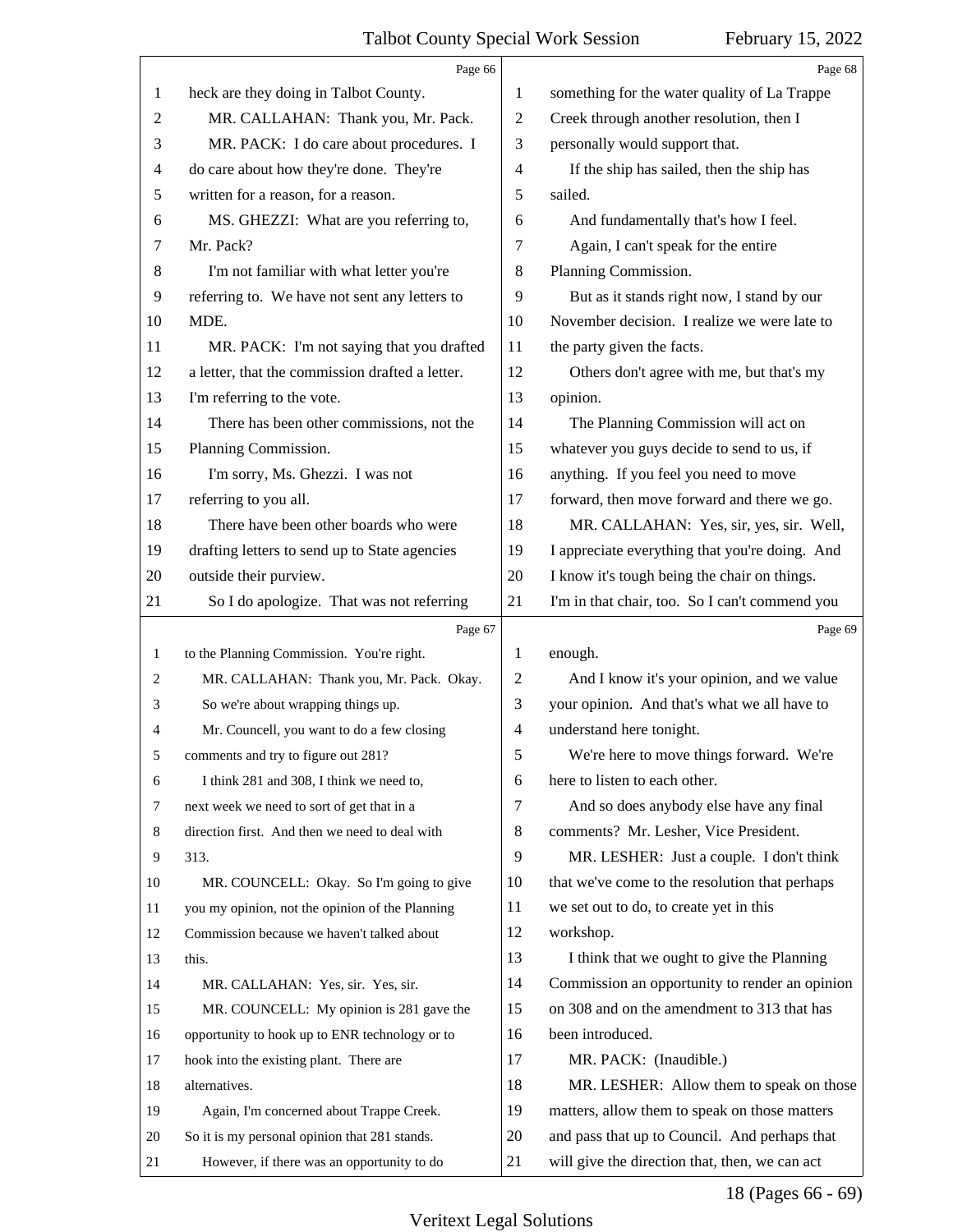<span id="page-17-0"></span>

|              | Page 66                                         |                          | Page 68                                        |
|--------------|-------------------------------------------------|--------------------------|------------------------------------------------|
| 1            | heck are they doing in Talbot County.           | 1                        | something for the water quality of La Trappe   |
| 2            | MR. CALLAHAN: Thank you, Mr. Pack.              | 2                        | Creek through another resolution, then I       |
| 3            | MR. PACK: I do care about procedures. I         | 3                        | personally would support that.                 |
| 4            | do care about how they're done. They're         | 4                        | If the ship has sailed, then the ship has      |
| 5            | written for a reason, for a reason.             | 5                        | sailed.                                        |
| 6            | MS. GHEZZI: What are you referring to,          | 6                        | And fundamentally that's how I feel.           |
| 7            | Mr. Pack?                                       | 7                        | Again, I can't speak for the entire            |
| 8            | I'm not familiar with what letter you're        | 8                        | Planning Commission.                           |
| 9            | referring to. We have not sent any letters to   | 9                        | But as it stands right now, I stand by our     |
| 10           | MDE.                                            | 10                       | November decision. I realize we were late to   |
| 11           | MR. PACK: I'm not saying that you drafted       | 11                       | the party given the facts.                     |
| 12           | a letter, that the commission drafted a letter. | 12                       | Others don't agree with me, but that's my      |
| 13           | I'm referring to the vote.                      | 13                       | opinion.                                       |
| 14           | There has been other commissions, not the       | 14                       | The Planning Commission will act on            |
| 15           | Planning Commission.                            | 15                       | whatever you guys decide to send to us, if     |
| 16           | I'm sorry, Ms. Ghezzi. I was not                | 16                       | anything. If you feel you need to move         |
| 17           | referring to you all.                           | 17                       | forward, then move forward and there we go.    |
| 18           | There have been other boards who were           | 18                       | MR. CALLAHAN: Yes, sir, yes, sir. Well,        |
| 19           | drafting letters to send up to State agencies   | 19                       | I appreciate everything that you're doing. And |
| 20           | outside their purview.                          | 20                       | I know it's tough being the chair on things.   |
| 21           | So I do apologize. That was not referring       | 21                       | I'm in that chair, too. So I can't commend you |
|              |                                                 |                          |                                                |
|              | Page 67                                         |                          | Page 69                                        |
| $\mathbf{1}$ | to the Planning Commission. You're right.       | 1                        | enough.                                        |
| 2            | MR. CALLAHAN: Thank you, Mr. Pack. Okay.        | 2                        | And I know it's your opinion, and we value     |
| 3            | So we're about wrapping things up.              | 3                        | your opinion. And that's what we all have to   |
| 4            | Mr. Councell, you want to do a few closing      | $\overline{\mathcal{A}}$ | understand here tonight.                       |
|              | comments and try to figure out 281?             | 5                        | We're here to move things forward. We're       |
| 6            | I think 281 and 308, I think we need to,        | 6                        | here to listen to each other.                  |
| 7            | next week we need to sort of get that in a      | 7                        | And so does anybody else have any final        |
| 8            | direction first. And then we need to deal with  | 8                        | comments? Mr. Lesher, Vice President.          |
| 9            | 313.                                            | 9                        | MR. LESHER: Just a couple. I don't think       |
| 10           | MR. COUNCELL: Okay. So I'm going to give        | 10                       | that we've come to the resolution that perhaps |
| 11           | you my opinion, not the opinion of the Planning | 11                       | we set out to do, to create yet in this        |
| 12           | Commission because we haven't talked about      | 12                       | workshop.                                      |
| 13           | this.                                           | 13                       | I think that we ought to give the Planning     |
| 14           | MR. CALLAHAN: Yes, sir. Yes, sir.               | 14                       | Commission an opportunity to render an opinion |
| 15           | MR. COUNCELL: My opinion is 281 gave the        | 15                       | on 308 and on the amendment to 313 that has    |
| 16           | opportunity to hook up to ENR technology or to  | 16                       | been introduced.                               |
| 17           | hook into the existing plant. There are         | 17                       | MR. PACK: (Inaudible.)                         |
| 18           | alternatives.                                   | 18                       | MR. LESHER: Allow them to speak on those       |
| 19           | Again, I'm concerned about Trappe Creek.        | 19                       | matters, allow them to speak on those matters  |
| 20           | So it is my personal opinion that 281 stands.   | 20                       | and pass that up to Council. And perhaps that  |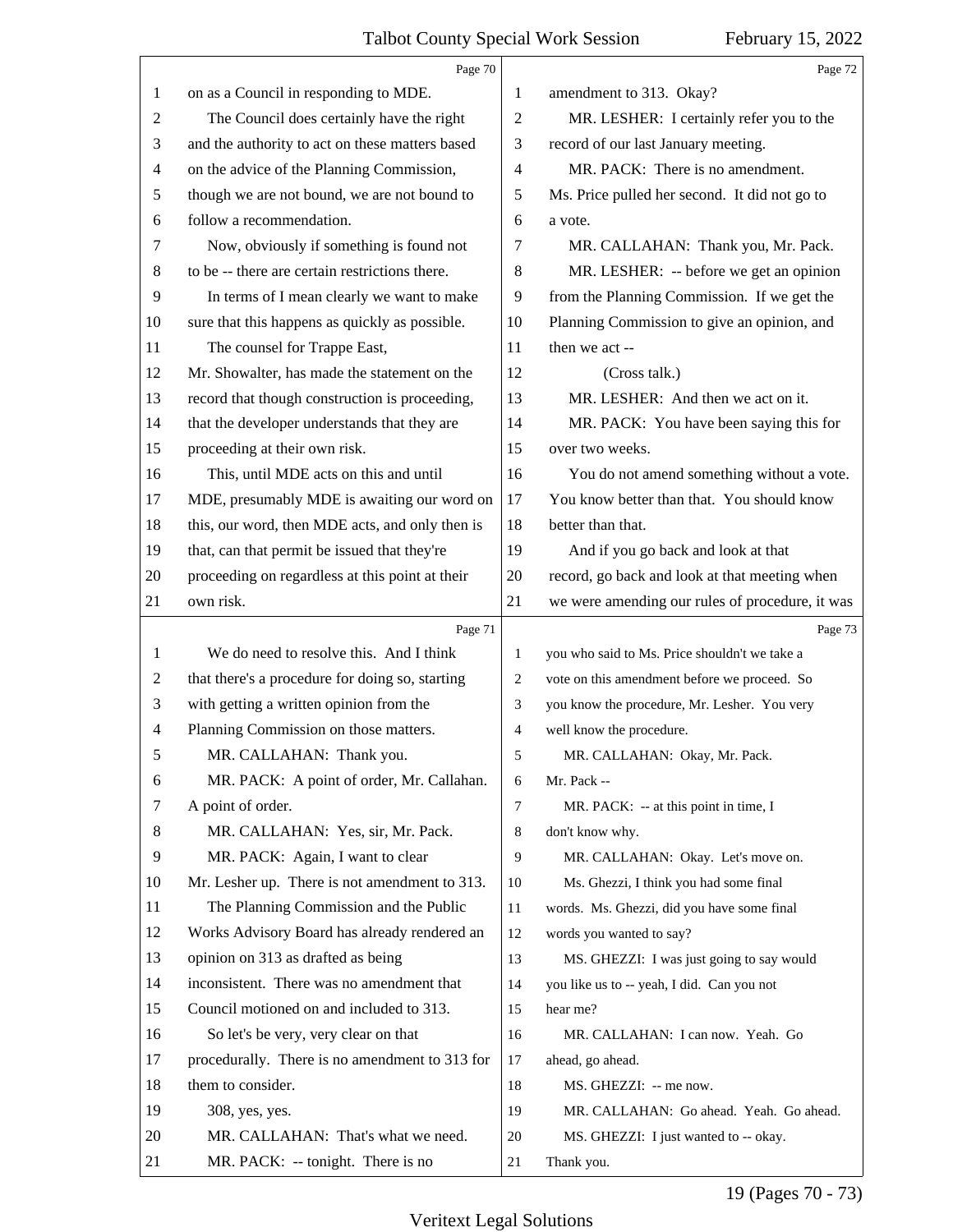<span id="page-18-0"></span>

|                | Page 70                                         |                | Page 72                                         |
|----------------|-------------------------------------------------|----------------|-------------------------------------------------|
| 1              | on as a Council in responding to MDE.           | 1              | amendment to 313. Okay?                         |
| $\overline{c}$ | The Council does certainly have the right       | $\mathbf{2}$   | MR. LESHER: I certainly refer you to the        |
| 3              | and the authority to act on these matters based | 3              | record of our last January meeting.             |
| 4              | on the advice of the Planning Commission,       | $\overline{4}$ | MR. PACK: There is no amendment.                |
| 5              | though we are not bound, we are not bound to    | 5              | Ms. Price pulled her second. It did not go to   |
| 6              | follow a recommendation.                        | 6              | a vote.                                         |
| 7              | Now, obviously if something is found not        | 7              | MR. CALLAHAN: Thank you, Mr. Pack.              |
| 8              | to be -- there are certain restrictions there.  | 8              | MR. LESHER: -- before we get an opinion         |
| $\overline{9}$ | In terms of I mean clearly we want to make      | 9              | from the Planning Commission. If we get the     |
| 10             | sure that this happens as quickly as possible.  | 10             | Planning Commission to give an opinion, and     |
| 11             | The counsel for Trappe East,                    | 11             | then we act --                                  |
| 12             | Mr. Showalter, has made the statement on the    | 12             | (Cross talk.)                                   |
| 13             | record that though construction is proceeding,  | 13             | MR. LESHER: And then we act on it.              |
| 14             | that the developer understands that they are    | 14             | MR. PACK: You have been saying this for         |
| 15             | proceeding at their own risk.                   | 15             | over two weeks.                                 |
| 16             | This, until MDE acts on this and until          | 16             | You do not amend something without a vote.      |
| 17             | MDE, presumably MDE is awaiting our word on     | 17             | You know better than that. You should know      |
| 18             | this, our word, then MDE acts, and only then is | 18             | better than that.                               |
| 19             | that, can that permit be issued that they're    | 19             | And if you go back and look at that             |
| 20             | proceeding on regardless at this point at their | 20             | record, go back and look at that meeting when   |
| 21             | own risk.                                       | 21             | we were amending our rules of procedure, it was |
|                | Page 71                                         |                | Page 73                                         |
| 1              | We do need to resolve this. And I think         | 1              | you who said to Ms. Price shouldn't we take a   |
| $\overline{c}$ | that there's a procedure for doing so, starting | $\overline{c}$ | vote on this amendment before we proceed. So    |
| 3              | with getting a written opinion from the         | 3              | you know the procedure, Mr. Lesher. You very    |
|                |                                                 |                |                                                 |
| 4              | Planning Commission on those matters.           | 4              | well know the procedure.                        |
| 5              | MR. CALLAHAN: Thank you.                        | 5              | MR. CALLAHAN: Okay, Mr. Pack.                   |
| 6              | MR. PACK: A point of order, Mr. Callahan.       | 6              | Mr. Pack --                                     |
| 7              | A point of order.                               | 7              | MR. PACK: -- at this point in time, I           |
| 8              | MR. CALLAHAN: Yes, sir, Mr. Pack.               | 8              | don't know why.                                 |
| 9              | MR. PACK: Again, I want to clear                | 9              | MR. CALLAHAN: Okay. Let's move on.              |
| 10             | Mr. Lesher up. There is not amendment to 313.   | 10             | Ms. Ghezzi, I think you had some final          |
| 11             | The Planning Commission and the Public          | 11             | words. Ms. Ghezzi, did you have some final      |
| 12             | Works Advisory Board has already rendered an    | 12             | words you wanted to say?                        |
| 13             | opinion on 313 as drafted as being              | 13             | MS. GHEZZI: I was just going to say would       |
| 14             | inconsistent. There was no amendment that       | 14             | you like us to -- yeah, I did. Can you not      |
| 15             | Council motioned on and included to 313.        | 15             | hear me?                                        |
| 16             | So let's be very, very clear on that            | 16             | MR. CALLAHAN: I can now. Yeah. Go               |
| 17             | procedurally. There is no amendment to 313 for  | 17             | ahead, go ahead.                                |
| 18             | them to consider.                               | 18             | MS. GHEZZI: -- me now.                          |
| 19             | 308, yes, yes.                                  | 19             | MR. CALLAHAN: Go ahead. Yeah. Go ahead.         |
| 20             | MR. CALLAHAN: That's what we need.              | 20             | MS. GHEZZI: I just wanted to -- okay.           |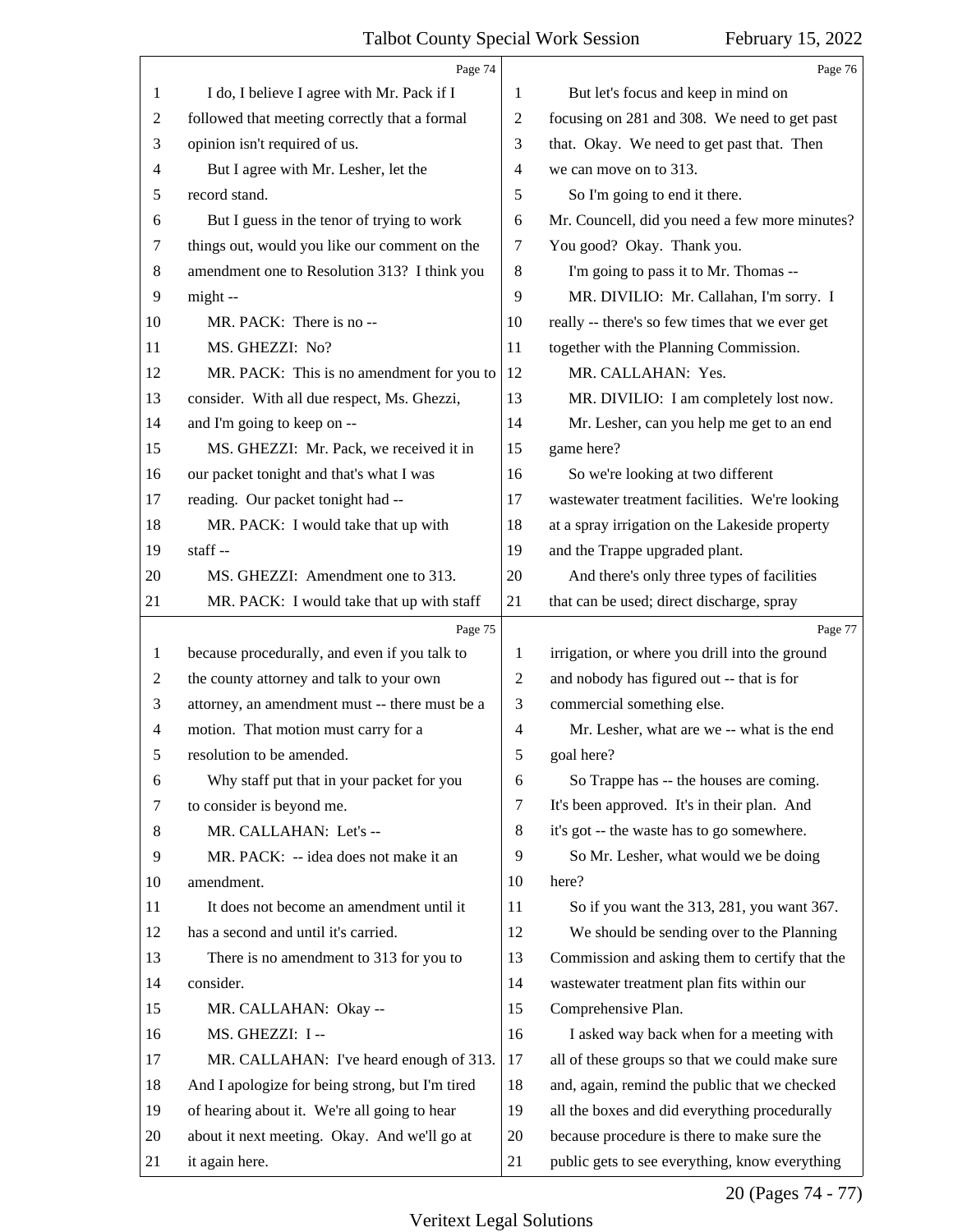<span id="page-19-0"></span>

|    | Page 74                                         |                | Page 76                                         |
|----|-------------------------------------------------|----------------|-------------------------------------------------|
| 1  | I do, I believe I agree with Mr. Pack if I      | 1              | But let's focus and keep in mind on             |
| 2  | followed that meeting correctly that a formal   | $\overline{c}$ | focusing on 281 and 308. We need to get past    |
| 3  | opinion isn't required of us.                   | 3              | that. Okay. We need to get past that. Then      |
| 4  | But I agree with Mr. Lesher, let the            | $\overline{4}$ | we can move on to 313.                          |
| 5  | record stand.                                   | 5              | So I'm going to end it there.                   |
| 6  | But I guess in the tenor of trying to work      | 6              | Mr. Councell, did you need a few more minutes?  |
| 7  | things out, would you like our comment on the   | 7              | You good? Okay. Thank you.                      |
| 8  | amendment one to Resolution 313? I think you    | 8              | I'm going to pass it to Mr. Thomas --           |
| 9  | might --                                        | 9              | MR. DIVILIO: Mr. Callahan, I'm sorry. I         |
| 10 | MR. PACK: There is no --                        | 10             | really -- there's so few times that we ever get |
| 11 | MS. GHEZZI: No?                                 | 11             | together with the Planning Commission.          |
| 12 | MR. PACK: This is no amendment for you to       | 12             | MR. CALLAHAN: Yes.                              |
| 13 | consider. With all due respect, Ms. Ghezzi,     | 13             | MR. DIVILIO: I am completely lost now.          |
| 14 | and I'm going to keep on --                     | 14             | Mr. Lesher, can you help me get to an end       |
| 15 | MS. GHEZZI: Mr. Pack, we received it in         | 15             | game here?                                      |
| 16 | our packet tonight and that's what I was        | 16             | So we're looking at two different               |
| 17 | reading. Our packet tonight had --              | 17             | wastewater treatment facilities. We're looking  |
| 18 | MR. PACK: I would take that up with             | 18             | at a spray irrigation on the Lakeside property  |
| 19 | staff-                                          | 19             | and the Trappe upgraded plant.                  |
| 20 | MS. GHEZZI: Amendment one to 313.               | 20             | And there's only three types of facilities      |
| 21 | MR. PACK: I would take that up with staff       | 21             | that can be used; direct discharge, spray       |
|    |                                                 |                |                                                 |
|    | Page 75                                         |                | Page 77                                         |
| 1  | because procedurally, and even if you talk to   | 1              | irrigation, or where you drill into the ground  |
| 2  | the county attorney and talk to your own        | $\overline{2}$ | and nobody has figured out -- that is for       |
| 3  | attorney, an amendment must -- there must be a  | 3              | commercial something else.                      |
| 4  | motion. That motion must carry for a            | $\overline{4}$ | Mr. Lesher, what are we -- what is the end      |
| 5  | resolution to be amended.                       | 5              | goal here?                                      |
| 6  | Why staff put that in your packet for you       | 6              | So Trappe has -- the houses are coming.         |
| 7  | to consider is beyond me.                       | $\tau$         | It's been approved. It's in their plan. And     |
| 8  | MR. CALLAHAN: Let's --                          | $\,8\,$        | it's got -- the waste has to go somewhere.      |
| 9  | MR. PACK: -- idea does not make it an           | 9              | So Mr. Lesher, what would we be doing           |
| 10 | amendment.                                      | 10             | here?                                           |
| 11 | It does not become an amendment until it        | 11             | So if you want the 313, 281, you want 367.      |
| 12 | has a second and until it's carried.            | 12             | We should be sending over to the Planning       |
| 13 | There is no amendment to 313 for you to         | 13             | Commission and asking them to certify that the  |
| 14 | consider.                                       | 14             | wastewater treatment plan fits within our       |
| 15 | MR. CALLAHAN: Okay --                           | 15             | Comprehensive Plan.                             |
| 16 | MS. GHEZZI: I --                                | 16             | I asked way back when for a meeting with        |
| 17 | MR. CALLAHAN: I've heard enough of 313.         | 17             | all of these groups so that we could make sure  |
| 18 | And I apologize for being strong, but I'm tired | 18             | and, again, remind the public that we checked   |
| 19 | of hearing about it. We're all going to hear    | 19             | all the boxes and did everything procedurally   |
| 20 | about it next meeting. Okay. And we'll go at    | 20             | because procedure is there to make sure the     |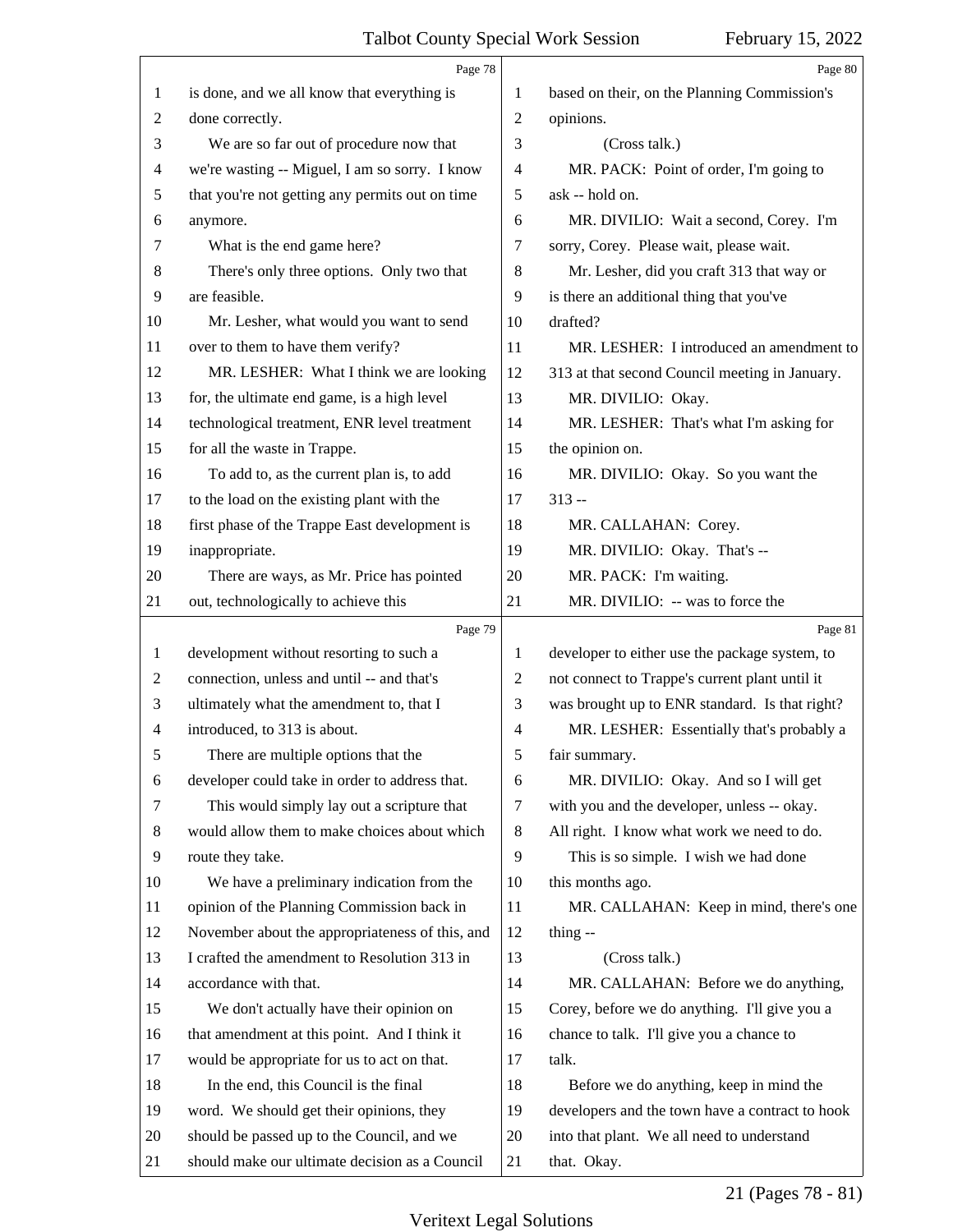<span id="page-20-0"></span>

|                | Page 78                                         |                | Page 80                                         |
|----------------|-------------------------------------------------|----------------|-------------------------------------------------|
| $\mathbf{1}$   | is done, and we all know that everything is     | 1              | based on their, on the Planning Commission's    |
| 2              | done correctly.                                 | 2              | opinions.                                       |
| 3              | We are so far out of procedure now that         | 3              | (Cross talk.)                                   |
| $\overline{4}$ | we're wasting -- Miguel, I am so sorry. I know  | 4              | MR. PACK: Point of order, I'm going to          |
| 5              | that you're not getting any permits out on time | 5              | ask -- hold on.                                 |
| 6              | anymore.                                        | 6              | MR. DIVILIO: Wait a second, Corey. I'm          |
| 7              | What is the end game here?                      | 7              | sorry, Corey. Please wait, please wait.         |
| 8              | There's only three options. Only two that       | 8              | Mr. Lesher, did you craft 313 that way or       |
| 9              | are feasible.                                   | 9              | is there an additional thing that you've        |
| 10             | Mr. Lesher, what would you want to send         | 10             | drafted?                                        |
| 11             | over to them to have them verify?               | 11             | MR. LESHER: I introduced an amendment to        |
| 12             | MR. LESHER: What I think we are looking         | 12             | 313 at that second Council meeting in January.  |
| 13             | for, the ultimate end game, is a high level     | 13             | MR. DIVILIO: Okay.                              |
| 14             | technological treatment, ENR level treatment    | 14             | MR. LESHER: That's what I'm asking for          |
| 15             | for all the waste in Trappe.                    | 15             | the opinion on.                                 |
| 16             | To add to, as the current plan is, to add       | 16             | MR. DIVILIO: Okay. So you want the              |
| 17             | to the load on the existing plant with the      | 17             | $313 -$                                         |
| 18             | first phase of the Trappe East development is   | 18             | MR. CALLAHAN: Corey.                            |
| 19             | inappropriate.                                  | 19             | MR. DIVILIO: Okay. That's --                    |
| 20             | There are ways, as Mr. Price has pointed        | 20             | MR. PACK: I'm waiting.                          |
| 21             | out, technologically to achieve this            | 21             | MR. DIVILIO: -- was to force the                |
|                | Page 79                                         |                | Page 81                                         |
| $\mathbf{1}$   | development without resorting to such a         | $\mathbf{1}$   | developer to either use the package system, to  |
| 2              | connection, unless and until -- and that's      | $\overline{c}$ | not connect to Trappe's current plant until it  |
| 3              | ultimately what the amendment to, that I        | 3              | was brought up to ENR standard. Is that right?  |
| 4              | introduced, to 313 is about.                    | 4              | MR. LESHER: Essentially that's probably a       |
| 5              | There are multiple options that the             | 5              | fair summary.                                   |
| 6              | developer could take in order to address that.  | 6              | MR. DIVILIO: Okay. And so I will get            |
| 7              | This would simply lay out a scripture that      | $\tau$         | with you and the developer, unless -- okay.     |
| 8              | would allow them to make choices about which    | $\,8\,$        | All right. I know what work we need to do.      |
| 9              | route they take.                                | 9              | This is so simple. I wish we had done           |
| 10             | We have a preliminary indication from the       | 10             | this months ago.                                |
| 11             | opinion of the Planning Commission back in      | 11             | MR. CALLAHAN: Keep in mind, there's one         |
| 12             | November about the appropriateness of this, and | 12             | thing $-$                                       |
| 13             | I crafted the amendment to Resolution 313 in    | 13             | (Cross talk.)                                   |
| 14             | accordance with that.                           | 14             | MR. CALLAHAN: Before we do anything,            |
| 15             | We don't actually have their opinion on         | 15             | Corey, before we do anything. I'll give you a   |
| 16             | that amendment at this point. And I think it    | 16             | chance to talk. I'll give you a chance to       |
| 17             | would be appropriate for us to act on that.     | 17             | talk.                                           |
| 18             | In the end, this Council is the final           | 18             | Before we do anything, keep in mind the         |
| 19             | word. We should get their opinions, they        | 19             | developers and the town have a contract to hook |
| 20             |                                                 |                |                                                 |
|                | should be passed up to the Council, and we      | 20             | into that plant. We all need to understand      |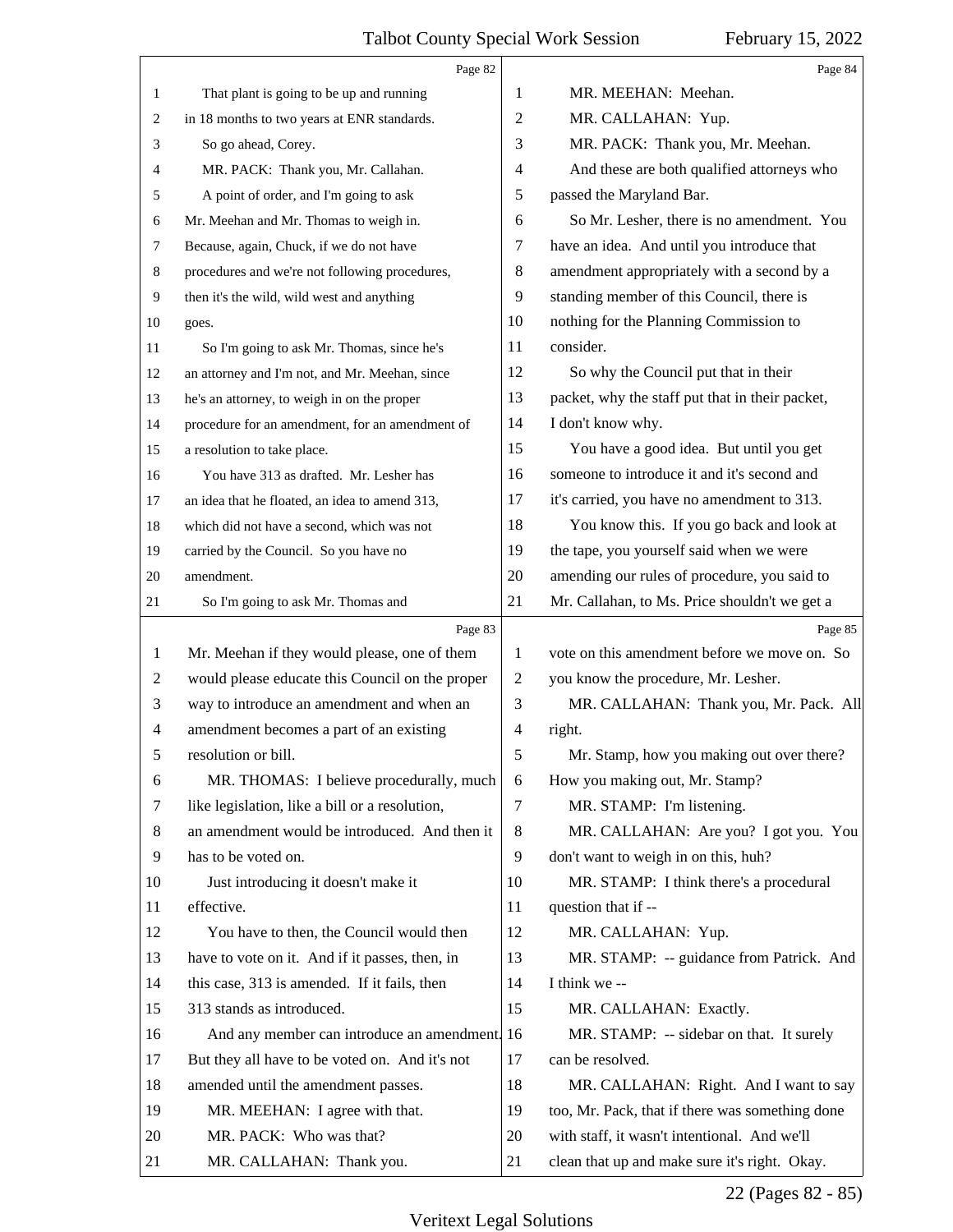<span id="page-21-0"></span>

|              | Page 82                                         |                | Page 84                                         |
|--------------|-------------------------------------------------|----------------|-------------------------------------------------|
| $\mathbf{1}$ | That plant is going to be up and running        | 1              | MR. MEEHAN: Meehan.                             |
| 2            | in 18 months to two years at ENR standards.     | $\overline{2}$ | MR. CALLAHAN: Yup.                              |
| 3            | So go ahead, Corey.                             | 3              | MR. PACK: Thank you, Mr. Meehan.                |
| 4            | MR. PACK: Thank you, Mr. Callahan.              | 4              | And these are both qualified attorneys who      |
| 5            | A point of order, and I'm going to ask          | 5              | passed the Maryland Bar.                        |
| 6            | Mr. Meehan and Mr. Thomas to weigh in.          | 6              | So Mr. Lesher, there is no amendment. You       |
| 7            | Because, again, Chuck, if we do not have        | 7              | have an idea. And until you introduce that      |
| 8            | procedures and we're not following procedures,  | 8              | amendment appropriately with a second by a      |
| 9            | then it's the wild, wild west and anything      | 9              | standing member of this Council, there is       |
| 10           | goes.                                           | 10             | nothing for the Planning Commission to          |
| 11           | So I'm going to ask Mr. Thomas, since he's      | 11             | consider.                                       |
| 12           | an attorney and I'm not, and Mr. Meehan, since  | 12             | So why the Council put that in their            |
| 13           | he's an attorney, to weigh in on the proper     | 13             | packet, why the staff put that in their packet, |
| 14           | procedure for an amendment, for an amendment of | 14             | I don't know why.                               |
| 15           | a resolution to take place.                     | 15             | You have a good idea. But until you get         |
| 16           | You have 313 as drafted. Mr. Lesher has         | 16             | someone to introduce it and it's second and     |
| 17           | an idea that he floated, an idea to amend 313,  | 17             | it's carried, you have no amendment to 313.     |
| 18           | which did not have a second, which was not      | 18             | You know this. If you go back and look at       |
| 19           | carried by the Council. So you have no          | 19             | the tape, you yourself said when we were        |
| 20           | amendment.                                      | 20             | amending our rules of procedure, you said to    |
| 21           | So I'm going to ask Mr. Thomas and              | 21             | Mr. Callahan, to Ms. Price shouldn't we get a   |
|              |                                                 |                |                                                 |
|              | Page 83                                         |                | Page 85                                         |
| 1            | Mr. Meehan if they would please, one of them    | 1              | vote on this amendment before we move on. So    |
| 2            | would please educate this Council on the proper | $\overline{2}$ | you know the procedure, Mr. Lesher.             |
| 3            | way to introduce an amendment and when an       | 3              | MR. CALLAHAN: Thank you, Mr. Pack. All          |
| 4            | amendment becomes a part of an existing         | 4              | right.                                          |
| 5            | resolution or bill.                             | 5              | Mr. Stamp, how you making out over there?       |
| 6            | MR. THOMAS: I believe procedurally, much        | 6              | How you making out, Mr. Stamp?                  |
| 7            | like legislation, like a bill or a resolution,  | 7              | MR. STAMP: I'm listening.                       |
| 8            | an amendment would be introduced. And then it   | 8              | MR. CALLAHAN: Are you? I got you. You           |
| 9            | has to be voted on.                             | 9              | don't want to weigh in on this, huh?            |
| 10           | Just introducing it doesn't make it             | 10             | MR. STAMP: I think there's a procedural         |
| 11           | effective.                                      | 11             | question that if --                             |
| 12           | You have to then, the Council would then        | 12             | MR. CALLAHAN: Yup.                              |
| 13           | have to vote on it. And if it passes, then, in  | 13             | MR. STAMP: -- guidance from Patrick. And        |
| 14           | this case, 313 is amended. If it fails, then    | 14             | I think we --                                   |
| 15           | 313 stands as introduced.                       | 15             | MR. CALLAHAN: Exactly.                          |
| 16           | And any member can introduce an amendment. 16   |                | MR. STAMP: -- sidebar on that. It surely        |
| 17           | But they all have to be voted on. And it's not  | 17             | can be resolved.                                |
| 18           | amended until the amendment passes.             | 18             | MR. CALLAHAN: Right. And I want to say          |
| 19           | MR. MEEHAN: I agree with that.                  | 19             | too, Mr. Pack, that if there was something done |
| 20           | MR. PACK: Who was that?                         | 20             | with staff, it wasn't intentional. And we'll    |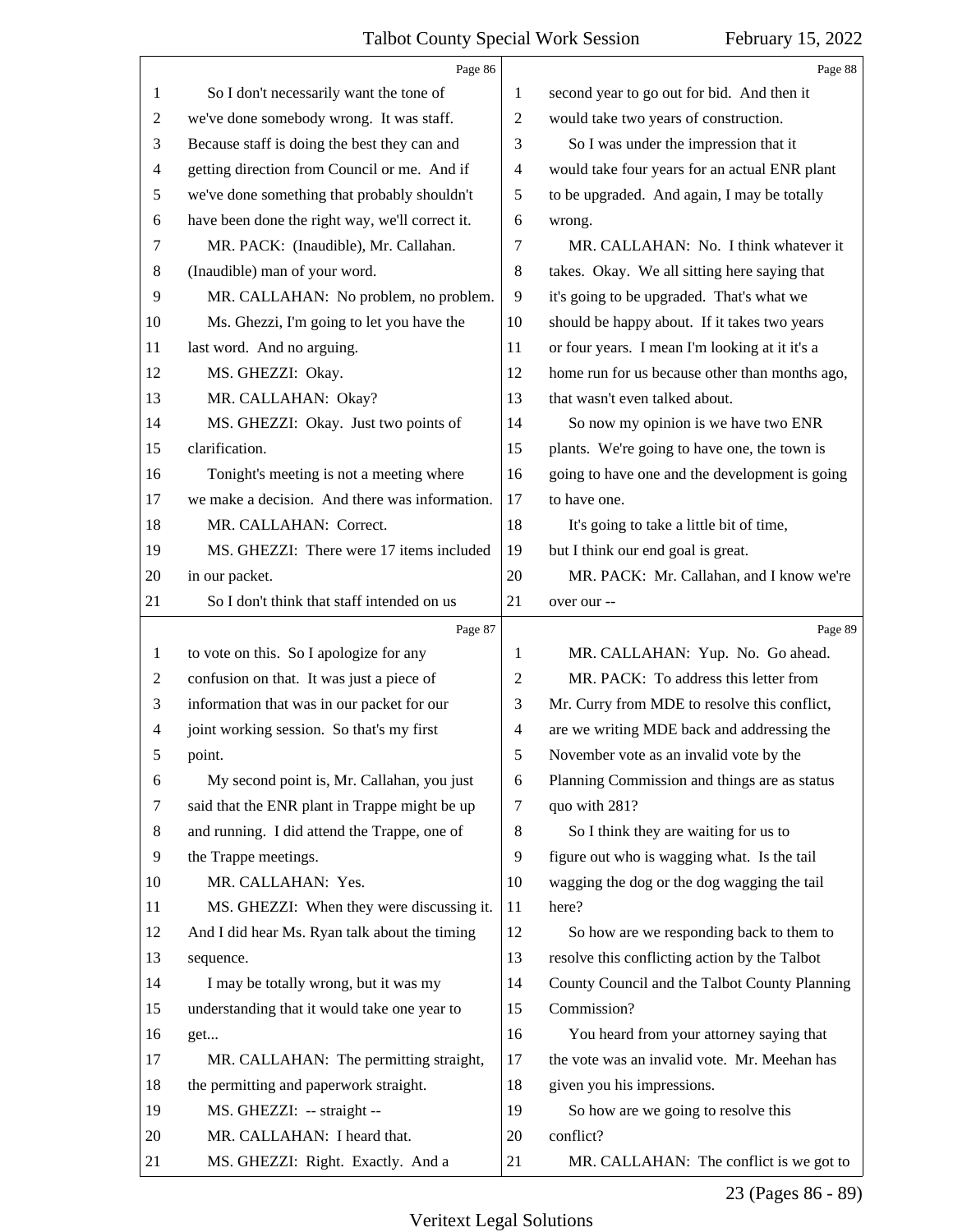<span id="page-22-0"></span>

|                | Page 86                                         |                | Page 88                                        |
|----------------|-------------------------------------------------|----------------|------------------------------------------------|
| 1              | So I don't necessarily want the tone of         | 1              | second year to go out for bid. And then it     |
| $\overline{c}$ | we've done somebody wrong. It was staff.        | 2              | would take two years of construction.          |
| 3              | Because staff is doing the best they can and    | 3              | So I was under the impression that it          |
| 4              | getting direction from Council or me. And if    | 4              | would take four years for an actual ENR plant  |
| 5              | we've done something that probably shouldn't    | 5              | to be upgraded. And again, I may be totally    |
| 6              | have been done the right way, we'll correct it. | 6              | wrong.                                         |
| 7              | MR. PACK: (Inaudible), Mr. Callahan.            | 7              | MR. CALLAHAN: No. I think whatever it          |
| 8              | (Inaudible) man of your word.                   | 8              | takes. Okay. We all sitting here saying that   |
| 9              | MR. CALLAHAN: No problem, no problem.           | 9              | it's going to be upgraded. That's what we      |
| 10             | Ms. Ghezzi, I'm going to let you have the       | 10             | should be happy about. If it takes two years   |
| 11             | last word. And no arguing.                      | 11             | or four years. I mean I'm looking at it it's a |
| 12             | MS. GHEZZI: Okay.                               | 12             | home run for us because other than months ago, |
| 13             | MR. CALLAHAN: Okay?                             | 13             | that wasn't even talked about.                 |
| 14             | MS. GHEZZI: Okay. Just two points of            | 14             | So now my opinion is we have two ENR           |
| 15             | clarification.                                  | 15             | plants. We're going to have one, the town is   |
| 16             | Tonight's meeting is not a meeting where        | 16             | going to have one and the development is going |
| 17             | we make a decision. And there was information.  | 17             | to have one.                                   |
| 18             | MR. CALLAHAN: Correct.                          | 18             | It's going to take a little bit of time,       |
| 19             | MS. GHEZZI: There were 17 items included        | 19             | but I think our end goal is great.             |
| 20             | in our packet.                                  | 20             | MR. PACK: Mr. Callahan, and I know we're       |
| 21             | So I don't think that staff intended on us      | 21             | over our --                                    |
|                |                                                 |                |                                                |
|                | Page 87                                         |                | Page 89                                        |
| $\mathbf{1}$   | to vote on this. So I apologize for any         | 1              | MR. CALLAHAN: Yup. No. Go ahead.               |
| $\overline{c}$ | confusion on that. It was just a piece of       | 2              | MR. PACK: To address this letter from          |
| 3              | information that was in our packet for our      | 3              | Mr. Curry from MDE to resolve this conflict,   |
| 4              | joint working session. So that's my first       | $\overline{4}$ | are we writing MDE back and addressing the     |
| 5              | point.                                          | 5              | November vote as an invalid vote by the        |
| 6              | My second point is, Mr. Callahan, you just      | 6              | Planning Commission and things are as status   |
| 7              | said that the ENR plant in Trappe might be up   | 7              | quo with 281?                                  |
| 8              | and running. I did attend the Trappe, one of    | 8              | So I think they are waiting for us to          |
| 9              | the Trappe meetings.                            | 9              | figure out who is wagging what. Is the tail    |
| 10             | MR. CALLAHAN: Yes.                              | 10             | wagging the dog or the dog wagging the tail    |
| 11             | MS. GHEZZI: When they were discussing it.       | 11             | here?                                          |
| 12             | And I did hear Ms. Ryan talk about the timing   | 12             | So how are we responding back to them to       |
| 13             | sequence.                                       | 13             | resolve this conflicting action by the Talbot  |
| 14             | I may be totally wrong, but it was my           | 14             | County Council and the Talbot County Planning  |
| 15             | understanding that it would take one year to    | 15             | Commission?                                    |
| 16             | get                                             | 16             | You heard from your attorney saying that       |
| 17             | MR. CALLAHAN: The permitting straight,          | 17             | the vote was an invalid vote. Mr. Meehan has   |
| 18             | the permitting and paperwork straight.          | 18             | given you his impressions.                     |
| 19             | MS. GHEZZI: -- straight --                      | 19             | So how are we going to resolve this            |
| 20             | MR. CALLAHAN: I heard that.                     | 20             | conflict?                                      |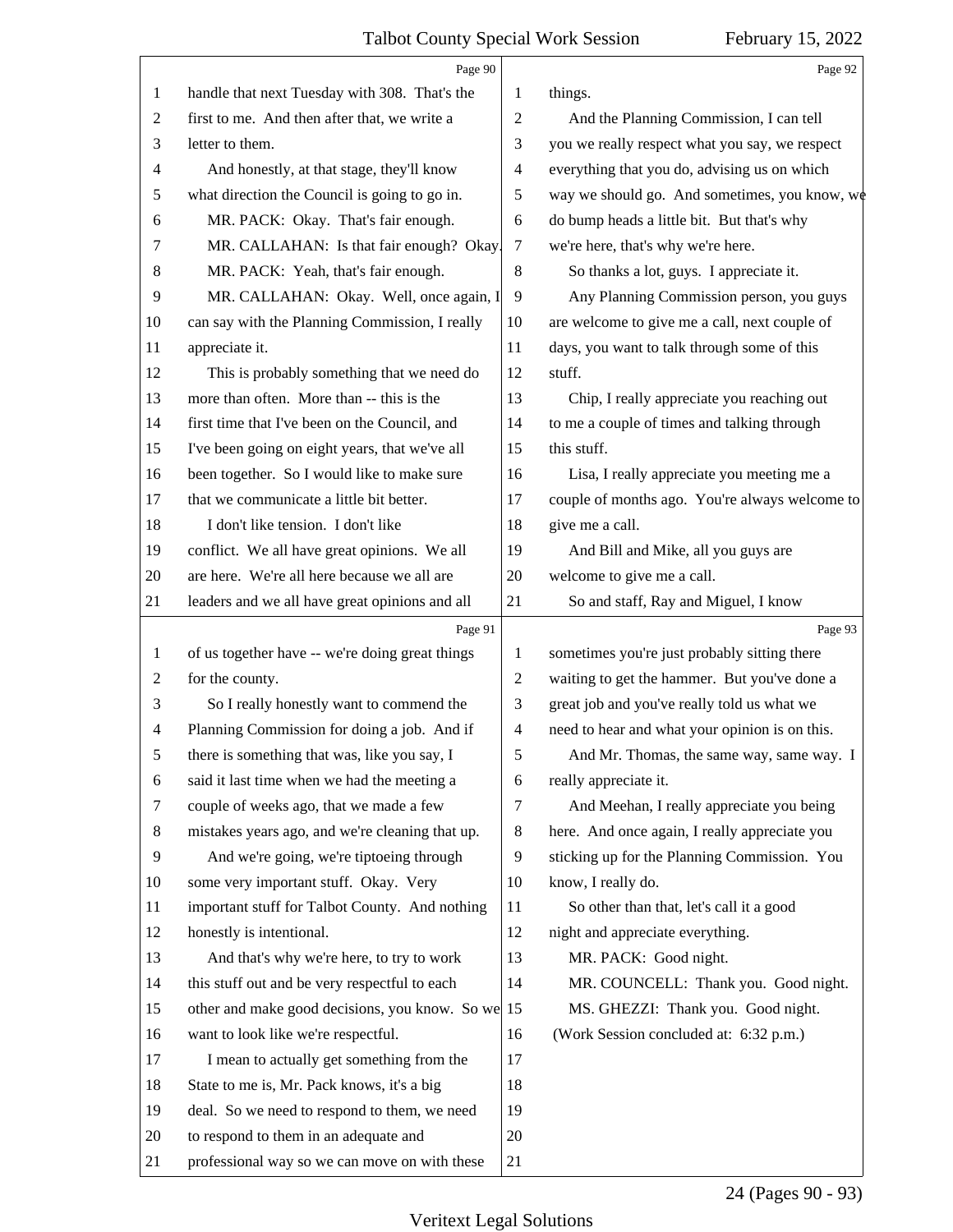<span id="page-23-0"></span>

|    | Page 90                                           |                | Page 92                                        |
|----|---------------------------------------------------|----------------|------------------------------------------------|
| 1  | handle that next Tuesday with 308. That's the     | 1              | things.                                        |
| 2  | first to me. And then after that, we write a      | $\overline{2}$ | And the Planning Commission, I can tell        |
| 3  | letter to them.                                   | 3              | you we really respect what you say, we respect |
| 4  | And honestly, at that stage, they'll know         | $\overline{4}$ | everything that you do, advising us on which   |
| 5  | what direction the Council is going to go in.     | 5              | way we should go. And sometimes, you know, we  |
| 6  | MR. PACK: Okay. That's fair enough.               | 6              | do bump heads a little bit. But that's why     |
| 7  | MR. CALLAHAN: Is that fair enough? Okay.          | 7              | we're here, that's why we're here.             |
| 8  | MR. PACK: Yeah, that's fair enough.               | $\,8\,$        | So thanks a lot, guys. I appreciate it.        |
| 9  | MR. CALLAHAN: Okay. Well, once again, I           | 9              | Any Planning Commission person, you guys       |
| 10 | can say with the Planning Commission, I really    | 10             | are welcome to give me a call, next couple of  |
| 11 | appreciate it.                                    | 11             | days, you want to talk through some of this    |
| 12 | This is probably something that we need do        | 12             | stuff.                                         |
| 13 | more than often. More than -- this is the         | 13             | Chip, I really appreciate you reaching out     |
| 14 | first time that I've been on the Council, and     | 14             | to me a couple of times and talking through    |
| 15 | I've been going on eight years, that we've all    | 15             | this stuff.                                    |
| 16 | been together. So I would like to make sure       | 16             | Lisa, I really appreciate you meeting me a     |
| 17 | that we communicate a little bit better.          | 17             | couple of months ago. You're always welcome to |
| 18 | I don't like tension. I don't like                | 18             | give me a call.                                |
| 19 | conflict. We all have great opinions. We all      | 19             | And Bill and Mike, all you guys are            |
| 20 | are here. We're all here because we all are       | 20             | welcome to give me a call.                     |
| 21 | leaders and we all have great opinions and all    | 21             | So and staff, Ray and Miguel, I know           |
|    | Page 91                                           |                | Page 93                                        |
| 1  | of us together have -- we're doing great things   | 1              | sometimes you're just probably sitting there   |
| 2  | for the county.                                   | $\overline{2}$ | waiting to get the hammer. But you've done a   |
| 3  | So I really honestly want to commend the          | 3              | great job and you've really told us what we    |
| 4  | Planning Commission for doing a job. And if       | 4              |                                                |
|    |                                                   |                | need to hear and what your opinion is on this. |
| 5  | there is something that was, like you say, I      | 5              | And Mr. Thomas, the same way, same way. I      |
| 6  | said it last time when we had the meeting a       | 6              | really appreciate it.                          |
| 7  | couple of weeks ago, that we made a few           | 7              | And Meehan, I really appreciate you being      |
| 8  | mistakes years ago, and we're cleaning that up.   | 8              | here. And once again, I really appreciate you  |
| 9  | And we're going, we're tiptoeing through          | 9              | sticking up for the Planning Commission. You   |
| 10 | some very important stuff. Okay. Very             | 10             | know, I really do.                             |
| 11 | important stuff for Talbot County. And nothing    | 11             | So other than that, let's call it a good       |
| 12 | honestly is intentional.                          | 12             | night and appreciate everything.               |
| 13 | And that's why we're here, to try to work         | 13             | MR. PACK: Good night.                          |
| 14 | this stuff out and be very respectful to each     | 14             | MR. COUNCELL: Thank you. Good night.           |
| 15 | other and make good decisions, you know. So we 15 |                | MS. GHEZZI: Thank you. Good night.             |
| 16 | want to look like we're respectful.               | 16             | (Work Session concluded at: 6:32 p.m.)         |
| 17 | I mean to actually get something from the         | 17             |                                                |
| 18 | State to me is, Mr. Pack knows, it's a big        | 18             |                                                |
| 19 | deal. So we need to respond to them, we need      | 19             |                                                |
| 20 | to respond to them in an adequate and             | 20             |                                                |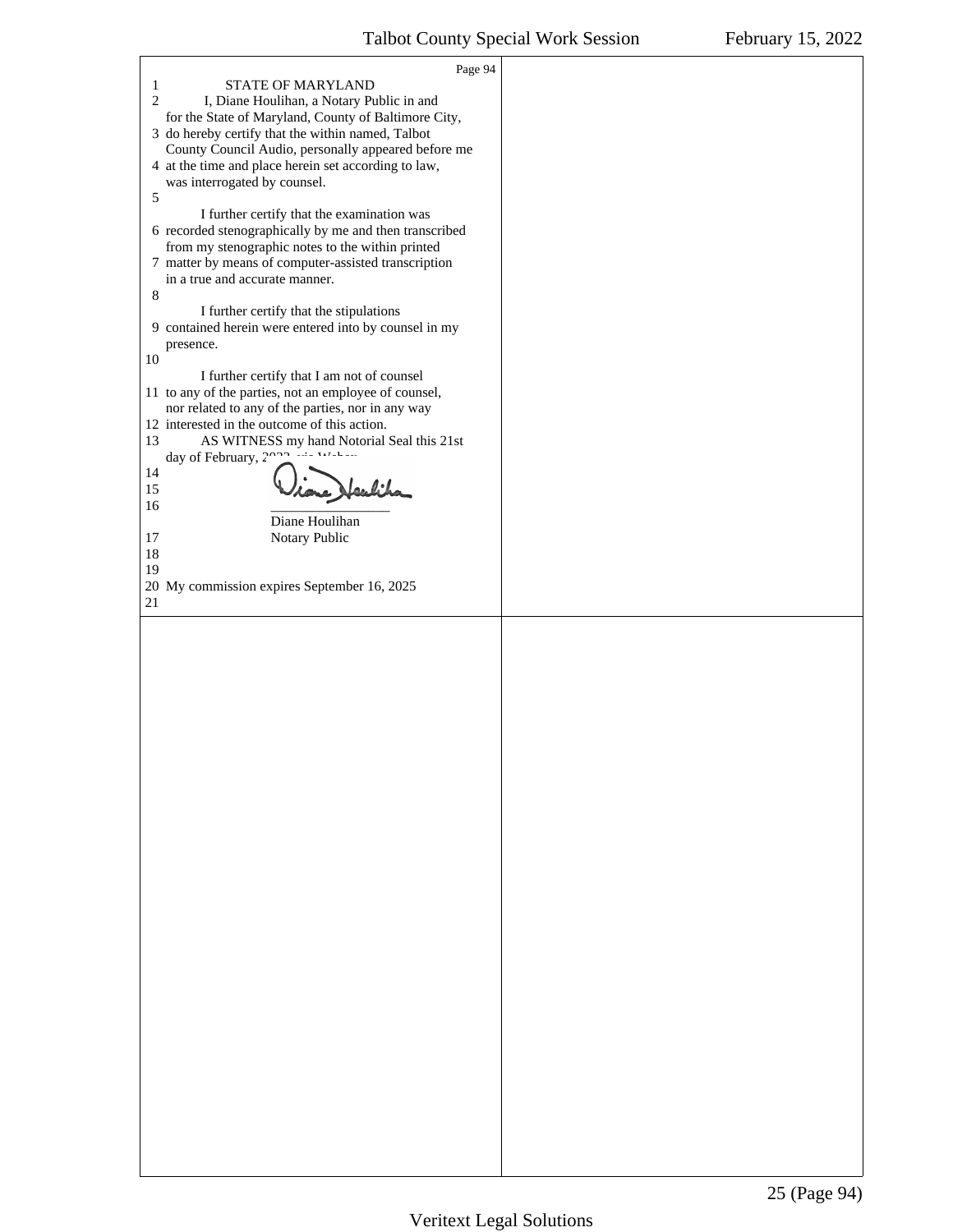<span id="page-24-0"></span>

| Page 94                                                                                             |  |
|-----------------------------------------------------------------------------------------------------|--|
| $\mathbf{1}$<br>STATE OF MARYLAND                                                                   |  |
| $\overline{2}$<br>I, Diane Houlihan, a Notary Public in and                                         |  |
| for the State of Maryland, County of Baltimore City,                                                |  |
| 3 do hereby certify that the within named, Talbot                                                   |  |
| County Council Audio, personally appeared before me                                                 |  |
| 4 at the time and place herein set according to law,                                                |  |
| was interrogated by counsel.<br>5                                                                   |  |
| I further certify that the examination was                                                          |  |
| 6 recorded stenographically by me and then transcribed                                              |  |
| from my stenographic notes to the within printed                                                    |  |
| 7 matter by means of computer-assisted transcription                                                |  |
| in a true and accurate manner.                                                                      |  |
| 8                                                                                                   |  |
| I further certify that the stipulations                                                             |  |
| 9 contained herein were entered into by counsel in my                                               |  |
| presence.                                                                                           |  |
| 10                                                                                                  |  |
| I further certify that I am not of counsel<br>11 to any of the parties, not an employee of counsel, |  |
| nor related to any of the parties, nor in any way                                                   |  |
| 12 interested in the outcome of this action.                                                        |  |
| AS WITNESS my hand Notorial Seal this 21st<br>13                                                    |  |
| day of February, 2000 in Wahan                                                                      |  |
| 14                                                                                                  |  |
| aubiha<br>15                                                                                        |  |
| 16                                                                                                  |  |
| Diane Houlihan<br>17<br>Notary Public                                                               |  |
| 18                                                                                                  |  |
| 19                                                                                                  |  |
| 20 My commission expires September 16, 2025                                                         |  |
| $21\,$                                                                                              |  |
|                                                                                                     |  |
|                                                                                                     |  |
|                                                                                                     |  |
|                                                                                                     |  |
|                                                                                                     |  |
|                                                                                                     |  |
|                                                                                                     |  |
|                                                                                                     |  |
|                                                                                                     |  |
|                                                                                                     |  |
|                                                                                                     |  |
|                                                                                                     |  |
|                                                                                                     |  |
|                                                                                                     |  |
|                                                                                                     |  |
|                                                                                                     |  |
|                                                                                                     |  |
|                                                                                                     |  |
|                                                                                                     |  |
|                                                                                                     |  |
|                                                                                                     |  |
|                                                                                                     |  |
|                                                                                                     |  |
|                                                                                                     |  |
|                                                                                                     |  |
|                                                                                                     |  |
|                                                                                                     |  |
|                                                                                                     |  |
|                                                                                                     |  |
|                                                                                                     |  |
|                                                                                                     |  |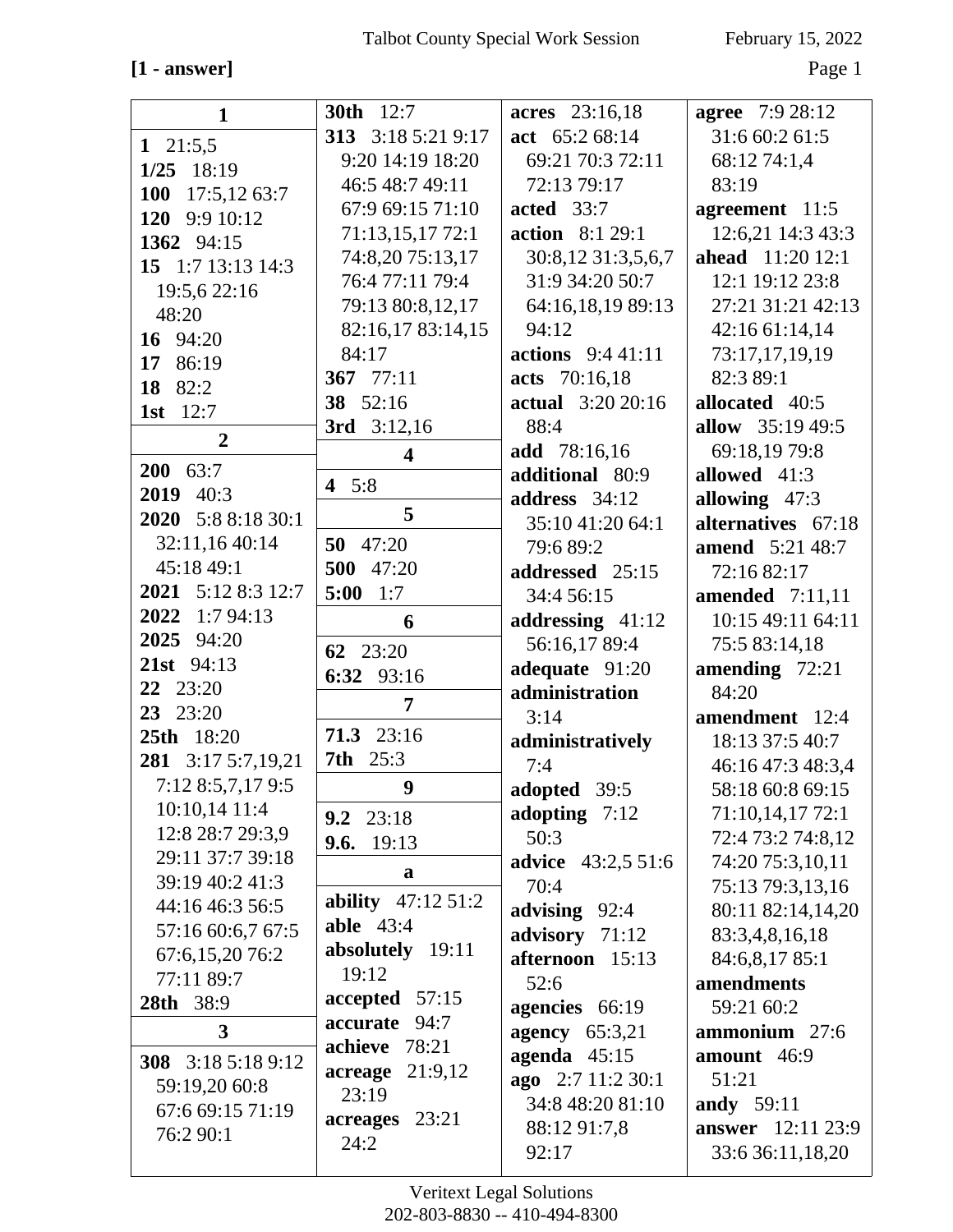# $[1 - answer]$

February 15, 2022

Page  $1\,$ 

| <b>30th</b> 12:7<br><b>agree</b> 7:9 28:12<br>acres 23:16,18<br>$\mathbf{1}$<br>31:6 60:2 61:5<br>313 3:18 5:21 9:17<br>act $65:268:14$<br>1 $21:5,5$<br>9:20 14:19 18:20<br>69:21 70:3 72:11<br>68:12 74:1,4<br>$1/25$ 18:19<br>83:19<br>46:5 48:7 49:11<br>72:13 79:17<br><b>100</b><br>17:5,1263:7<br>67:9 69:15 71:10<br>acted $33:7$<br>agreement 11:5<br>120 9:9 10:12<br>12:6,21 14:3 43:3<br>71:13,15,17 72:1<br><b>action</b> 8:1 29:1<br>1362 94:15<br>74:8,20 75:13,17<br>30:8,12 31:3,5,6,7<br><b>ahead</b> 11:20 12:1<br>15 1:7 13:13 14:3<br>76:4 77:11 79:4<br>31:9 34:20 50:7<br>12:1 19:12 23:8<br>19:5,6 22:16<br>27:21 31:21 42:13<br>79:13 80:8,12,17<br>64:16,18,19 89:13<br>48:20<br>82:16,17 83:14,15<br>94:12<br>42:16 61:14,14<br>16 94:20<br>84:17<br>actions 9:4 41:11<br>73:17,17,19,19<br>17 86:19<br>367 77:11<br>acts 70:16,18<br>82:3 89:1<br>18 82:2<br>38 52:16<br><b>actual</b> 3:20 20:16<br>allocated 40:5<br>1st 12:7<br>allow 35:19 49:5<br>3rd $3:12,16$<br>88:4<br>$\overline{2}$<br>add 78:16,16<br>69:18,19 79:8<br>$\overline{\mathbf{4}}$<br>$200 \quad 63:7$<br>additional 80:9<br>allowed 41:3<br>4 $5:8$<br>2019 40:3<br>address $34:12$<br>allowing $47:3$<br>5<br>2020 5:8 8:18 30:1<br>alternatives 67:18<br>35:10 41:20 64:1<br>32:11,16 40:14<br>50 47:20<br>79:6 89:2<br><b>amend</b> 5:21 48:7<br>45:18 49:1<br>500 47:20<br>addressed 25:15<br>72:16 82:17<br>2021 5:12 8:3 12:7<br>5:00<br>1:7<br>34:4 56:15<br>amended $7:11,11$<br>2022 1:7 94:13<br>addressing 41:12<br>10:15 49:11 64:11<br>6<br>2025 94:20<br>56:16,17 89:4<br>75:5 83:14,18<br>62 23:20<br>21st 94:13<br>adequate 91:20<br>amending $72:21$<br>6:32 93:16<br>22 23:20<br>administration<br>84:20<br>7<br>23 23:20<br>3:14<br>amendment 12:4<br>71.3 23:16<br>25th 18:20<br>18:13 37:5 40:7<br>administratively<br><b>7th</b> 25:3<br>281 3:17 5:7,19,21<br>46:16 47:3 48:3,4<br>7:4<br>7:12 8:5,7,17 9:5<br>$\boldsymbol{9}$<br>adopted 39:5<br>58:18 60:8 69:15<br>10:10,14 11:4<br>adopting 7:12<br>71:10,14,17 72:1<br>$9.2 \quad 23:18$<br>12:8 28:7 29:3,9<br>50:3<br>72:4 73:2 74:8,12<br><b>9.6.</b> 19:13<br>29:11 37:7 39:18<br><b>advice</b> 43:2,5 51:6<br>74:20 75:3,10,11<br>a<br>39:19 40:2 41:3<br>70:4<br>75:13 79:3,13,16<br>ability 47:12 51:2<br>44:16 46:3 56:5<br>advising 92:4<br>80:11 82:14,14,20<br>able $43:4$<br>57:16 60:6,7 67:5<br>advisory 71:12<br>83:3,4,8,16,18<br>absolutely 19:11<br>67:6,15,20 76:2<br>afternoon 15:13<br>84:6,8,17 85:1<br>19:12<br>77:11 89:7<br>amendments<br>52:6<br>$accepted \quad 57:15$<br>28th 38:9<br>59:21 60:2<br>agencies 66:19<br>accurate 94:7<br>$\mathbf{3}$<br>ammonium 27:6<br>agency $65:3,21$<br>achieve 78:21<br>agenda $45:15$<br>amount 46:9<br>308 3:18 5:18 9:12<br>$\begin{array}{cc}\n \text{acreage} & 21:9,12\n \end{array}$<br>ago 2:7 11:2 30:1<br>51:21<br>59:19,20 60:8<br>23:19<br>34:8 48:20 81:10<br>andy 59:11<br>67:6 69:15 71:19<br>acreages 23:21<br>88:12 91:7,8<br>76:2 90:1<br>24:2<br>92:17<br>33:6 36:11,18,20 |  |                          |
|--------------------------------------------------------------------------------------------------------------------------------------------------------------------------------------------------------------------------------------------------------------------------------------------------------------------------------------------------------------------------------------------------------------------------------------------------------------------------------------------------------------------------------------------------------------------------------------------------------------------------------------------------------------------------------------------------------------------------------------------------------------------------------------------------------------------------------------------------------------------------------------------------------------------------------------------------------------------------------------------------------------------------------------------------------------------------------------------------------------------------------------------------------------------------------------------------------------------------------------------------------------------------------------------------------------------------------------------------------------------------------------------------------------------------------------------------------------------------------------------------------------------------------------------------------------------------------------------------------------------------------------------------------------------------------------------------------------------------------------------------------------------------------------------------------------------------------------------------------------------------------------------------------------------------------------------------------------------------------------------------------------------------------------------------------------------------------------------------------------------------------------------------------------------------------------------------------------------------------------------------------------------------------------------------------------------------------------------------------------------------------------------------------------------------------------------------------------------------------------------------------------------------------------------------------------------------------------------------------------------------------------------------------------------------------------------------------------------------------------------------------------------------------------------------------------------------------------------------------------------------------------------------------------------------------------------------------------------------------------------------------------------------------------------------|--|--------------------------|
|                                                                                                                                                                                                                                                                                                                                                                                                                                                                                                                                                                                                                                                                                                                                                                                                                                                                                                                                                                                                                                                                                                                                                                                                                                                                                                                                                                                                                                                                                                                                                                                                                                                                                                                                                                                                                                                                                                                                                                                                                                                                                                                                                                                                                                                                                                                                                                                                                                                                                                                                                                                                                                                                                                                                                                                                                                                                                                                                                                                                                                                  |  |                          |
|                                                                                                                                                                                                                                                                                                                                                                                                                                                                                                                                                                                                                                                                                                                                                                                                                                                                                                                                                                                                                                                                                                                                                                                                                                                                                                                                                                                                                                                                                                                                                                                                                                                                                                                                                                                                                                                                                                                                                                                                                                                                                                                                                                                                                                                                                                                                                                                                                                                                                                                                                                                                                                                                                                                                                                                                                                                                                                                                                                                                                                                  |  |                          |
|                                                                                                                                                                                                                                                                                                                                                                                                                                                                                                                                                                                                                                                                                                                                                                                                                                                                                                                                                                                                                                                                                                                                                                                                                                                                                                                                                                                                                                                                                                                                                                                                                                                                                                                                                                                                                                                                                                                                                                                                                                                                                                                                                                                                                                                                                                                                                                                                                                                                                                                                                                                                                                                                                                                                                                                                                                                                                                                                                                                                                                                  |  |                          |
|                                                                                                                                                                                                                                                                                                                                                                                                                                                                                                                                                                                                                                                                                                                                                                                                                                                                                                                                                                                                                                                                                                                                                                                                                                                                                                                                                                                                                                                                                                                                                                                                                                                                                                                                                                                                                                                                                                                                                                                                                                                                                                                                                                                                                                                                                                                                                                                                                                                                                                                                                                                                                                                                                                                                                                                                                                                                                                                                                                                                                                                  |  |                          |
|                                                                                                                                                                                                                                                                                                                                                                                                                                                                                                                                                                                                                                                                                                                                                                                                                                                                                                                                                                                                                                                                                                                                                                                                                                                                                                                                                                                                                                                                                                                                                                                                                                                                                                                                                                                                                                                                                                                                                                                                                                                                                                                                                                                                                                                                                                                                                                                                                                                                                                                                                                                                                                                                                                                                                                                                                                                                                                                                                                                                                                                  |  |                          |
|                                                                                                                                                                                                                                                                                                                                                                                                                                                                                                                                                                                                                                                                                                                                                                                                                                                                                                                                                                                                                                                                                                                                                                                                                                                                                                                                                                                                                                                                                                                                                                                                                                                                                                                                                                                                                                                                                                                                                                                                                                                                                                                                                                                                                                                                                                                                                                                                                                                                                                                                                                                                                                                                                                                                                                                                                                                                                                                                                                                                                                                  |  |                          |
|                                                                                                                                                                                                                                                                                                                                                                                                                                                                                                                                                                                                                                                                                                                                                                                                                                                                                                                                                                                                                                                                                                                                                                                                                                                                                                                                                                                                                                                                                                                                                                                                                                                                                                                                                                                                                                                                                                                                                                                                                                                                                                                                                                                                                                                                                                                                                                                                                                                                                                                                                                                                                                                                                                                                                                                                                                                                                                                                                                                                                                                  |  |                          |
|                                                                                                                                                                                                                                                                                                                                                                                                                                                                                                                                                                                                                                                                                                                                                                                                                                                                                                                                                                                                                                                                                                                                                                                                                                                                                                                                                                                                                                                                                                                                                                                                                                                                                                                                                                                                                                                                                                                                                                                                                                                                                                                                                                                                                                                                                                                                                                                                                                                                                                                                                                                                                                                                                                                                                                                                                                                                                                                                                                                                                                                  |  |                          |
|                                                                                                                                                                                                                                                                                                                                                                                                                                                                                                                                                                                                                                                                                                                                                                                                                                                                                                                                                                                                                                                                                                                                                                                                                                                                                                                                                                                                                                                                                                                                                                                                                                                                                                                                                                                                                                                                                                                                                                                                                                                                                                                                                                                                                                                                                                                                                                                                                                                                                                                                                                                                                                                                                                                                                                                                                                                                                                                                                                                                                                                  |  |                          |
|                                                                                                                                                                                                                                                                                                                                                                                                                                                                                                                                                                                                                                                                                                                                                                                                                                                                                                                                                                                                                                                                                                                                                                                                                                                                                                                                                                                                                                                                                                                                                                                                                                                                                                                                                                                                                                                                                                                                                                                                                                                                                                                                                                                                                                                                                                                                                                                                                                                                                                                                                                                                                                                                                                                                                                                                                                                                                                                                                                                                                                                  |  |                          |
|                                                                                                                                                                                                                                                                                                                                                                                                                                                                                                                                                                                                                                                                                                                                                                                                                                                                                                                                                                                                                                                                                                                                                                                                                                                                                                                                                                                                                                                                                                                                                                                                                                                                                                                                                                                                                                                                                                                                                                                                                                                                                                                                                                                                                                                                                                                                                                                                                                                                                                                                                                                                                                                                                                                                                                                                                                                                                                                                                                                                                                                  |  |                          |
|                                                                                                                                                                                                                                                                                                                                                                                                                                                                                                                                                                                                                                                                                                                                                                                                                                                                                                                                                                                                                                                                                                                                                                                                                                                                                                                                                                                                                                                                                                                                                                                                                                                                                                                                                                                                                                                                                                                                                                                                                                                                                                                                                                                                                                                                                                                                                                                                                                                                                                                                                                                                                                                                                                                                                                                                                                                                                                                                                                                                                                                  |  |                          |
|                                                                                                                                                                                                                                                                                                                                                                                                                                                                                                                                                                                                                                                                                                                                                                                                                                                                                                                                                                                                                                                                                                                                                                                                                                                                                                                                                                                                                                                                                                                                                                                                                                                                                                                                                                                                                                                                                                                                                                                                                                                                                                                                                                                                                                                                                                                                                                                                                                                                                                                                                                                                                                                                                                                                                                                                                                                                                                                                                                                                                                                  |  |                          |
|                                                                                                                                                                                                                                                                                                                                                                                                                                                                                                                                                                                                                                                                                                                                                                                                                                                                                                                                                                                                                                                                                                                                                                                                                                                                                                                                                                                                                                                                                                                                                                                                                                                                                                                                                                                                                                                                                                                                                                                                                                                                                                                                                                                                                                                                                                                                                                                                                                                                                                                                                                                                                                                                                                                                                                                                                                                                                                                                                                                                                                                  |  |                          |
|                                                                                                                                                                                                                                                                                                                                                                                                                                                                                                                                                                                                                                                                                                                                                                                                                                                                                                                                                                                                                                                                                                                                                                                                                                                                                                                                                                                                                                                                                                                                                                                                                                                                                                                                                                                                                                                                                                                                                                                                                                                                                                                                                                                                                                                                                                                                                                                                                                                                                                                                                                                                                                                                                                                                                                                                                                                                                                                                                                                                                                                  |  |                          |
|                                                                                                                                                                                                                                                                                                                                                                                                                                                                                                                                                                                                                                                                                                                                                                                                                                                                                                                                                                                                                                                                                                                                                                                                                                                                                                                                                                                                                                                                                                                                                                                                                                                                                                                                                                                                                                                                                                                                                                                                                                                                                                                                                                                                                                                                                                                                                                                                                                                                                                                                                                                                                                                                                                                                                                                                                                                                                                                                                                                                                                                  |  |                          |
|                                                                                                                                                                                                                                                                                                                                                                                                                                                                                                                                                                                                                                                                                                                                                                                                                                                                                                                                                                                                                                                                                                                                                                                                                                                                                                                                                                                                                                                                                                                                                                                                                                                                                                                                                                                                                                                                                                                                                                                                                                                                                                                                                                                                                                                                                                                                                                                                                                                                                                                                                                                                                                                                                                                                                                                                                                                                                                                                                                                                                                                  |  |                          |
|                                                                                                                                                                                                                                                                                                                                                                                                                                                                                                                                                                                                                                                                                                                                                                                                                                                                                                                                                                                                                                                                                                                                                                                                                                                                                                                                                                                                                                                                                                                                                                                                                                                                                                                                                                                                                                                                                                                                                                                                                                                                                                                                                                                                                                                                                                                                                                                                                                                                                                                                                                                                                                                                                                                                                                                                                                                                                                                                                                                                                                                  |  |                          |
|                                                                                                                                                                                                                                                                                                                                                                                                                                                                                                                                                                                                                                                                                                                                                                                                                                                                                                                                                                                                                                                                                                                                                                                                                                                                                                                                                                                                                                                                                                                                                                                                                                                                                                                                                                                                                                                                                                                                                                                                                                                                                                                                                                                                                                                                                                                                                                                                                                                                                                                                                                                                                                                                                                                                                                                                                                                                                                                                                                                                                                                  |  |                          |
|                                                                                                                                                                                                                                                                                                                                                                                                                                                                                                                                                                                                                                                                                                                                                                                                                                                                                                                                                                                                                                                                                                                                                                                                                                                                                                                                                                                                                                                                                                                                                                                                                                                                                                                                                                                                                                                                                                                                                                                                                                                                                                                                                                                                                                                                                                                                                                                                                                                                                                                                                                                                                                                                                                                                                                                                                                                                                                                                                                                                                                                  |  |                          |
|                                                                                                                                                                                                                                                                                                                                                                                                                                                                                                                                                                                                                                                                                                                                                                                                                                                                                                                                                                                                                                                                                                                                                                                                                                                                                                                                                                                                                                                                                                                                                                                                                                                                                                                                                                                                                                                                                                                                                                                                                                                                                                                                                                                                                                                                                                                                                                                                                                                                                                                                                                                                                                                                                                                                                                                                                                                                                                                                                                                                                                                  |  |                          |
|                                                                                                                                                                                                                                                                                                                                                                                                                                                                                                                                                                                                                                                                                                                                                                                                                                                                                                                                                                                                                                                                                                                                                                                                                                                                                                                                                                                                                                                                                                                                                                                                                                                                                                                                                                                                                                                                                                                                                                                                                                                                                                                                                                                                                                                                                                                                                                                                                                                                                                                                                                                                                                                                                                                                                                                                                                                                                                                                                                                                                                                  |  |                          |
|                                                                                                                                                                                                                                                                                                                                                                                                                                                                                                                                                                                                                                                                                                                                                                                                                                                                                                                                                                                                                                                                                                                                                                                                                                                                                                                                                                                                                                                                                                                                                                                                                                                                                                                                                                                                                                                                                                                                                                                                                                                                                                                                                                                                                                                                                                                                                                                                                                                                                                                                                                                                                                                                                                                                                                                                                                                                                                                                                                                                                                                  |  |                          |
|                                                                                                                                                                                                                                                                                                                                                                                                                                                                                                                                                                                                                                                                                                                                                                                                                                                                                                                                                                                                                                                                                                                                                                                                                                                                                                                                                                                                                                                                                                                                                                                                                                                                                                                                                                                                                                                                                                                                                                                                                                                                                                                                                                                                                                                                                                                                                                                                                                                                                                                                                                                                                                                                                                                                                                                                                                                                                                                                                                                                                                                  |  |                          |
|                                                                                                                                                                                                                                                                                                                                                                                                                                                                                                                                                                                                                                                                                                                                                                                                                                                                                                                                                                                                                                                                                                                                                                                                                                                                                                                                                                                                                                                                                                                                                                                                                                                                                                                                                                                                                                                                                                                                                                                                                                                                                                                                                                                                                                                                                                                                                                                                                                                                                                                                                                                                                                                                                                                                                                                                                                                                                                                                                                                                                                                  |  |                          |
|                                                                                                                                                                                                                                                                                                                                                                                                                                                                                                                                                                                                                                                                                                                                                                                                                                                                                                                                                                                                                                                                                                                                                                                                                                                                                                                                                                                                                                                                                                                                                                                                                                                                                                                                                                                                                                                                                                                                                                                                                                                                                                                                                                                                                                                                                                                                                                                                                                                                                                                                                                                                                                                                                                                                                                                                                                                                                                                                                                                                                                                  |  |                          |
|                                                                                                                                                                                                                                                                                                                                                                                                                                                                                                                                                                                                                                                                                                                                                                                                                                                                                                                                                                                                                                                                                                                                                                                                                                                                                                                                                                                                                                                                                                                                                                                                                                                                                                                                                                                                                                                                                                                                                                                                                                                                                                                                                                                                                                                                                                                                                                                                                                                                                                                                                                                                                                                                                                                                                                                                                                                                                                                                                                                                                                                  |  |                          |
|                                                                                                                                                                                                                                                                                                                                                                                                                                                                                                                                                                                                                                                                                                                                                                                                                                                                                                                                                                                                                                                                                                                                                                                                                                                                                                                                                                                                                                                                                                                                                                                                                                                                                                                                                                                                                                                                                                                                                                                                                                                                                                                                                                                                                                                                                                                                                                                                                                                                                                                                                                                                                                                                                                                                                                                                                                                                                                                                                                                                                                                  |  |                          |
|                                                                                                                                                                                                                                                                                                                                                                                                                                                                                                                                                                                                                                                                                                                                                                                                                                                                                                                                                                                                                                                                                                                                                                                                                                                                                                                                                                                                                                                                                                                                                                                                                                                                                                                                                                                                                                                                                                                                                                                                                                                                                                                                                                                                                                                                                                                                                                                                                                                                                                                                                                                                                                                                                                                                                                                                                                                                                                                                                                                                                                                  |  |                          |
|                                                                                                                                                                                                                                                                                                                                                                                                                                                                                                                                                                                                                                                                                                                                                                                                                                                                                                                                                                                                                                                                                                                                                                                                                                                                                                                                                                                                                                                                                                                                                                                                                                                                                                                                                                                                                                                                                                                                                                                                                                                                                                                                                                                                                                                                                                                                                                                                                                                                                                                                                                                                                                                                                                                                                                                                                                                                                                                                                                                                                                                  |  |                          |
|                                                                                                                                                                                                                                                                                                                                                                                                                                                                                                                                                                                                                                                                                                                                                                                                                                                                                                                                                                                                                                                                                                                                                                                                                                                                                                                                                                                                                                                                                                                                                                                                                                                                                                                                                                                                                                                                                                                                                                                                                                                                                                                                                                                                                                                                                                                                                                                                                                                                                                                                                                                                                                                                                                                                                                                                                                                                                                                                                                                                                                                  |  |                          |
|                                                                                                                                                                                                                                                                                                                                                                                                                                                                                                                                                                                                                                                                                                                                                                                                                                                                                                                                                                                                                                                                                                                                                                                                                                                                                                                                                                                                                                                                                                                                                                                                                                                                                                                                                                                                                                                                                                                                                                                                                                                                                                                                                                                                                                                                                                                                                                                                                                                                                                                                                                                                                                                                                                                                                                                                                                                                                                                                                                                                                                                  |  |                          |
|                                                                                                                                                                                                                                                                                                                                                                                                                                                                                                                                                                                                                                                                                                                                                                                                                                                                                                                                                                                                                                                                                                                                                                                                                                                                                                                                                                                                                                                                                                                                                                                                                                                                                                                                                                                                                                                                                                                                                                                                                                                                                                                                                                                                                                                                                                                                                                                                                                                                                                                                                                                                                                                                                                                                                                                                                                                                                                                                                                                                                                                  |  |                          |
|                                                                                                                                                                                                                                                                                                                                                                                                                                                                                                                                                                                                                                                                                                                                                                                                                                                                                                                                                                                                                                                                                                                                                                                                                                                                                                                                                                                                                                                                                                                                                                                                                                                                                                                                                                                                                                                                                                                                                                                                                                                                                                                                                                                                                                                                                                                                                                                                                                                                                                                                                                                                                                                                                                                                                                                                                                                                                                                                                                                                                                                  |  |                          |
|                                                                                                                                                                                                                                                                                                                                                                                                                                                                                                                                                                                                                                                                                                                                                                                                                                                                                                                                                                                                                                                                                                                                                                                                                                                                                                                                                                                                                                                                                                                                                                                                                                                                                                                                                                                                                                                                                                                                                                                                                                                                                                                                                                                                                                                                                                                                                                                                                                                                                                                                                                                                                                                                                                                                                                                                                                                                                                                                                                                                                                                  |  |                          |
|                                                                                                                                                                                                                                                                                                                                                                                                                                                                                                                                                                                                                                                                                                                                                                                                                                                                                                                                                                                                                                                                                                                                                                                                                                                                                                                                                                                                                                                                                                                                                                                                                                                                                                                                                                                                                                                                                                                                                                                                                                                                                                                                                                                                                                                                                                                                                                                                                                                                                                                                                                                                                                                                                                                                                                                                                                                                                                                                                                                                                                                  |  |                          |
|                                                                                                                                                                                                                                                                                                                                                                                                                                                                                                                                                                                                                                                                                                                                                                                                                                                                                                                                                                                                                                                                                                                                                                                                                                                                                                                                                                                                                                                                                                                                                                                                                                                                                                                                                                                                                                                                                                                                                                                                                                                                                                                                                                                                                                                                                                                                                                                                                                                                                                                                                                                                                                                                                                                                                                                                                                                                                                                                                                                                                                                  |  |                          |
|                                                                                                                                                                                                                                                                                                                                                                                                                                                                                                                                                                                                                                                                                                                                                                                                                                                                                                                                                                                                                                                                                                                                                                                                                                                                                                                                                                                                                                                                                                                                                                                                                                                                                                                                                                                                                                                                                                                                                                                                                                                                                                                                                                                                                                                                                                                                                                                                                                                                                                                                                                                                                                                                                                                                                                                                                                                                                                                                                                                                                                                  |  |                          |
|                                                                                                                                                                                                                                                                                                                                                                                                                                                                                                                                                                                                                                                                                                                                                                                                                                                                                                                                                                                                                                                                                                                                                                                                                                                                                                                                                                                                                                                                                                                                                                                                                                                                                                                                                                                                                                                                                                                                                                                                                                                                                                                                                                                                                                                                                                                                                                                                                                                                                                                                                                                                                                                                                                                                                                                                                                                                                                                                                                                                                                                  |  |                          |
|                                                                                                                                                                                                                                                                                                                                                                                                                                                                                                                                                                                                                                                                                                                                                                                                                                                                                                                                                                                                                                                                                                                                                                                                                                                                                                                                                                                                                                                                                                                                                                                                                                                                                                                                                                                                                                                                                                                                                                                                                                                                                                                                                                                                                                                                                                                                                                                                                                                                                                                                                                                                                                                                                                                                                                                                                                                                                                                                                                                                                                                  |  |                          |
|                                                                                                                                                                                                                                                                                                                                                                                                                                                                                                                                                                                                                                                                                                                                                                                                                                                                                                                                                                                                                                                                                                                                                                                                                                                                                                                                                                                                                                                                                                                                                                                                                                                                                                                                                                                                                                                                                                                                                                                                                                                                                                                                                                                                                                                                                                                                                                                                                                                                                                                                                                                                                                                                                                                                                                                                                                                                                                                                                                                                                                                  |  |                          |
|                                                                                                                                                                                                                                                                                                                                                                                                                                                                                                                                                                                                                                                                                                                                                                                                                                                                                                                                                                                                                                                                                                                                                                                                                                                                                                                                                                                                                                                                                                                                                                                                                                                                                                                                                                                                                                                                                                                                                                                                                                                                                                                                                                                                                                                                                                                                                                                                                                                                                                                                                                                                                                                                                                                                                                                                                                                                                                                                                                                                                                                  |  |                          |
|                                                                                                                                                                                                                                                                                                                                                                                                                                                                                                                                                                                                                                                                                                                                                                                                                                                                                                                                                                                                                                                                                                                                                                                                                                                                                                                                                                                                                                                                                                                                                                                                                                                                                                                                                                                                                                                                                                                                                                                                                                                                                                                                                                                                                                                                                                                                                                                                                                                                                                                                                                                                                                                                                                                                                                                                                                                                                                                                                                                                                                                  |  | <b>answer</b> 12:11 23:9 |
|                                                                                                                                                                                                                                                                                                                                                                                                                                                                                                                                                                                                                                                                                                                                                                                                                                                                                                                                                                                                                                                                                                                                                                                                                                                                                                                                                                                                                                                                                                                                                                                                                                                                                                                                                                                                                                                                                                                                                                                                                                                                                                                                                                                                                                                                                                                                                                                                                                                                                                                                                                                                                                                                                                                                                                                                                                                                                                                                                                                                                                                  |  |                          |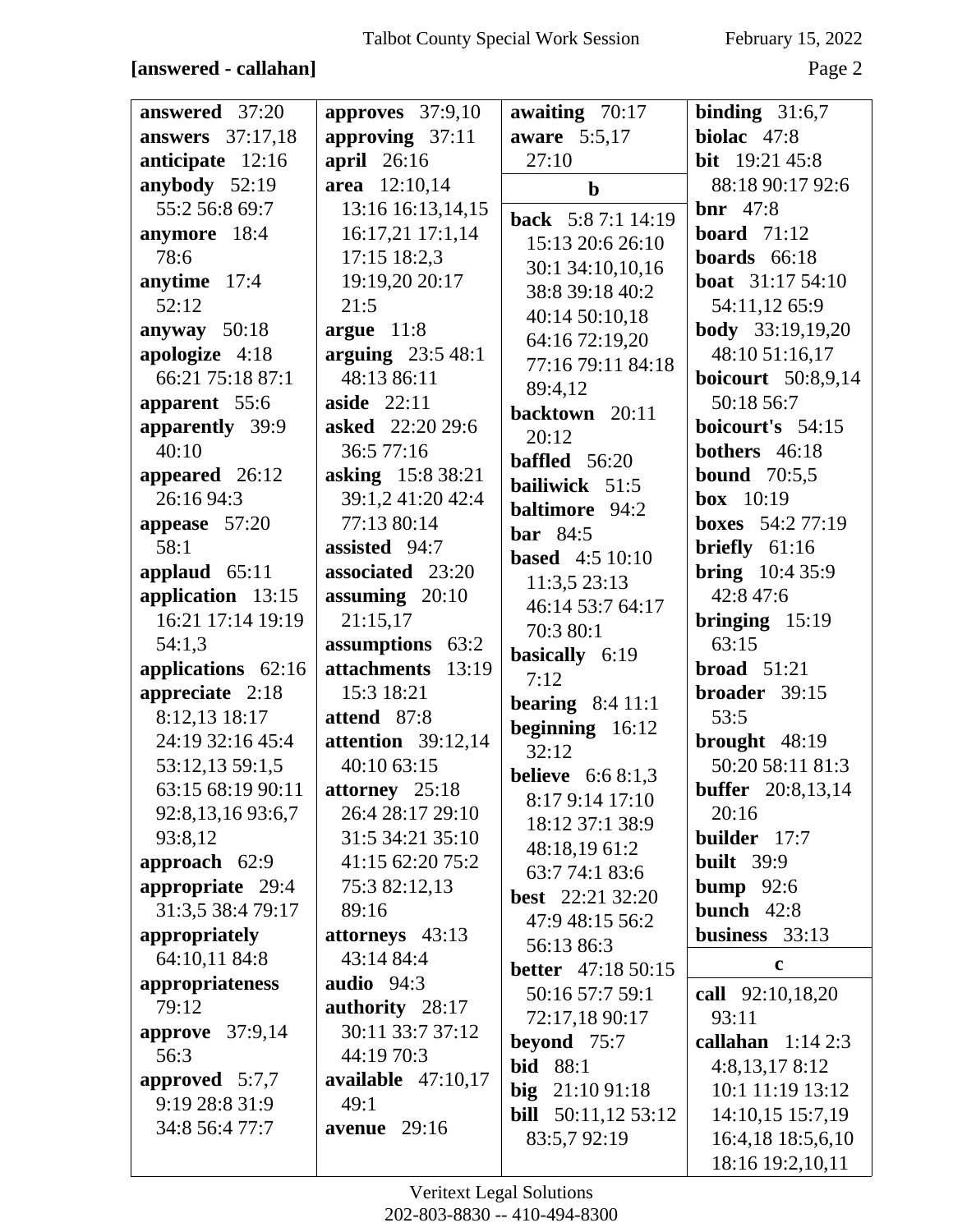### **[answered - callahan]** Page 2

| answered 37:20          | approves $37:9,10$      | awaiting $70:17$            | binding $31:6,7$          |
|-------------------------|-------------------------|-----------------------------|---------------------------|
| <b>answers</b> 37:17,18 | approving $37:11$       | aware 5:5,17                | biolac $47:8$             |
| anticipate 12:16        | april $26:16$           | 27:10                       | <b>bit</b> $19:21\,45:8$  |
| anybody 52:19           | area 12:10,14           | $\mathbf b$                 | 88:18 90:17 92:6          |
| 55:2 56:8 69:7          | 13:16 16:13,14,15       | <b>back</b> 5:8 7:1 14:19   | $bnr 47:8$                |
| anymore 18:4            | 16:17,21 17:1,14        | 15:13 20:6 26:10            | <b>board</b> $71:12$      |
| 78:6                    | $17:15$ 18:2,3          | 30:1 34:10,10,16            | boards $66:18$            |
| anytime 17:4            | 19:19,20 20:17          | 38:8 39:18 40:2             | <b>boat</b> 31:17 54:10   |
| 52:12                   | 21:5                    | 40:14 50:10,18              | 54:11,12 65:9             |
| anyway $50:18$          | argue $11:8$            | 64:16 72:19,20              | <b>body</b> 33:19,19,20   |
| apologize 4:18          | arguing $23:548:1$      | 77:16 79:11 84:18           | 48:10 51:16,17            |
| 66:21 75:18 87:1        | 48:13 86:11             | 89:4,12                     | <b>boicourt</b> 50:8,9,14 |
| apparent 55:6           | aside $22:11$           | backtown 20:11              | 50:18 56:7                |
| apparently 39:9         | <b>asked</b> 22:20 29:6 | 20:12                       | boicourt's 54:15          |
| 40:10                   | 36:5 77:16              | <b>baffled</b> 56:20        | bothers 46:18             |
| appeared 26:12          | asking 15:8 38:21       | bailiwick 51:5              | <b>bound</b> 70:5,5       |
| 26:16 94:3              | 39:1,2 41:20 42:4       | <b>baltimore</b> 94:2       | box $10:19$               |
| appease $57:20$         | 77:13 80:14             | bar $84:5$                  | <b>boxes</b> $54:277:19$  |
| 58:1                    | assisted 94:7           | <b>based</b> 4:5 10:10      | briefly $61:16$           |
| applaud $65:11$         | associated 23:20        |                             | <b>bring</b> $10:435:9$   |
| application 13:15       | assuming $20:10$        | 11:3,5 23:13                | 42:8 47:6                 |
| 16:21 17:14 19:19       | 21:15,17                | 46:14 53:7 64:17            | bringing $15:19$          |
| 54:1,3                  | assumptions 63:2        | 70:3 80:1                   | 63:15                     |
| applications 62:16      | attachments 13:19       | basically 6:19<br>7:12      | broad $51:21$             |
| appreciate 2:18         | 15:3 18:21              |                             | broader 39:15             |
| 8:12,13 18:17           | attend 87:8             | bearing $8:411:1$           | 53:5                      |
| 24:19 32:16 45:4        | attention $39:12,14$    | beginning $16:12$<br>32:12  | brought 48:19             |
| 53:12,13 59:1,5         | 40:10 63:15             |                             | 50:20 58:11 81:3          |
| 63:15 68:19 90:11       | attorney 25:18          | <b>believe</b> $6:68:1,3$   | <b>buffer</b> 20:8,13,14  |
| 92:8,13,16 93:6,7       | 26:4 28:17 29:10        | 8:17 9:14 17:10             | 20:16                     |
| 93:8,12                 | 31:5 34:21 35:10        | 18:12 37:1 38:9             | builder 17:7              |
| approach $62:9$         | 41:15 62:20 75:2        | 48:18,19 61:2               | <b>built</b> 39:9         |
| appropriate 29:4        | 75:3 82:12,13           | 63:7 74:1 83:6              | bump $92:6$               |
| 31:3,5 38:4 79:17       | 89:16                   | <b>best</b> 22:21 32:20     | bunch $42:8$              |
| appropriately           | attorneys 43:13         | 47:9 48:15 56:2             | business 33:13            |
| 64:10,11 84:8           | 43:14 84:4              | 56:13 86:3                  | $\mathbf c$               |
| appropriateness         | audio 94:3              | <b>better</b> 47:18 50:15   |                           |
| 79:12                   | authority 28:17         | 50:16 57:7 59:1             | call 92:10,18,20          |
| approve 37:9,14         | 30:11 33:7 37:12        | 72:17,18 90:17              | 93:11                     |
| 56:3                    | 44:19 70:3              | beyond 75:7                 | callahan $1:142:3$        |
| approved $5:7,7$        | available $47:10,17$    | <b>bid</b> 88:1             | 4:8,13,178:12             |
| 9:19 28:8 31:9          | 49:1                    | big $21:1091:18$            | 10:1 11:19 13:12          |
| 34:8 56:4 77:7          | avenue $29:16$          | <b>bill</b> $50:11,1253:12$ | 14:10,15 15:7,19          |
|                         |                         | 83:5,792:19                 | 16:4,18 18:5,6,10         |
|                         |                         |                             | 18:16 19:2,10,11          |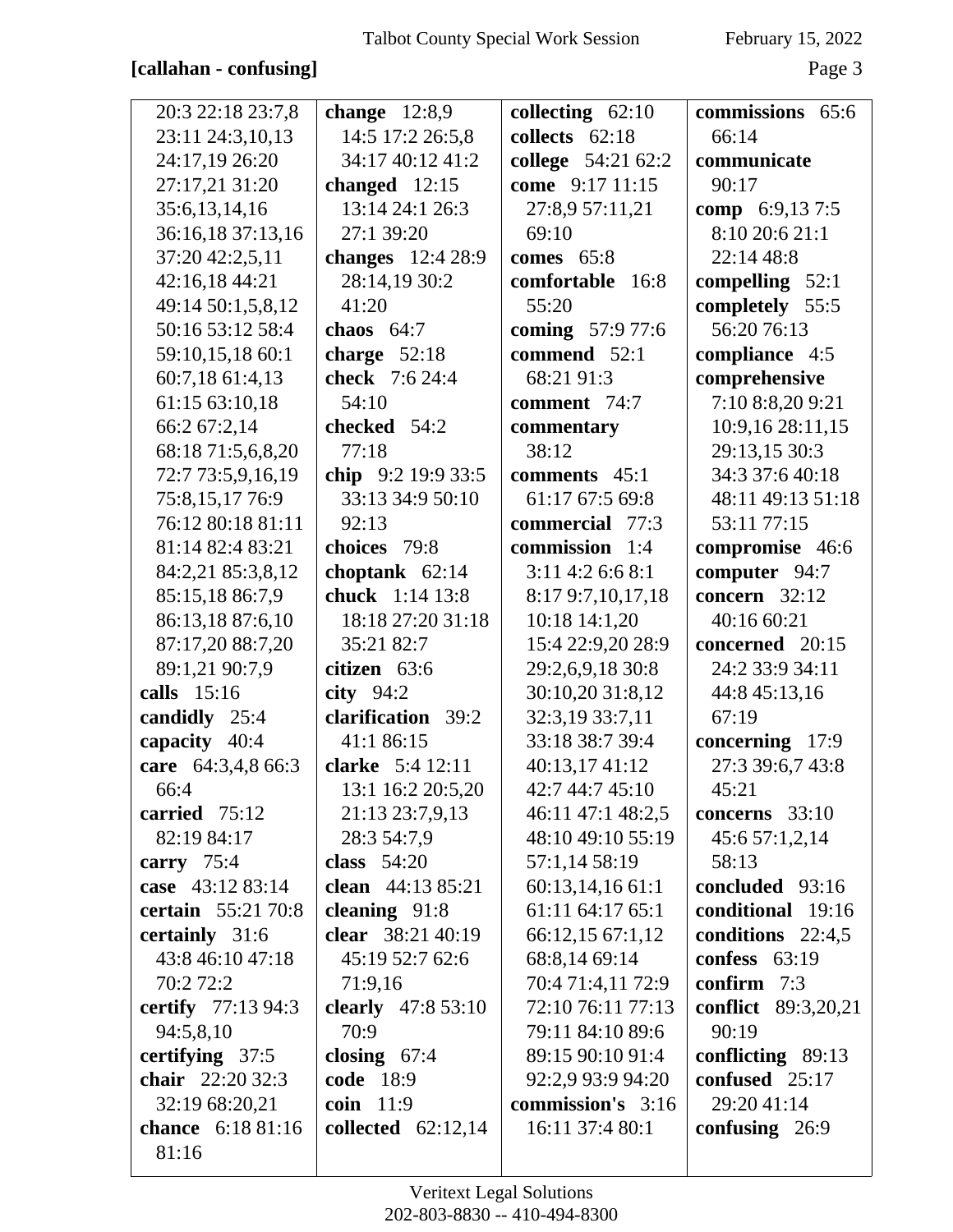#### **[callahan - confusing]** Page 3

| 20:3 22:18 23:7,8         | change $12:8,9$          | collecting $62:10$ | commissions 65:6           |
|---------------------------|--------------------------|--------------------|----------------------------|
| 23:11 24:3,10,13          | 14:5 17:2 26:5,8         | collects 62:18     | 66:14                      |
| 24:17,19 26:20            | 34:17 40:12 41:2         | college 54:21 62:2 | communicate                |
| 27:17,21 31:20            | changed $12:15$          | come 9:17 11:15    | 90:17                      |
| 35:6,13,14,16             | 13:14 24:1 26:3          | 27:8,9 57:11,21    | comp $6:9,137:5$           |
| 36:16,18 37:13,16         | 27:1 39:20               | 69:10              | 8:10 20:6 21:1             |
| 37:20 42:2,5,11           | <b>changes</b> 12:4 28:9 | comes $65:8$       | 22:14 48:8                 |
| 42:16,18 44:21            | 28:14,19 30:2            | comfortable 16:8   | compelling $52:1$          |
| 49:14 50:1,5,8,12         | 41:20                    | 55:20              | completely 55:5            |
| 50:16 53:12 58:4          | chaos $64:7$             | coming 57:9 77:6   | 56:20 76:13                |
| 59:10,15,18 60:1          | charge $52:18$           | commend 52:1       | compliance 4:5             |
| 60:7,18 61:4,13           | check 7:6 24:4           | 68:21 91:3         | comprehensive              |
| 61:15 63:10,18            | 54:10                    | comment 74:7       | 7:10 8:8,20 9:21           |
| 66:2 67:2,14              | checked 54:2             | commentary         | 10:9,16 28:11,15           |
| 68:18 71:5,6,8,20         | 77:18                    | 38:12              | 29:13,15 30:3              |
| 72:7 73:5,9,16,19         | chip $9:2$ 19:9 33:5     | comments 45:1      | 34:3 37:6 40:18            |
| 75:8,15,17 76:9           | 33:13 34:9 50:10         | 61:17 67:5 69:8    | 48:11 49:13 51:18          |
| 76:12 80:18 81:11         | 92:13                    | commercial 77:3    | 53:11 77:15                |
| 81:14 82:4 83:21          | choices 79:8             | commission 1:4     | compromise 46:6            |
| 84:2,21 85:3,8,12         | choptank $62:14$         | $3:11$ 4:2 6:6 8:1 | computer 94:7              |
| 85:15,18 86:7,9           | chuck 1:14 13:8          | 8:17 9:7,10,17,18  | concern $32:12$            |
| 86:13,18 87:6,10          | 18:18 27:20 31:18        | 10:18 14:1,20      | 40:16 60:21                |
| 87:17,20 88:7,20          | 35:21 82:7               | 15:4 22:9,20 28:9  | concerned 20:15            |
| 89:1,21 90:7,9            | citizen 63:6             | 29:2,6,9,18 30:8   | 24:2 33:9 34:11            |
| calls 15:16               | city $94:2$              | 30:10,20 31:8,12   | 44:8 45:13,16              |
| candidly 25:4             | clarification 39:2       | 32:3,19 33:7,11    | 67:19                      |
| capacity 40:4             | 41:1 86:15               | 33:18 38:7 39:4    | concerning $17:9$          |
| care 64:3,4,8 66:3        | clarke 5:4 12:11         | 40:13,17 41:12     | 27:3 39:6,7 43:8           |
| 66:4                      | 13:1 16:2 20:5,20        | 42:7 44:7 45:10    | 45:21                      |
| carried $75:12$           | 21:13 23:7,9,13          | 46:11 47:1 48:2,5  | concerns $33:10$           |
| 82:19 84:17               | 28:3 54:7,9              | 48:10 49:10 55:19  | 45:6 57:1,2,14             |
| carry $75:4$              | class $54:20$            | 57:1,14 58:19      | 58:13                      |
| case 43:12 83:14          | clean 44:13 85:21        | 60:13,14,16 61:1   | concluded 93:16            |
| certain 55:21 70:8        | cleaning $91:8$          | 61:11 64:17 65:1   | conditional 19:16          |
| certainly 31:6            | clear 38:21 40:19        | 66:12,15 67:1,12   | conditions $22:4,5$        |
| 43:8 46:10 47:18          | 45:19 52:7 62:6          | 68:8,14 69:14      | confess $63:19$            |
| 70:2 72:2                 | 71:9,16                  | 70:4 71:4,11 72:9  | confirm $7:3$              |
| <b>certify</b> 77:13 94:3 | clearly $47:853:10$      | 72:10 76:11 77:13  | <b>conflict</b> 89:3,20,21 |
| 94:5,8,10                 | 70:9                     | 79:11 84:10 89:6   | 90:19                      |
| certifying $37:5$         | closing $67:4$           | 89:15 90:10 91:4   | conflicting $89:13$        |
| chair 22:20 32:3          | <b>code</b> 18:9         | 92:2,9 93:9 94:20  | confused 25:17             |
| 32:19 68:20,21            | coin 11:9                | commission's 3:16  | 29:20 41:14                |
| chance 6:18 81:16         | collected $62:12,14$     | 16:11 37:4 80:1    | confusing $26:9$           |
| 81:16                     |                          |                    |                            |
|                           |                          |                    |                            |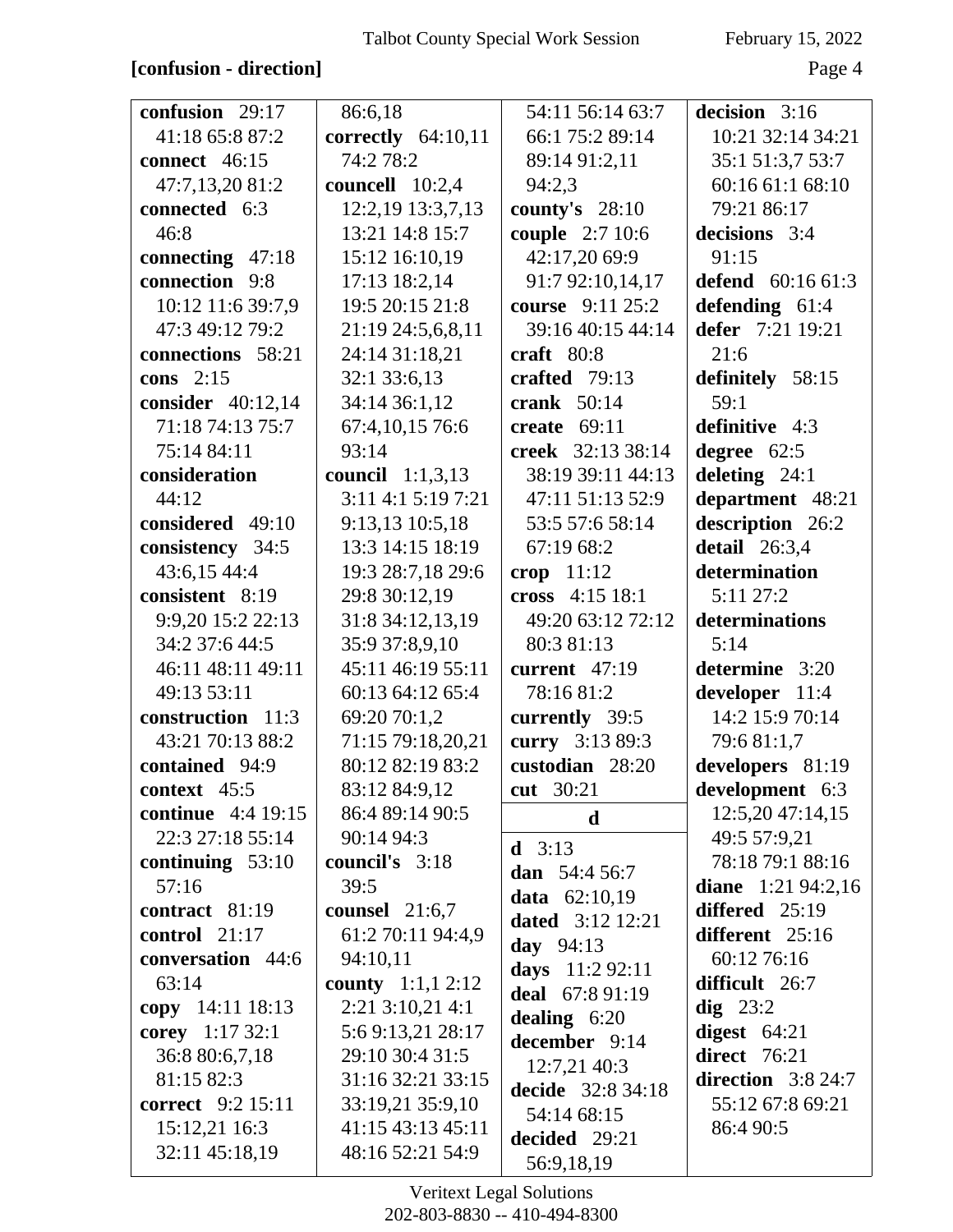### **[confusion - direction]** Page 4

| confusion 29:17           | 86:6,18                    | 54:11 56:14 63:7        | decision 3:16         |
|---------------------------|----------------------------|-------------------------|-----------------------|
| 41:18 65:8 87:2           | correctly $64:10,11$       | 66:1 75:2 89:14         | 10:21 32:14 34:21     |
| <b>connect</b> 46:15      | 74:2 78:2                  | 89:14 91:2,11           | 35:1 51:3,7 53:7      |
| 47:7,13,20 81:2           | councell 10:2,4            | 94:2,3                  | 60:16 61:1 68:10      |
| connected 6:3             | 12:2,19 13:3,7,13          | county's $28:10$        | 79:21 86:17           |
| 46:8                      | 13:21 14:8 15:7            | couple 2:7 10:6         | decisions 3:4         |
| connecting 47:18          | 15:12 16:10,19             | 42:17,20 69:9           | 91:15                 |
| connection 9:8            | 17:13 18:2,14              | 91:7 92:10,14,17        | defend $60:1661:3$    |
| 10:12 11:6 39:7,9         | 19:5 20:15 21:8            | course 9:11 25:2        | defending $61:4$      |
| 47:3 49:12 79:2           | 21:19 24:5,6,8,11          | 39:16 40:15 44:14       | defer 7:21 19:21      |
| connections 58:21         | 24:14 31:18,21             | craft $80:8$            | 21:6                  |
| cons $2:15$               | 32:1 33:6,13               | crafted 79:13           | definitely 58:15      |
| consider $40:12,14$       | 34:14 36:1,12              | crank $50:14$           | 59:1                  |
| 71:18 74:13 75:7          | 67:4, 10, 15 76:6          | create $69:11$          | definitive 4:3        |
| 75:14 84:11               | 93:14                      | creek 32:13 38:14       | degree 62:5           |
| consideration             | council $1:1,3,13$         | 38:19 39:11 44:13       | deleting $24:1$       |
| 44:12                     | $3:11$ 4:1 5:19 7:21       | 47:11 51:13 52:9        | department 48:21      |
| considered 49:10          | 9:13,13 10:5,18            | 53:5 57:6 58:14         | description 26:2      |
| consistency 34:5          | 13:3 14:15 18:19           | 67:19 68:2              | detail $26:3,4$       |
| 43:6,15 44:4              | 19:3 28:7,18 29:6          | crop $11:12$            | determination         |
| consistent 8:19           | 29:8 30:12,19              | cross 4:15 18:1         | 5:11 27:2             |
| 9:9,20 15:2 22:13         | 31:8 34:12,13,19           | 49:20 63:12 72:12       | determinations        |
| 34:2 37:6 44:5            | 35:9 37:8,9,10             | 80:3 81:13              | 5:14                  |
| 46:11 48:11 49:11         | 45:11 46:19 55:11          | current $47:19$         | determine 3:20        |
| 49:13 53:11               | 60:13 64:12 65:4           | 78:16 81:2              | developer 11:4        |
| construction 11:3         | 69:20 70:1,2               | currently 39:5          | 14:2 15:9 70:14       |
| 43:21 70:13 88:2          | 71:15 79:18,20,21          | curry 3:13 89:3         | 79:681:1,7            |
| contained 94:9            | 80:12 82:19 83:2           | custodian 28:20         | developers 81:19      |
| context 45:5              | 83:12 84:9,12              | cut 30:21               | development 6:3       |
| <b>continue</b> 4:4 19:15 | 86:4 89:14 90:5            | d                       | 12:5,20 47:14,15      |
| 22:3 27:18 55:14          | 90:14 94:3                 | <b>d</b> $3:13$         | 49:5 57:9,21          |
| continuing $53:10$        | council's 3:18             | dan 54:4 56:7           | 78:18 79:1 88:16      |
| 57:16                     | 39:5                       | data 62:10,19           | diane $1:21\,94:2,16$ |
| contract 81:19            | counsel $21:6,7$           | <b>dated</b> 3:12 12:21 | differed 25:19        |
| control $21:17$           | 61:2 70:11 94:4,9          | day $94:13$             | different 25:16       |
| conversation 44:6         | 94:10,11                   | days 11:2 92:11         | 60:12 76:16           |
| 63:14                     | <b>county</b> $1:1,1,2:12$ | deal 67:8 91:19         | difficult 26:7        |
| copy 14:11 18:13          | $2:21$ 3:10,21 4:1         | dealing $6:20$          | $\text{dig } 23:2$    |
| corey 1:17 32:1           | 5:69:13,2128:17            | december 9:14           | digest $64:21$        |
| 36:8 80:6,7,18            | 29:10 30:4 31:5            | 12:7,2140:3             | direct 76:21          |
| 81:15 82:3                | 31:16 32:21 33:15          | decide 32:8 34:18       | direction $3:824:7$   |
| <b>correct</b> 9:2 15:11  | 33:19,21 35:9,10           | 54:14 68:15             | 55:12 67:8 69:21      |
| 15:12,21 16:3             | 41:15 43:13 45:11          | decided 29:21           | 86:4 90:5             |
| 32:11 45:18,19            | 48:16 52:21 54:9           | 56:9,18,19              |                       |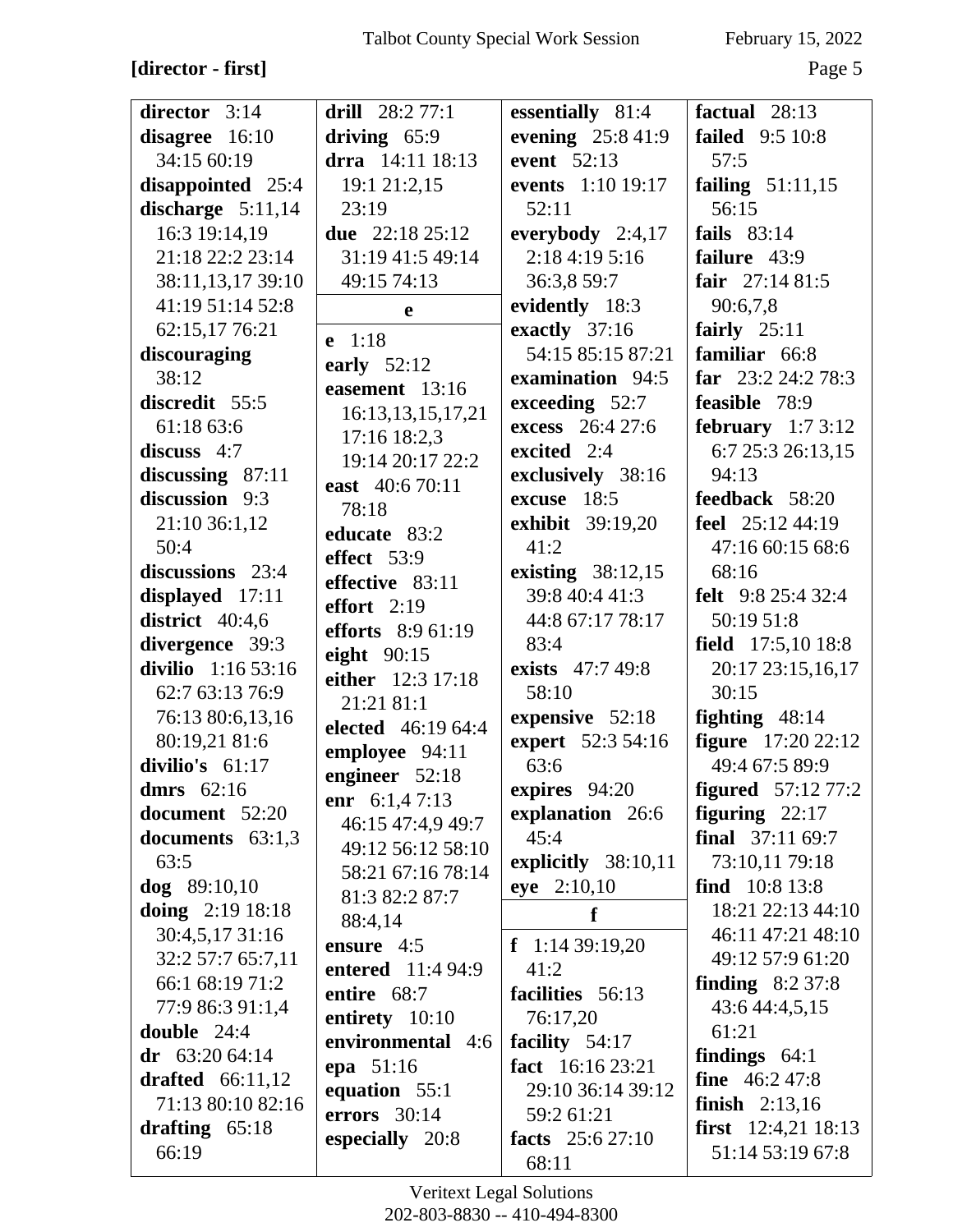# $[{\rm director}\text{-}{\rm first}]$

February 15, 2022

Page 5

| director 3:14       | drill $28:277:1$                  | essentially 81:4          | factual $28:13$            |
|---------------------|-----------------------------------|---------------------------|----------------------------|
| disagree 16:10      | driving 65:9                      | evening 25:8 41:9         | <b>failed</b> 9:5 10:8     |
| 34:15 60:19         | drra 14:11 18:13                  | event 52:13               | 57:5                       |
| disappointed 25:4   | 19:1 21:2,15                      | events 1:10 19:17         | failing $51:11,15$         |
| discharge $5:11,14$ | 23:19                             | 52:11                     | 56:15                      |
| 16:3 19:14,19       | due $22:1825:12$                  | everybody $2:4,17$        | fails $83:14$              |
| 21:18 22:2 23:14    | 31:19 41:5 49:14                  | 2:18 4:19 5:16            | failure 43:9               |
| 38:11,13,17 39:10   | 49:15 74:13                       | 36:3,8 59:7               | fair $27:1481:5$           |
| 41:19 51:14 52:8    |                                   | evidently 18:3            | 90:6,7,8                   |
| 62:15,17 76:21      | e                                 | exactly 37:16             | fairly $25:11$             |
| discouraging        | $e$ 1:18                          | 54:15 85:15 87:21         | familiar 66:8              |
| 38:12               | early $52:12$                     | examination 94:5          | far $23:224:278:3$         |
| discredit 55:5      | easement 13:16                    | exceeding $52:7$          | feasible 78:9              |
| 61:18 63:6          | 16:13,13,15,17,21                 |                           |                            |
|                     | 17:16 18:2,3                      | excess 26:4 27:6          | february $1:73:12$         |
| discuss $4:7$       | 19:14 20:17 22:2                  | excited 2:4               | 6:7 25:3 26:13,15          |
| discussing $87:11$  | east 40:6 70:11                   | exclusively 38:16         | 94:13                      |
| discussion 9:3      | 78:18                             | excuse 18:5               | <b>feedback</b> 58:20      |
| 21:10 36:1,12       | educate 83:2                      | <b>exhibit</b> 39:19,20   | feel 25:12 44:19           |
| 50:4                | effect 53:9                       | 41:2                      | 47:16 60:15 68:6           |
| discussions 23:4    | effective 83:11                   | existing $38:12,15$       | 68:16                      |
| displayed 17:11     | effort $2:19$                     | 39:8 40:4 41:3            | <b>felt</b> 9:8 25:4 32:4  |
| district $40:4,6$   | efforts 8:9 61:19                 | 44:8 67:17 78:17          | 50:19 51:8                 |
| divergence 39:3     | eight $90:15$                     | 83:4                      | field $17:5,1018:8$        |
| divilio $1:1653:16$ | either 12:3 17:18                 | exists 47:7 49:8          | 20:17 23:15,16,17          |
| 62:7 63:13 76:9     | 21:21 81:1                        | 58:10                     | 30:15                      |
| 76:13 80:6,13,16    | <b>elected</b> 46:19 64:4         | expensive 52:18           | fighting $48:14$           |
| 80:19,21 81:6       | employee 94:11                    | expert 52:3 54:16         | <b>figure</b> 17:20 22:12  |
| divilio's 61:17     | engineer 52:18                    | 63:6                      | 49:4 67:5 89:9             |
| dmrs $62:16$        | enr $6:1,47:13$                   | expires 94:20             | <b>figured</b> $57:127:2$  |
| document 52:20      | 46:15 47:4,9 49:7                 | explanation 26:6          | figuring $22:17$           |
| documents 63:1,3    | 49:12 56:12 58:10                 | 45:4                      | <b>final</b> $37:1169:7$   |
| 63:5                |                                   | explicitly 38:10,11       | 73:10,11 79:18             |
| $\log$ 89:10,10     | 58:21 67:16 78:14                 | eye 2:10,10               | find $10:8$ 13:8           |
| doing $2:19$ 18:18  | 81:3 82:2 87:7                    | f                         | 18:21 22:13 44:10          |
| 30:4,5,17 31:16     | 88:4,14                           |                           | 46:11 47:21 48:10          |
| 32:2 57:7 65:7,11   | ensure $4:5$<br>entered 11:4 94:9 | $f$ 1:14 39:19,20<br>41:2 | 49:12 57:9 61:20           |
| 66:1 68:19 71:2     |                                   |                           | finding $8:237:8$          |
| 77:9 86:3 91:1,4    | entire 68:7                       | facilities 56:13          | 43:6 44:4,5,15             |
| double 24:4         | entirety $10:10$                  | 76:17,20                  | 61:21                      |
| dr $63:2064:14$     | environmental 4:6                 | facility $54:17$          | findings $64:1$            |
| drafted $66:11,12$  | epa 51:16                         | fact 16:16 23:21          | <b>fine</b> $46:247:8$     |
| 71:13 80:10 82:16   | equation 55:1                     | 29:10 36:14 39:12         | <b>finish</b> $2:13,16$    |
| drafting $65:18$    | errors $30:14$                    | 59:2 61:21                | <b>first</b> 12:4,21 18:13 |
| 66:19               | especially 20:8                   | facts $25:627:10$         | 51:14 53:19 67:8           |
|                     |                                   | 68:11                     |                            |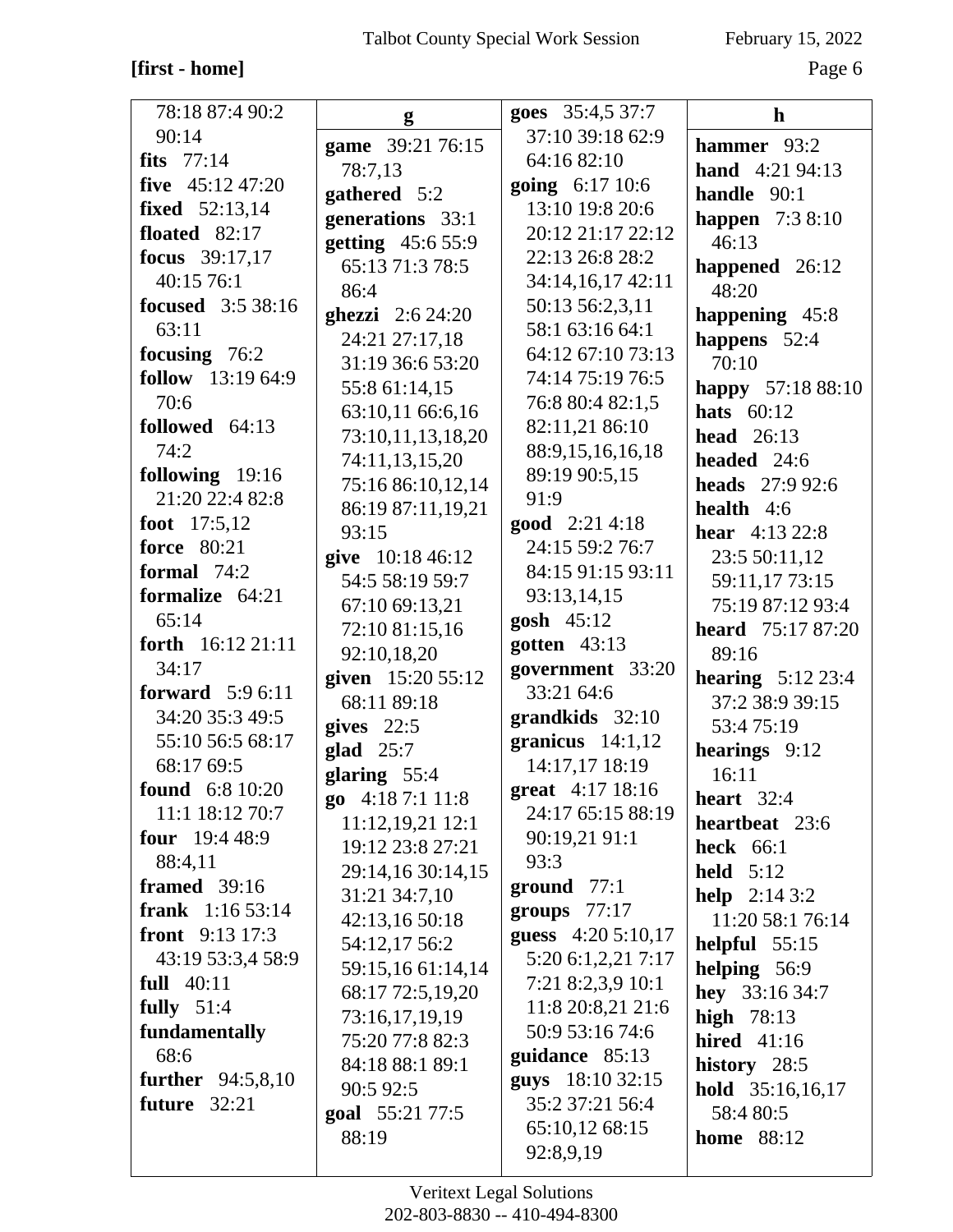### **[first - home]** Page 6

| 78:18 87:4 90:2          | g                          | goes 35:4,5 37:7       | $\mathbf h$                                    |
|--------------------------|----------------------------|------------------------|------------------------------------------------|
| 90:14                    | game 39:21 76:15           | 37:10 39:18 62:9       | hammer 93:2                                    |
| fits $77:14$             | 78:7,13                    | 64:16 82:10            | <b>hand</b> $4:21\,94:13$                      |
| five $45:12\,47:20$      | gathered 5:2               | going 6:17 10:6        | handle 90:1                                    |
| <b>fixed</b> 52:13,14    | generations 33:1           | 13:10 19:8 20:6        | <b>happen</b> $7:38:10$                        |
| floated $82:17$          | getting 45:6 55:9          | 20:12 21:17 22:12      | 46:13                                          |
| <b>focus</b> 39:17,17    | 65:13 71:3 78:5            | 22:13 26:8 28:2        | happened $26:12$                               |
| 40:15 76:1               | 86:4                       | 34:14,16,17 42:11      | 48:20                                          |
| <b>focused</b> 3:5 38:16 | <b>ghezzi</b> $2:624:20$   | 50:13 56:2,3,11        | happening 45:8                                 |
| 63:11                    | 24:21 27:17,18             | 58:1 63:16 64:1        | happens 52:4                                   |
| focusing 76:2            | 31:19 36:6 53:20           | 64:12 67:10 73:13      | 70:10                                          |
| follow 13:19 64:9        | 55:8 61:14,15              | 74:14 75:19 76:5       | happy 57:18 88:10                              |
| 70:6                     | 63:10,11 66:6,16           | 76:8 80:4 82:1,5       | hats $60:12$                                   |
| followed 64:13           | 73:10,11,13,18,20          | 82:11,21 86:10         | head $26:13$                                   |
| 74:2                     | 74:11,13,15,20             | 88:9,15,16,16,18       | headed 24:6                                    |
| following 19:16          | 75:16 86:10,12,14          | 89:19 90:5,15          | <b>heads</b> $27:992:6$                        |
| 21:20 22:4 82:8          |                            | 91:9                   | health $4:6$                                   |
| foot 17:5,12             | 86:19 87:11,19,21<br>93:15 | <b>good</b> $2:214:18$ | <b>hear</b> $4:1322:8$                         |
| <b>force</b> 80:21       | give 10:18 46:12           | 24:15 59:2 76:7        | 23:5 50:11,12                                  |
| formal $74:2$            | 54:5 58:19 59:7            | 84:15 91:15 93:11      | 59:11,17 73:15                                 |
| formalize 64:21          | 67:10 69:13,21             | 93:13,14,15            | 75:19 87:12 93:4                               |
| 65:14                    | 72:10 81:15,16             | gosh 45:12             | <b>heard</b> 75:17 87:20                       |
| forth $16:12\,21:11$     | 92:10,18,20                | gotten $43:13$         | 89:16                                          |
| 34:17                    | given 15:20 55:12          | government 33:20       |                                                |
| <b>forward</b> $5:96:11$ | 68:11 89:18                | 33:21 64:6             | <b>hearing</b> $5:12\,23:4$<br>37:2 38:9 39:15 |
| 34:20 35:3 49:5          | gives $22:5$               | $grandkids$ 32:10      | 53:475:19                                      |
| 55:10 56:5 68:17         | glad $25:7$                | granicus $14:1,12$     | hearings 9:12                                  |
| 68:17 69:5               | glaring 55:4               | 14:17,17 18:19         | 16:11                                          |
| <b>found</b> 6:8 10:20   | go 4:18 7:1 11:8           | great 4:17 18:16       | heart $32:4$                                   |
| 11:1 18:12 70:7          | 11:12,19,21 12:1           | 24:17 65:15 88:19      | heartbeat 23:6                                 |
| <b>four</b> $19:448:9$   | 19:12 23:8 27:21           | 90:19,21 91:1          | <b>heck</b> 66:1                               |
| 88:4,11                  | 29:14,16 30:14,15          | 93:3                   | held $5:12$                                    |
| <b>framed</b> 39:16      | 31:21 34:7,10              | ground $77:1$          | <b>help</b> $2:143:2$                          |
| <b>frank</b> $1:1653:14$ | 42:13,16 50:18             | groups $77:17$         | 11:20 58:1 76:14                               |
| front $9:13\ 17:3$       | 54:12,17 56:2              | guess $4:205:10,17$    | helpful $55:15$                                |
| 43:19 53:3,4 58:9        | 59:15,16 61:14,14          | 5:20 6:1,2,21 7:17     | helping 56:9                                   |
| full $40:11$             | 68:17 72:5,19,20           | 7:21 8:2,3,9 10:1      | hey 33:16 34:7                                 |
| fully $51:4$             | 73:16,17,19,19             | 11:8 20:8,21 21:6      | high $78:13$                                   |
| fundamentally            | 75:20 77:8 82:3            | 50:9 53:16 74:6        | <b>hired</b> 41:16                             |
| 68:6                     | 84:18 88:1 89:1            | guidance 85:13         | history 28:5                                   |
| further $94:5,8,10$      | 90:5 92:5                  | guys 18:10 32:15       | hold 35:16,16,17                               |
| future $32:21$           | goal 55:21 77:5            | 35:2 37:21 56:4        | 58:4 80:5                                      |
|                          | 88:19                      | 65:10,12 68:15         | <b>home</b> 88:12                              |
|                          |                            | 92:8,9,19              |                                                |
|                          |                            |                        |                                                |

Veritext Legal Solutions 202-803-8830 -- 410-494-8300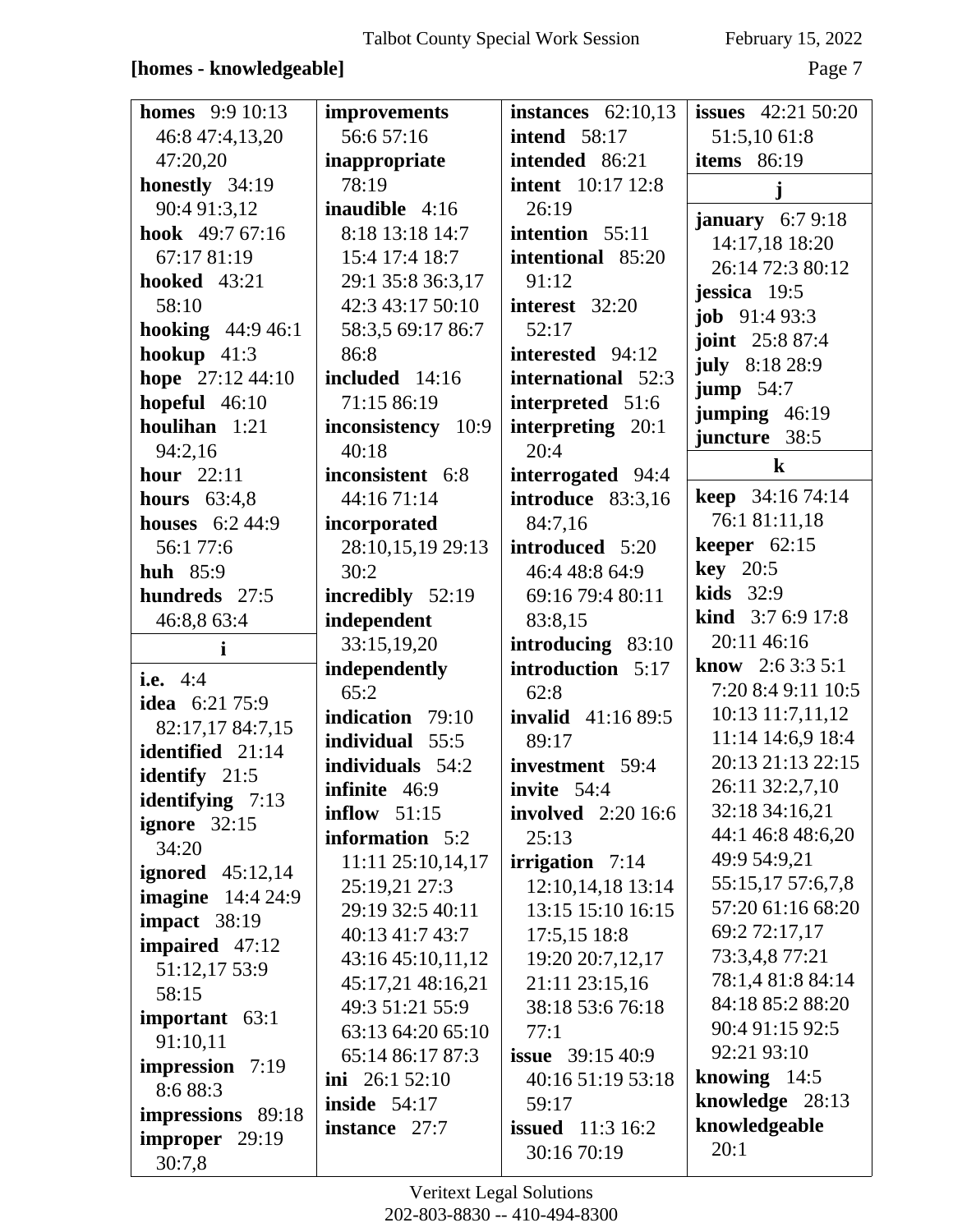| <b>homes</b> 9:9 10:13              | improvements          | instances $62:10,13$                     | <b>issues</b> $42:21\,50:20$ |
|-------------------------------------|-----------------------|------------------------------------------|------------------------------|
| 46:8 47:4,13,20                     | 56:6 57:16            | <b>intend</b> 58:17                      | 51:5,10 61:8                 |
| 47:20,20                            | inappropriate         | intended 86:21                           | <b>items</b> 86:19           |
| honestly 34:19                      | 78:19                 | <b>intent</b> 10:17 12:8                 | j                            |
| 90:4 91:3,12                        | <b>inaudible</b> 4:16 | 26:19                                    | january $6:79:18$            |
| hook 49:7 67:16                     | 8:18 13:18 14:7       | intention 55:11                          | 14:17,18 18:20               |
| 67:17 81:19                         | 15:4 17:4 18:7        | intentional 85:20                        | 26:14 72:3 80:12             |
| <b>hooked</b> 43:21                 | 29:1 35:8 36:3,17     | 91:12                                    | jessica 19:5                 |
| 58:10                               | 42:3 43:17 50:10      | interest 32:20                           | <b>job</b> $91:493:3$        |
| <b>hooking</b> 44:9 46:1            | 58:3,5 69:17 86:7     | 52:17                                    | joint 25:8 87:4              |
| hookup $41:3$                       | 86:8                  | interested 94:12                         | <b>july</b> 8:18 28:9        |
| hope 27:12 44:10                    | included 14:16        | international 52:3                       | jump $54:7$                  |
| hopeful $46:10$                     | 71:15 86:19           | interpreted 51:6                         | jumping 46:19                |
| houlihan 1:21                       | inconsistency 10:9    | interpreting 20:1                        | juncture 38:5                |
| 94:2,16                             | 40:18                 | 20:4                                     | $\bf k$                      |
| hour $22:11$                        | inconsistent 6:8      | interrogated 94:4                        |                              |
| hours $63:4,8$                      | 44:16 71:14           | introduce 83:3,16                        | <b>keep</b> $34:1674:14$     |
| <b>houses</b> 6:2 44:9              | incorporated          | 84:7,16                                  | 76:1 81:11,18                |
| 56:1 77:6                           | 28:10,15,19 29:13     | introduced 5:20                          | keeper $62:15$               |
| <b>huh</b> 85:9                     | 30:2                  | 46:4 48:8 64:9                           | $key$ 20:5                   |
| hundreds 27:5                       | incredibly 52:19      | 69:16 79:4 80:11                         | <b>kids</b> 32:9             |
| 46:8,8 63:4                         | independent           | 83:8,15                                  | <b>kind</b> $3:76:917:8$     |
| i                                   | 33:15,19,20           | introducing 83:10                        | 20:11 46:16                  |
| <b>i.e.</b> 4:4                     | independently         | introduction 5:17                        | <b>know</b> 2:6 3:3 5:1      |
| idea 6:21 75:9                      | 65:2                  | 62:8                                     | 7:20 8:4 9:11 10:5           |
| 82:17,17 84:7,15                    | indication 79:10      | <b>invalid</b> 41:16 89:5                | 10:13 11:7,11,12             |
| identified 21:14                    | individual 55:5       | 89:17                                    | 11:14 14:6,9 18:4            |
| identify 21:5                       | individuals 54:2      | investment 59:4                          | 20:13 21:13 22:15            |
| <b>identifying</b> $7:13$           | <b>infinite</b> 46:9  | invite $54:4$                            | 26:11 32:2,7,10              |
| ignore $32:15$                      | inflow $51:15$        | <b>involved</b> 2:20 16:6                | 32:18 34:16,21               |
|                                     |                       |                                          |                              |
|                                     | information 5:2       | 25:13                                    | 44:1 46:8 48:6,20            |
| 34:20                               | 11:11 25:10,14,17     | irrigation $7:14$                        | 49:9 54:9,21                 |
| ignored $45:12,14$                  | 25:19,21 27:3         | 12:10,14,18 13:14                        | 55:15,17 57:6,7,8            |
| <b>imagine</b> 14:4 24:9            | 29:19 32:5 40:11      | 13:15 15:10 16:15                        | 57:20 61:16 68:20            |
| impact $38:19$                      | 40:13 41:7 43:7       | 17:5,15 18:8                             | 69:2 72:17,17                |
| impaired 47:12                      | 43:16 45:10,11,12     | 19:20 20:7,12,17                         | 73:3,4,8 77:21               |
| 51:12,17 53:9                       | 45:17,21 48:16,21     | 21:11 23:15,16                           | 78:1,4 81:8 84:14            |
| 58:15                               | 49:3 51:21 55:9       | 38:18 53:6 76:18                         | 84:18 85:2 88:20             |
| important 63:1                      | 63:13 64:20 65:10     | 77:1                                     | 90:4 91:15 92:5              |
| 91:10,11                            | 65:14 86:17 87:3      | <b>issue</b> 39:15 40:9                  | 92:21 93:10                  |
| <b>impression</b> 7:19              | ini $26:152:10$       | 40:16 51:19 53:18                        | knowing $14:5$               |
| 8:6 88:3                            | inside $54:17$        | 59:17                                    | knowledge 28:13              |
| impressions 89:18<br>improper 29:19 | instance 27:7         | <b>issued</b> $11:3 16:2$<br>30:16 70:19 | knowledgeable<br>20:1        |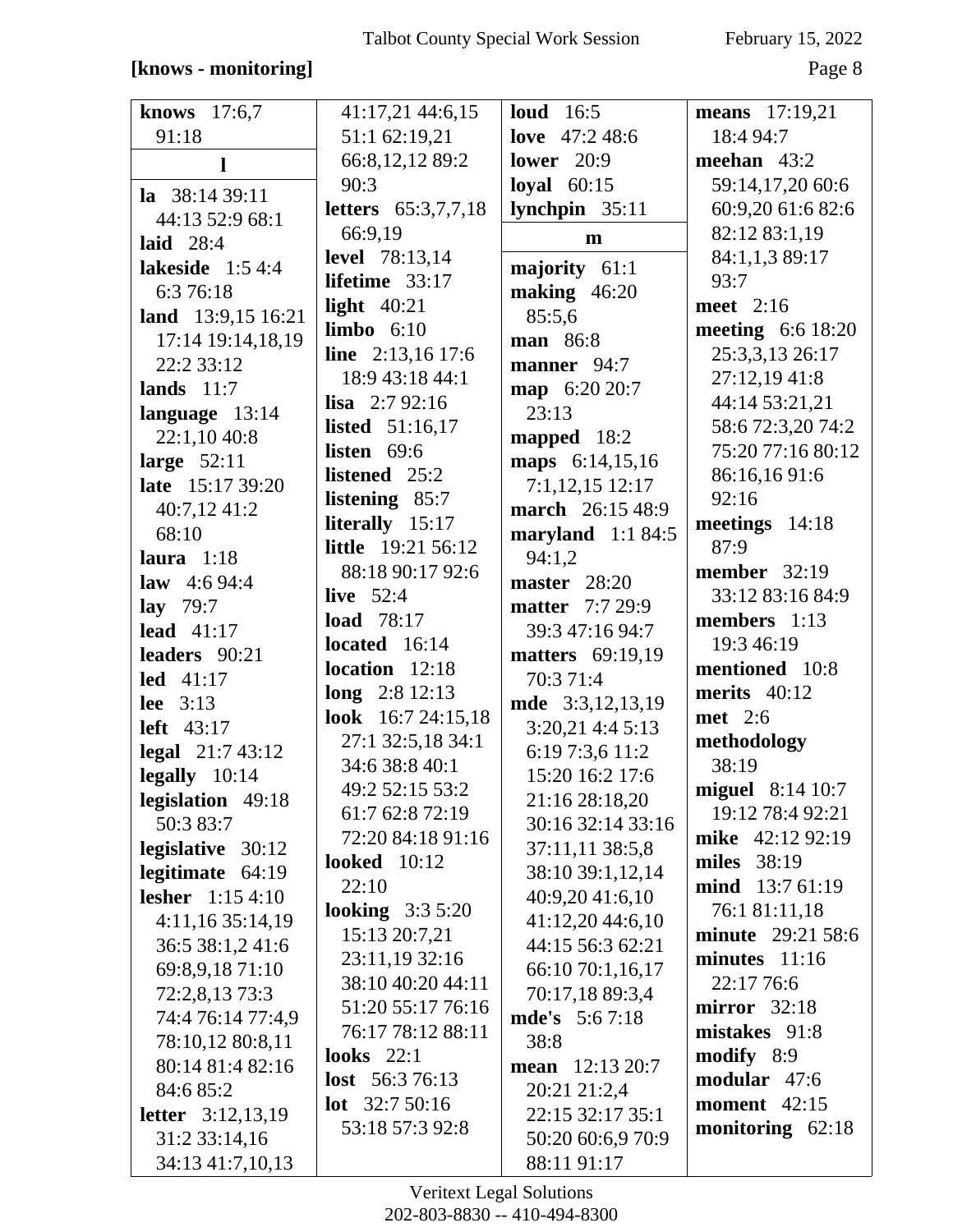#### [knows - monitoring]

February 15, 2022

Page 8

| knows $17:6,7$             | 41:17,21 44:6,15           | loud $16:5$             | <b>means</b> 17:19,21    |
|----------------------------|----------------------------|-------------------------|--------------------------|
| 91:18                      | 51:1 62:19,21              | love 47:2 48:6          | 18:4 94:7                |
| 1                          | 66:8,12,12 89:2            | lower $20:9$            | meehan $43:2$            |
| la $38:1439:11$            | 90:3                       | loyal $60:15$           | 59:14,17,20 60:6         |
| 44:13 52:9 68:1            | <b>letters</b> 65:3,7,7,18 | lynchpin 35:11          | 60:9,20 61:6 82:6        |
| <b>laid</b> 28:4           | 66:9,19                    | $\mathbf{m}$            | 82:12 83:1,19            |
| lakeside $1:54:4$          | <b>level</b> 78:13,14      | majority 61:1           | 84:1,1,3 89:17           |
| 6:3 76:18                  | lifetime $33:17$           | making 46:20            | 93:7                     |
| land 13:9,15 16:21         | light $40:21$              | 85:5,6                  | meet 2:16                |
| 17:14 19:14,18,19          | $limbo$ $6:10$             | man 86:8                | <b>meeting</b> 6:6 18:20 |
| 22:2 33:12                 | line 2:13,16 17:6          | manner 94:7             | 25:3,3,13 26:17          |
| lands $11:7$               | 18:9 43:18 44:1            | map 6:20 20:7           | 27:12,19 41:8            |
| language 13:14             | <b>lisa</b> $2:792:16$     | 23:13                   | 44:14 53:21,21           |
| 22:1,10 40:8               | <b>listed</b> $51:16,17$   | mapped $18:2$           | 58:6 72:3,20 74:2        |
| large $52:11$              | listen $69:6$              | maps 6:14,15,16         | 75:20 77:16 80:12        |
| late 15:17 39:20           | listened 25:2              | $7:1,12,15$ 12:17       | 86:16,1691:6             |
| 40:7,12 41:2               | listening 85:7             | march 26:15 48:9        | 92:16                    |
| 68:10                      | literally 15:17            | maryland $1:184:5$      | meetings 14:18           |
| laura $1:18$               | <b>little</b> 19:21 56:12  | 94:1,2                  | 87:9                     |
| law $4:694:4$              | 88:18 90:17 92:6           | master $28:20$          | <b>member</b> 32:19      |
| lay $79:7$                 | live $52:4$                | <b>matter</b> 7:7 29:9  | 33:12 83:16 84:9         |
| lead $41:17$               | load 78:17                 | 39:3 47:16 94:7         | members 1:13             |
| leaders 90:21              | located 16:14              | <b>matters</b> 69:19,19 | 19:3 46:19               |
| led 41:17                  | location 12:18             | 70:3 71:4               | mentioned 10:8           |
| lee $3:13$                 | long 2:8 12:13             | mde 3:3,12,13,19        | merits $40:12$           |
| left $43:17$               | look 16:7 24:15,18         | $3:20,21$ 4:4 5:13      | <b>met</b> 2:6           |
| legal $21:743:12$          | 27:1 32:5,18 34:1          | 6:19 7:3,6 11:2         | methodology              |
| legally $10:14$            | 34:6 38:8 40:1             | 15:20 16:2 17:6         | 38:19                    |
| legislation 49:18          | 49:2 52:15 53:2            | 21:16 28:18,20          | miguel 8:14 10:7         |
| 50:3 83:7                  | 61:7 62:8 72:19            | 30:16 32:14 33:16       | 19:12 78:4 92:21         |
| legislative 30:12          | 72:20 84:18 91:16          | 37:11,11 38:5,8         | mike 42:12 92:19         |
| legitimate $64:19$         | <b>looked</b> 10:12        | 38:10 39:1,12,14        | <b>miles</b> 38:19       |
| <b>lesher</b> 1:15 4:10    | 22:10                      | 40:9,20 41:6,10         | mind 13:7 61:19          |
| 4:11,1635:14,19            | looking $3:35:20$          | 41:12,20 44:6,10        | 76:1 81:11,18            |
| 36:5 38:1,2 41:6           | 15:13 20:7,21              | 44:15 56:3 62:21        | <b>minute</b> 29:21 58:6 |
| 69:8,9,18 71:10            | 23:11,19 32:16             | 66:10 70:1,16,17        | $minutes$ 11:16          |
| 72:2,8,13 73:3             | 38:10 40:20 44:11          | 70:17,18 89:3,4         | 22:17 76:6               |
| 74:4 76:14 77:4,9          | 51:20 55:17 76:16          | <b>mde's</b> 5:67:18    | $mirror \quad 32:18$     |
| 78:10,12 80:8,11           | 76:17 78:12 88:11          | 38:8                    | mistakes 91:8            |
| 80:14 81:4 82:16           | looks $22:1$               | mean $12:13\,20:7$      | modify 8:9               |
| 84:6 85:2                  | <b>lost</b> $56:376:13$    | 20:21 21:2,4            | modular 47:6             |
| <b>letter</b> $3:12,13,19$ | <b>lot</b> $32:750:16$     | 22:15 32:17 35:1        | <b>moment</b> 42:15      |
| 31:2 33:14,16              | 53:18 57:3 92:8            | 50:20 60:6,9 70:9       | monitoring $62:18$       |
| 34:13 41:7,10,13           |                            | 88:11 91:17             |                          |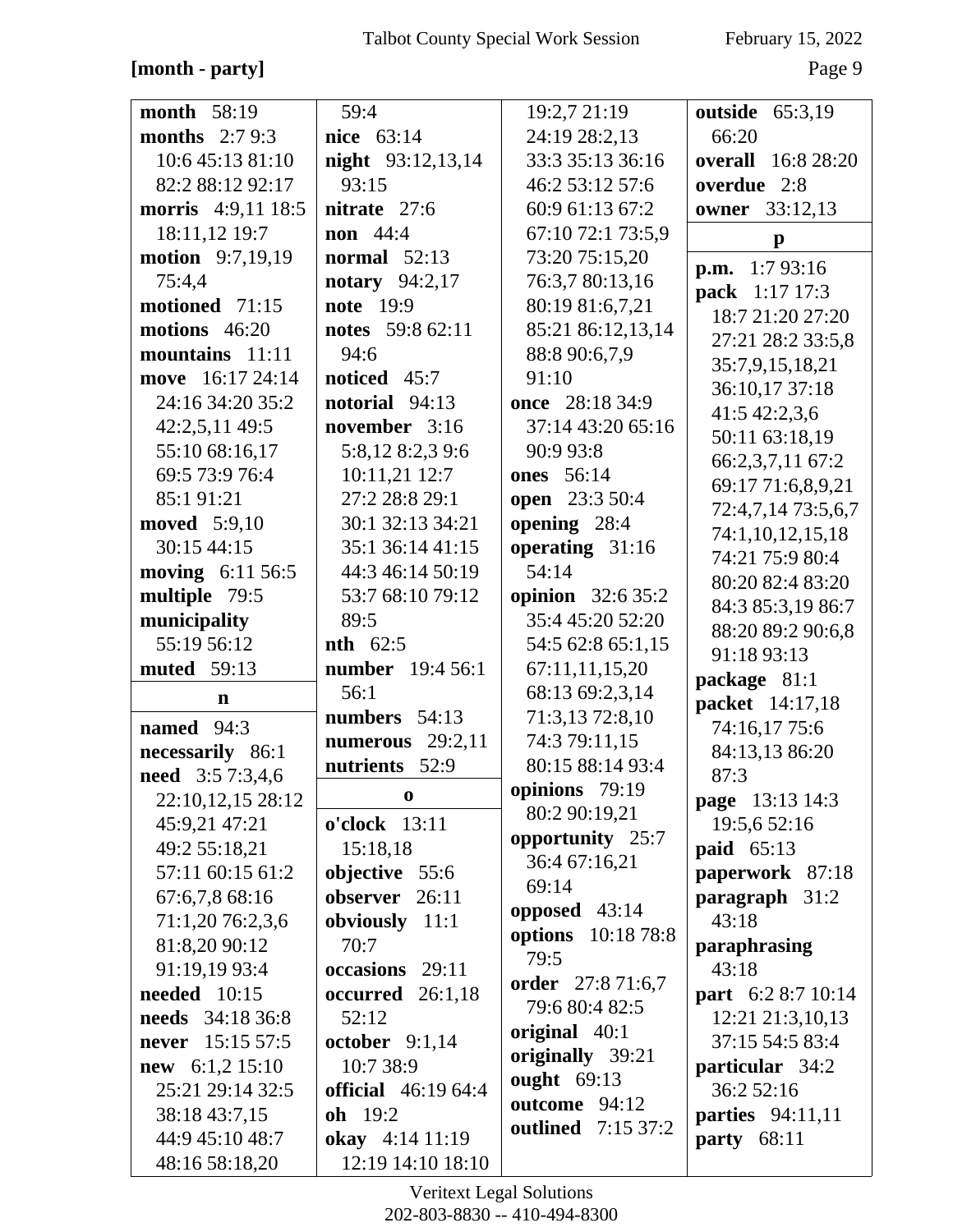#### [month - party]

February 15, 2022

Page 9

| <b>month</b> 58:19       | 59:4                             | 19:2,7 21:19             | outside 65:3,19                          |
|--------------------------|----------------------------------|--------------------------|------------------------------------------|
| months $2:79:3$          | nice 63:14                       | 24:19 28:2,13            | 66:20                                    |
| 10:6 45:13 81:10         | <b>night</b> 93:12,13,14         | 33:3 35:13 36:16         | <b>overall</b> 16:8 28:20                |
| 82:2 88:12 92:17         | 93:15                            | 46:2 53:12 57:6          | overdue 2:8                              |
| morris 4:9,11 18:5       | nitrate 27:6                     | 60:9 61:13 67:2          | <b>owner</b> 33:12,13                    |
| 18:11,12 19:7            | <b>non</b> 44:4                  | 67:10 72:1 73:5,9        | $\mathbf{p}$                             |
| <b>motion</b> 9:7,19,19  | normal $52:13$                   | 73:20 75:15,20           |                                          |
| 75:4,4                   | <b>notary</b> 94:2,17            | 76:3,7 80:13,16          | <b>p.m.</b> $1:793:16$<br>pack 1:17 17:3 |
| motioned 71:15           | <b>note</b> 19:9                 | 80:19 81:6,7,21          | 18:7 21:20 27:20                         |
| motions $46:20$          | notes 59:8 62:11                 | 85:21 86:12,13,14        |                                          |
| mountains 11:11          | 94:6                             | 88:8 90:6,7,9            | 27:21 28:2 33:5,8                        |
| move 16:17 24:14         | noticed 45:7                     | 91:10                    | 35:7,9,15,18,21                          |
| 24:16 34:20 35:2         | notorial 94:13                   | once 28:18 34:9          | 36:10,17 37:18                           |
| 42:2,5,11 49:5           | november 3:16                    | 37:14 43:20 65:16        | 41:5 42:2,3,6                            |
| 55:10 68:16,17           | 5:8,12 8:2,3 9:6                 | 90:9 93:8                | 50:11 63:18,19                           |
| 69:5 73:9 76:4           | 10:11,21 12:7                    | <b>ones</b> 56:14        | 66:2,3,7,11 67:2                         |
| 85:1 91:21               | 27:2 28:8 29:1                   | <b>open</b> 23:3 50:4    | 69:17 71:6,8,9,21                        |
| <b>moved</b> 5:9,10      | 30:1 32:13 34:21                 | opening 28:4             | 72:4,7,14 73:5,6,7                       |
| 30:15 44:15              | 35:1 36:14 41:15                 | operating 31:16          | 74:1,10,12,15,18                         |
| moving 6:11 56:5         | 44:3 46:14 50:19                 | 54:14                    | 74:21 75:9 80:4                          |
| multiple 79:5            | 53:7 68:10 79:12                 | <b>opinion</b> 32:6 35:2 | 80:20 82:4 83:20                         |
| municipality             | 89:5                             | 35:4 45:20 52:20         | 84:3 85:3,19 86:7                        |
| 55:19 56:12              | $nth$ 62:5                       | 54:5 62:8 65:1,15        | 88:20 89:2 90:6,8                        |
| <b>muted</b> 59:13       | number 19:4 56:1                 | 67:11,11,15,20           | 91:18 93:13                              |
| n                        | 56:1                             | 68:13 69:2,3,14          | package 81:1                             |
| named $94:3$             | numbers 54:13                    | 71:3,13 72:8,10          | packet 14:17,18                          |
|                          | numerous $29:2,11$               | 74:3 79:11,15            | 74:16,17 75:6                            |
| necessarily 86:1         | nutrients 52:9                   | 80:15 88:14 93:4         | 84:13,13 86:20                           |
| need 3:5 7:3,4,6         | 0                                | opinions 79:19           | 87:3                                     |
| 22:10,12,15 28:12        |                                  | 80:2 90:19,21            | page 13:13 14:3                          |
| 45:9,21 47:21            | o'clock 13:11                    | opportunity 25:7         | 19:5,6 52:16                             |
| 49:2 55:18,21            | 15:18,18                         | 36:4 67:16,21            | paid 65:13                               |
| 57:11 60:15 61:2         | objective 55:6<br>observer 26:11 | 69:14                    | paperwork 87:18                          |
| 67:6,7,8 68:16           |                                  | opposed $43:14$          | paragraph 31:2                           |
| 71:1,20 76:2,3,6         | obviously 11:1                   | options 10:18 78:8       | 43:18                                    |
| 81:8,20 90:12            | 70:7                             | 79:5                     | paraphrasing                             |
| 91:19,19 93:4            | occasions 29:11                  | order 27:8 71:6,7        | 43:18                                    |
| <b>needed</b> 10:15      | occurred 26:1,18                 | 79:6 80:4 82:5           | <b>part</b> 6:2 8:7 10:14                |
| <b>needs</b> 34:18 36:8  | 52:12                            | original 40:1            | 12:21 21:3,10,13                         |
| <b>never</b> 15:15 57:5  | october $9:1,14$                 | originally 39:21         | 37:15 54:5 83:4                          |
| <b>new</b> $6:1,2$ 15:10 | 10:7 38:9                        | ought 69:13              | particular 34:2                          |
| 25:21 29:14 32:5         | <b>official</b> 46:19 64:4       | outcome 94:12            | 36:2 52:16                               |
| 38:18 43:7,15            | oh 19:2                          | outlined 7:15 37:2       | <b>parties</b> 94:11,11                  |
| 44:9 45:10 48:7          | okay 4:14 11:19                  |                          | <b>party</b> 68:11                       |
| 48:16 58:18,20           | 12:19 14:10 18:10                |                          |                                          |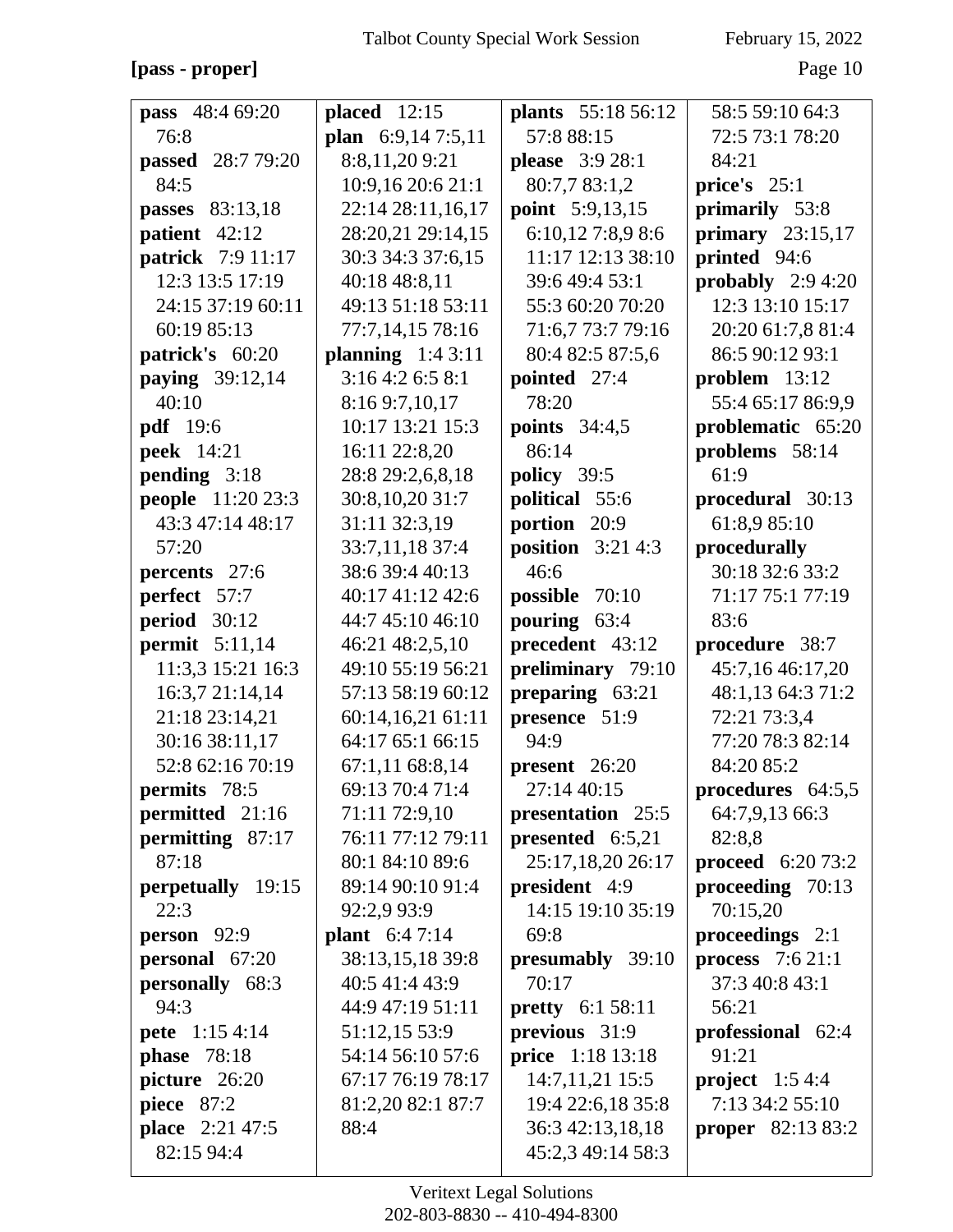#### [pass - proper] Page 10

| pass 48:4 69:20          | placed $12:15$       | <b>plants</b> 55:18 56:12 | 58:5 59:10 64:3           |
|--------------------------|----------------------|---------------------------|---------------------------|
| 76:8                     |                      | 57:8 88:15                | 72:5 73:1 78:20           |
|                          | plan 6:9,14 7:5,11   |                           | 84:21                     |
| passed 28:7 79:20        | 8:8,11,209:21        | <b>please</b> 3:9 28:1    |                           |
| 84:5                     | 10:9,16 20:6 21:1    | 80:7,7 83:1,2             | price's $25:1$            |
| passes 83:13,18          | 22:14 28:11,16,17    | <b>point</b> 5:9,13,15    | primarily 53:8            |
| patient 42:12            | 28:20,21 29:14,15    | 6:10,12 7:8,9 8:6         | primary $23:15,17$        |
| <b>patrick</b> 7:9 11:17 | 30:3 34:3 37:6,15    | 11:17 12:13 38:10         | printed 94:6              |
| 12:3 13:5 17:19          | 40:18 48:8,11        | 39:6 49:4 53:1            | probably $2:94:20$        |
| 24:15 37:19 60:11        | 49:13 51:18 53:11    | 55:3 60:20 70:20          | 12:3 13:10 15:17          |
| 60:19 85:13              | 77:7,14,15 78:16     | 71:6,7 73:7 79:16         | 20:20 61:7,8 81:4         |
| patrick's 60:20          | planning $1:43:11$   | 80:4 82:5 87:5,6          | 86:5 90:12 93:1           |
| <b>paying</b> 39:12,14   | 3:164:26:58:1        | pointed 27:4              | $problem$ 13:12           |
| 40:10                    | 8:16 9:7,10,17       | 78:20                     | 55:4 65:17 86:9,9         |
| <b>pdf</b> 19:6          | 10:17 13:21 15:3     | <b>points</b> 34:4,5      | problematic 65:20         |
| <b>peek</b> 14:21        | 16:11 22:8,20        | 86:14                     | problems 58:14            |
| pending 3:18             | 28:8 29:2,6,8,18     | policy 39:5               | 61:9                      |
| <b>people</b> 11:20 23:3 | 30:8,10,20 31:7      | political 55:6            | procedural 30:13          |
| 43:3 47:14 48:17         | 31:11 32:3,19        | portion 20:9              | 61:8,9 85:10              |
| 57:20                    | 33:7,11,18 37:4      | position $3:214:3$        | procedurally              |
| percents 27:6            | 38:6 39:4 40:13      | 46:6                      | 30:18 32:6 33:2           |
| perfect 57:7             | 40:17 41:12 42:6     | possible 70:10            | 71:17 75:1 77:19          |
| <b>period</b> 30:12      | 44:7 45:10 46:10     | pouring 63:4              | 83:6                      |
| permit $5:11,14$         | 46:21 48:2,5,10      | precedent 43:12           | procedure 38:7            |
| 11:3,3 15:21 16:3        | 49:10 55:19 56:21    | preliminary 79:10         | 45:7,16 46:17,20          |
| 16:3,7 21:14,14          | 57:13 58:19 60:12    | preparing 63:21           | 48:1,13 64:3 71:2         |
| 21:18 23:14,21           | 60:14,16,21 61:11    | presence 51:9             | 72:21 73:3,4              |
| 30:16 38:11,17           | 64:17 65:1 66:15     | 94:9                      | 77:20 78:3 82:14          |
| 52:8 62:16 70:19         | 67:1,11 68:8,14      | $present \quad 26:20$     | 84:20 85:2                |
| <b>permits</b> 78:5      | 69:13 70:4 71:4      | 27:14 40:15               | procedures $64:5,5$       |
| permitted 21:16          | 71:11 72:9,10        | presentation 25:5         | 64:7,9,13 66:3            |
| permitting 87:17         | 76:11 77:12 79:11    | presented $6:5,21$        | 82:8,8                    |
| 87:18                    | 80:1 84:10 89:6      | 25:17,18,20 26:17         | <b>proceed</b> $6:2073:2$ |
| perpetually 19:15        | 89:14 90:10 91:4     | president 4:9             | proceeding 70:13          |
| 22:3                     | 92:2,9 93:9          | 14:15 19:10 35:19         | 70:15,20                  |
| person 92:9              | <b>plant</b> 6:47:14 | 69:8                      | proceedings $2:1$         |
| personal 67:20           | 38:13,15,18 39:8     | presumably 39:10          | process 7:6 21:1          |
| personally 68:3          | 40:5 41:4 43:9       | 70:17                     | 37:3 40:8 43:1            |
| 94:3                     | 44:9 47:19 51:11     | <b>pretty</b> $6:1 58:11$ | 56:21                     |
| <b>pete</b> 1:15 4:14    | 51:12,15 53:9        | previous 31:9             | professional 62:4         |
| <b>phase</b> 78:18       | 54:14 56:10 57:6     | price 1:18 13:18          | 91:21                     |
| picture 26:20            | 67:17 76:19 78:17    | 14:7,11,21 15:5           | project $1:54:4$          |
| <b>piece</b> 87:2        | 81:2,20 82:1 87:7    | 19:4 22:6,18 35:8         | 7:13 34:2 55:10           |
| place 2:21 47:5          | 88:4                 | 36:3 42:13,18,18          | <b>proper</b> 82:13 83:2  |
| 82:15 94:4               |                      | 45:2,3 49:14 58:3         |                           |
|                          |                      |                           |                           |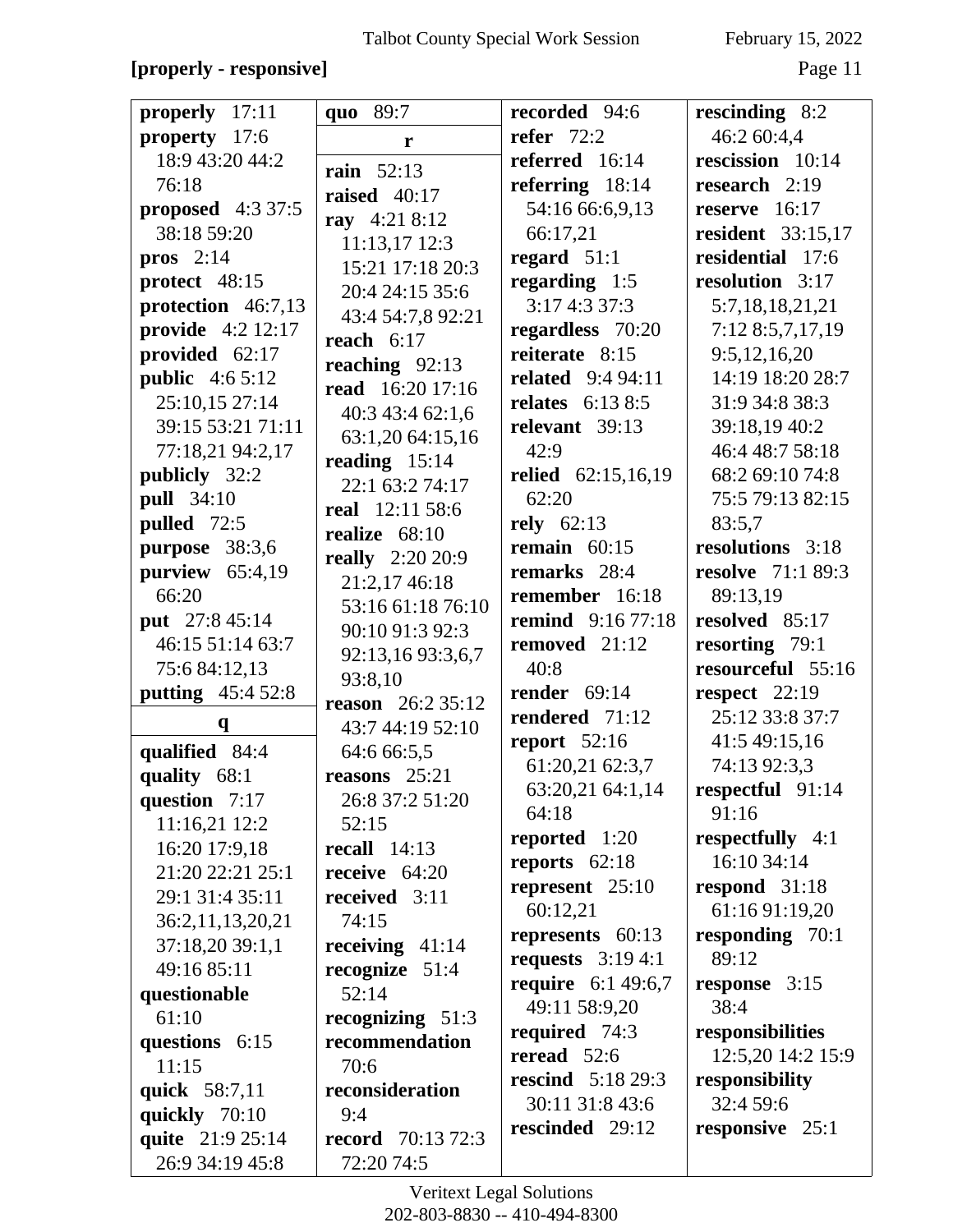### **[properly - responsive]** Page 11

| properly 17:11          | quo 89:7                  | recorded 94:6             | rescinding 8:2           |
|-------------------------|---------------------------|---------------------------|--------------------------|
| property 17:6           | r                         | refer $72:2$              | 46:2 60:4,4              |
| 18:9 43:20 44:2         | <b>rain</b> 52:13         | referred 16:14            | rescission 10:14         |
| 76:18                   | raised $40:17$            | referring $18:14$         | research $2:19$          |
| proposed 4:3 37:5       |                           | 54:16 66:6,9,13           | reserve 16:17            |
| 38:18 59:20             | ray 4:21 8:12             | 66:17,21                  | resident 33:15,17        |
| pros $2:14$             | 11:13,17 12:3             | regard $51:1$             | residential 17:6         |
| protect 48:15           | 15:21 17:18 20:3          | regarding $1:5$           | resolution 3:17          |
| protection 46:7,13      | 20:4 24:15 35:6           | 3:174:337:3               | 5:7,18,18,21,21          |
| provide 4:2 12:17       | 43:4 54:7,8 92:21         | regardless 70:20          | 7:12 8:5,7,17,19         |
| provided 62:17          | reach $6:17$              | reiterate 8:15            | 9:5,12,16,20             |
| <b>public</b> $4:65:12$ | reaching $92:13$          | <b>related</b> 9:4 94:11  | 14:19 18:20 28:7         |
| 25:10,15 27:14          | read 16:20 17:16          | relates $6:138:5$         | 31:9 34:8 38:3           |
| 39:15 53:21 71:11       | 40:3 43:4 62:1,6          | relevant 39:13            | 39:18,19 40:2            |
| 77:18,21 94:2,17        | 63:1,20 64:15,16          | 42:9                      | 46:4 48:7 58:18          |
| <b>publicly</b> 32:2    | reading $15:14$           | <b>relied</b> 62:15,16,19 | 68:2 69:10 74:8          |
| <b>pull</b> 34:10       | 22:1 63:2 74:17           | 62:20                     | 75:5 79:13 82:15         |
| pulled 72:5             | real 12:11 58:6           | rely $62:13$              | 83:5.7                   |
| purpose 38:3,6          | realize $68:10$           | remain $60:15$            | resolutions 3:18         |
| purview $65:4,19$       | <b>really</b> 2:20 20:9   | remarks 28:4              | <b>resolve</b> 71:1 89:3 |
| 66:20                   | 21:2,17 46:18             | remember 16:18            | 89:13,19                 |
|                         | 53:16 61:18 76:10         | <b>remind</b> 9:16 77:18  | resolved 85:17           |
| put 27:8 45:14          | 90:10 91:3 92:3           |                           |                          |
| 46:15 51:14 63:7        | 92:13,16 93:3,6,7         | removed 21:12             | resorting 79:1           |
| 75:6 84:12,13           | 93:8,10                   | 40:8                      | resourceful 55:16        |
| putting 45:4 52:8       | <b>reason</b> $26:235:12$ | render $69:14$            | respect $22:19$          |
| q                       | 43:7 44:19 52:10          | rendered 71:12            | 25:12 33:8 37:7          |
| qualified 84:4          | 64:6 66:5,5               | report 52:16              | 41:5 49:15,16            |
| quality 68:1            | reasons $25:21$           | 61:20,21 62:3,7           | 74:13 92:3,3             |
| question $7:17$         | 26:8 37:2 51:20           | 63:20,21 64:1,14          | respectful 91:14         |
| 11:16,21 12:2           | 52:15                     | 64:18                     | 91:16                    |
| 16:20 17:9,18           | recall $14:13$            | reported 1:20             | respectfully 4:1         |
| 21:20 22:21 25:1        | receive $64:20$           | reports $62:18$           | 16:10 34:14              |
| 29:1 31:4 35:11         | received 3:11             | represent $25:10$         | respond $31:18$          |
| 36:2,11,13,20,21        | 74:15                     | 60:12,21                  | 61:16 91:19,20           |
| 37:18,20 39:1,1         | receiving $41:14$         | represents $60:13$        | responding 70:1          |
| 49:16 85:11             | recognize $51:4$          | requests $3:194:1$        | 89:12                    |
| questionable            | 52:14                     | <b>require</b> 6:1 49:6,7 | response 3:15            |
| 61:10                   | recognizing 51:3          | 49:11 58:9,20             | 38:4                     |
| questions 6:15          | recommendation            | required 74:3             | responsibilities         |
| 11:15                   | 70:6                      | reread $52:6$             | 12:5,20 14:2 15:9        |
| quick 58:7,11           | reconsideration           | <b>rescind</b> 5:18 29:3  | responsibility           |
| quickly 70:10           | 9:4                       | 30:11 31:8 43:6           | 32:4 59:6                |
| quite 21:9 25:14        | <b>record</b> 70:13 72:3  | rescinded 29:12           | responsive 25:1          |
| 26:9 34:19 45:8         | 72:20 74:5                |                           |                          |
|                         |                           |                           |                          |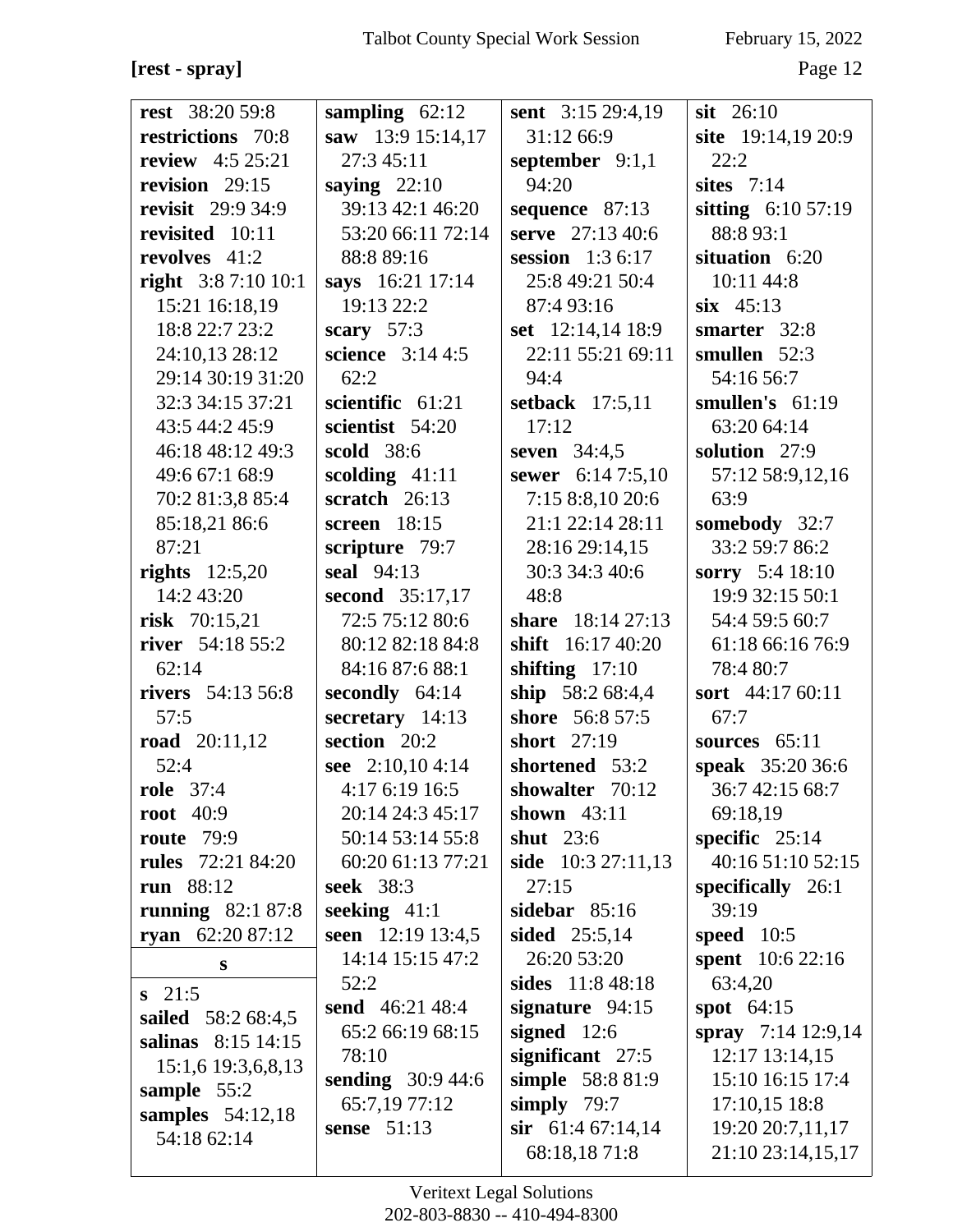**[rest - spray]** Page 12

| <b>rest</b> 38:20 59:8   | sampling $62:12$          | sent 3:15 29:4,19   | $s$ <b>it</b> 26:10  |
|--------------------------|---------------------------|---------------------|----------------------|
| restrictions 70:8        | saw 13:9 15:14,17         | 31:12 66:9          | site 19:14,19 20:9   |
| <b>review</b> 4:5 25:21  | 27:3 45:11                | september $9:1,1$   | 22:2                 |
| revision 29:15           | saying $22:10$            | 94:20               | sites $7:14$         |
| <b>revisit</b> 29:9 34:9 | 39:13 42:1 46:20          | sequence 87:13      | sitting 6:10 57:19   |
| revisited 10:11          | 53:20 66:11 72:14         | serve 27:13 40:6    | 88:8 93:1            |
| revolves 41:2            | 88:8 89:16                | session $1:36:17$   | situation 6:20       |
| right $3:87:1010:1$      | says 16:21 17:14          | 25:8 49:21 50:4     | 10:11 44:8           |
| 15:21 16:18,19           | 19:13 22:2                | 87:4 93:16          | $six$ 45:13          |
| 18:8 22:7 23:2           | scary $57:3$              | set $12:14,14$ 18:9 | smarter 32:8         |
| 24:10,13 28:12           | science $3:144:5$         | 22:11 55:21 69:11   | smullen 52:3         |
| 29:14 30:19 31:20        | 62:2                      | 94:4                | 54:16 56:7           |
| 32:3 34:15 37:21         | scientific $61:21$        | setback $17:5,11$   | smullen's 61:19      |
| 43:5 44:2 45:9           | scientist 54:20           | 17:12               | 63:20 64:14          |
| 46:18 48:12 49:3         | scold 38:6                | seven 34:4,5        | solution 27:9        |
| 49:6 67:1 68:9           | scolding $41:11$          | sewer 6:14 7:5,10   | 57:12 58:9,12,16     |
| 70:2 81:3,8 85:4         | scratch $26:13$           | 7:158:8,1020:6      | 63:9                 |
| 85:18,21 86:6            | screen 18:15              | 21:1 22:14 28:11    | somebody 32:7        |
| 87:21                    | scripture 79:7            | 28:16 29:14,15      | 33:2 59:7 86:2       |
| rights $12:5,20$         | seal 94:13                | 30:3 34:3 40:6      | sorry 5:4 18:10      |
| 14:2 43:20               | second 35:17,17           | 48:8                | 19:9 32:15 50:1      |
| risk 70:15,21            | 72:5 75:12 80:6           | share 18:14 27:13   | 54:4 59:5 60:7       |
| river 54:18 55:2         | 80:12 82:18 84:8          | shift 16:17 40:20   | 61:18 66:16 76:9     |
| 62:14                    | 84:16 87:6 88:1           | shifting $17:10$    | 78:4 80:7            |
| <b>rivers</b> 54:13 56:8 | secondly $64:14$          | ship 58:2 68:4,4    | sort 44:17 60:11     |
| 57:5                     | secretary $14:13$         | shore 56:8 57:5     | 67:7                 |
| <b>road</b> 20:11,12     | section 20:2              | short 27:19         | sources 65:11        |
| 52:4                     | see 2:10,104:14           | shortened 53:2      | speak 35:20 36:6     |
| <b>role</b> 37:4         | 4:17 6:19 16:5            | showalter 70:12     | 36:7 42:15 68:7      |
| root $40:9$              | 20:14 24:3 45:17          | shown $43:11$       | 69:18,19             |
| <b>route</b> 79:9        | 50:14 53:14 55:8          | shut $23:6$         | specific $25:14$     |
| <b>rules</b> 72:21 84:20 | 60:20 61:13 77:21         | side 10:3 27:11,13  | 40:16 51:10 52:15    |
| run 88:12                | <b>seek</b> 38:3          | 27:15               | specifically 26:1    |
| running $82:187:8$       | seeking $41:1$            | sidebar $85:16$     | 39:19                |
| ryan $62:2087:12$        | seen 12:19 13:4,5         | sided $25:5,14$     | speed $10:5$         |
| S                        | 14:14 15:15 47:2          | 26:20 53:20         | spent 10:6 22:16     |
| $s$ 21:5                 | 52:2                      | sides 11:8 48:18    | 63:4,20              |
| sailed 58:2 68:4,5       | send $46:21,48:4$         | signature $94:15$   | spot $64:15$         |
| salinas 8:15 14:15       | 65:2 66:19 68:15          | signed $12:6$       | spray $7:14$ 12:9,14 |
| 15:1,6 19:3,6,8,13       | 78:10                     | significant 27:5    | $12:17$ $13:14,15$   |
| sample 55:2              | <b>sending</b> $30:944:6$ | simple 58:8 81:9    | 15:10 16:15 17:4     |
| samples $54:12,18$       | 65:7,19 77:12             | simply $79:7$       | 17:10,15 18:8        |
| 54:18 62:14              | sense $51:13$             | sir $61:467:14,14$  | 19:20 20:7,11,17     |
|                          |                           | 68:18,1871:8        | 21:10 23:14,15,17    |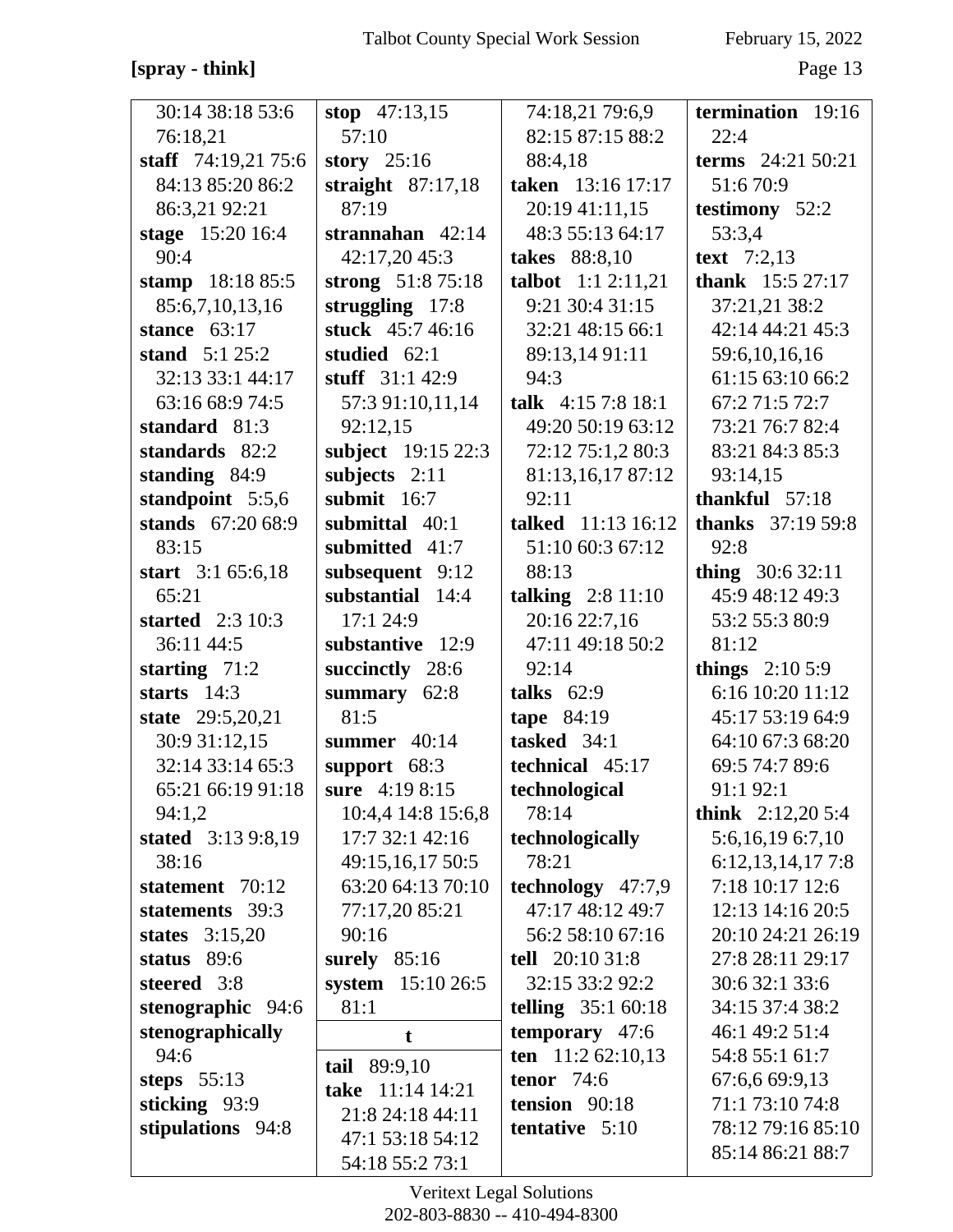### **[spray - think]** Page 13

| 30:14 38:18 53:6        | stop $47:13,15$     | 74:18,21 79:6,9     | termination 19:16        |
|-------------------------|---------------------|---------------------|--------------------------|
| 76:18,21                | 57:10               | 82:15 87:15 88:2    | 22:4                     |
| staff $74:19,2175:6$    | story $25:16$       | 88:4,18             | terms 24:21 50:21        |
| 84:13 85:20 86:2        | straight $87:17,18$ | taken 13:16 17:17   | 51:670:9                 |
| 86:3,21 92:21           | 87:19               | 20:19 41:11,15      | testimony 52:2           |
| stage 15:20 16:4        | strannahan $42:14$  | 48:3 55:13 64:17    | 53:3,4                   |
| 90:4                    | 42:17,20 45:3       | takes 88:8,10       | text $7:2,13$            |
| stamp 18:18 85:5        | strong 51:8 75:18   | talbot 1:1 2:11,21  | thank 15:5 27:17         |
| 85:6,7,10,13,16         | struggling $17:8$   | 9:21 30:4 31:15     | 37:21,21 38:2            |
| stance $63:17$          | stuck 45:7 46:16    | 32:21 48:15 66:1    | 42:14 44:21 45:3         |
| stand $5:125:2$         | studied $62:1$      | 89:13,14 91:11      | 59:6,10,16,16            |
| 32:13 33:1 44:17        | stuff $31:142:9$    | 94:3                | 61:15 63:10 66:2         |
| 63:16 68:9 74:5         | 57:3 91:10,11,14    | talk $4:157:818:1$  | 67:2 71:5 72:7           |
| standard 81:3           | 92:12,15            | 49:20 50:19 63:12   | 73:21 76:7 82:4          |
| standards 82:2          | subject 19:15 22:3  | 72:12 75:1,2 80:3   | 83:21 84:3 85:3          |
| standing 84:9           | subjects $2:11$     | 81:13,16,17 87:12   | 93:14,15                 |
| standpoint 5:5,6        | submit $16:7$       | 92:11               | thankful $57:18$         |
| stands 67:20 68:9       | submittal 40:1      | talked 11:13 16:12  | <b>thanks</b> 37:19 59:8 |
| 83:15                   | submitted 41:7      | 51:10 60:3 67:12    | 92:8                     |
| start 3:1 65:6,18       | subsequent 9:12     | 88:13               | thing $30:632:11$        |
| 65:21                   | substantial 14:4    | talking $2:8$ 11:10 | 45:9 48:12 49:3          |
| <b>started</b> 2:3 10:3 | 17:1 24:9           | 20:16 22:7,16       | 53:2 55:3 80:9           |
| 36:11 44:5              | substantive 12:9    | 47:11 49:18 50:2    | 81:12                    |
| starting $71:2$         | succinctly 28:6     | 92:14               | things $2:105:9$         |
| starts $14:3$           | summary<br>62:8     | talks $62:9$        | 6:16 10:20 11:12         |
| state 29:5,20,21        | 81:5                | tape 84:19          | 45:17 53:19 64:9         |
| 30:9 31:12,15           | summer 40:14        | tasked 34:1         | 64:10 67:3 68:20         |
| 32:14 33:14 65:3        | support 68:3        | technical 45:17     | 69:5 74:7 89:6           |
| 65:21 66:19 91:18       | sure 4:19 8:15      | technological       | 91:1 92:1                |
| 94:1,2                  | 10:4,4 14:8 15:6,8  | 78:14               | think $2:12,205:4$       |
| stated 3:13 9:8,19      | 17:7 32:1 42:16     | technologically     | 5:6,16,19 6:7,10         |
| 38:16                   | 49:15,16,17 50:5    | 78:21               | 6:12,13,14,177:8         |
| statement 70:12         | 63:20 64:13 70:10   | technology 47:7,9   | 7:18 10:17 12:6          |
| statements 39:3         | 77:17,20 85:21      | 47:17 48:12 49:7    | 12:13 14:16 20:5         |
| states $3:15,20$        | 90:16               | 56:2 58:10 67:16    | 20:10 24:21 26:19        |
| status 89:6             | surely $85:16$      | tell $20:1031:8$    | 27:8 28:11 29:17         |
| steered 3:8             | system 15:10 26:5   | 32:15 33:2 92:2     | 30:6 32:1 33:6           |
| stenographic 94:6       | 81:1                | telling $35:160:18$ | 34:15 37:4 38:2          |
| stenographically        | t                   | temporary 47:6      | 46:1 49:2 51:4           |
| 94:6                    | tail 89:9,10        | ten 11:2 62:10,13   | 54:8 55:1 61:7           |
| steps $55:13$           | take 11:14 14:21    | tenor $74:6$        | 67:6,6 69:9,13           |
| sticking 93:9           | 21:8 24:18 44:11    | tension 90:18       | 71:1 73:10 74:8          |
| stipulations 94:8       | 47:1 53:18 54:12    | tentative 5:10      | 78:12 79:16 85:10        |
|                         | 54:18 55:2 73:1     |                     | 85:14 86:21 88:7         |
|                         |                     |                     |                          |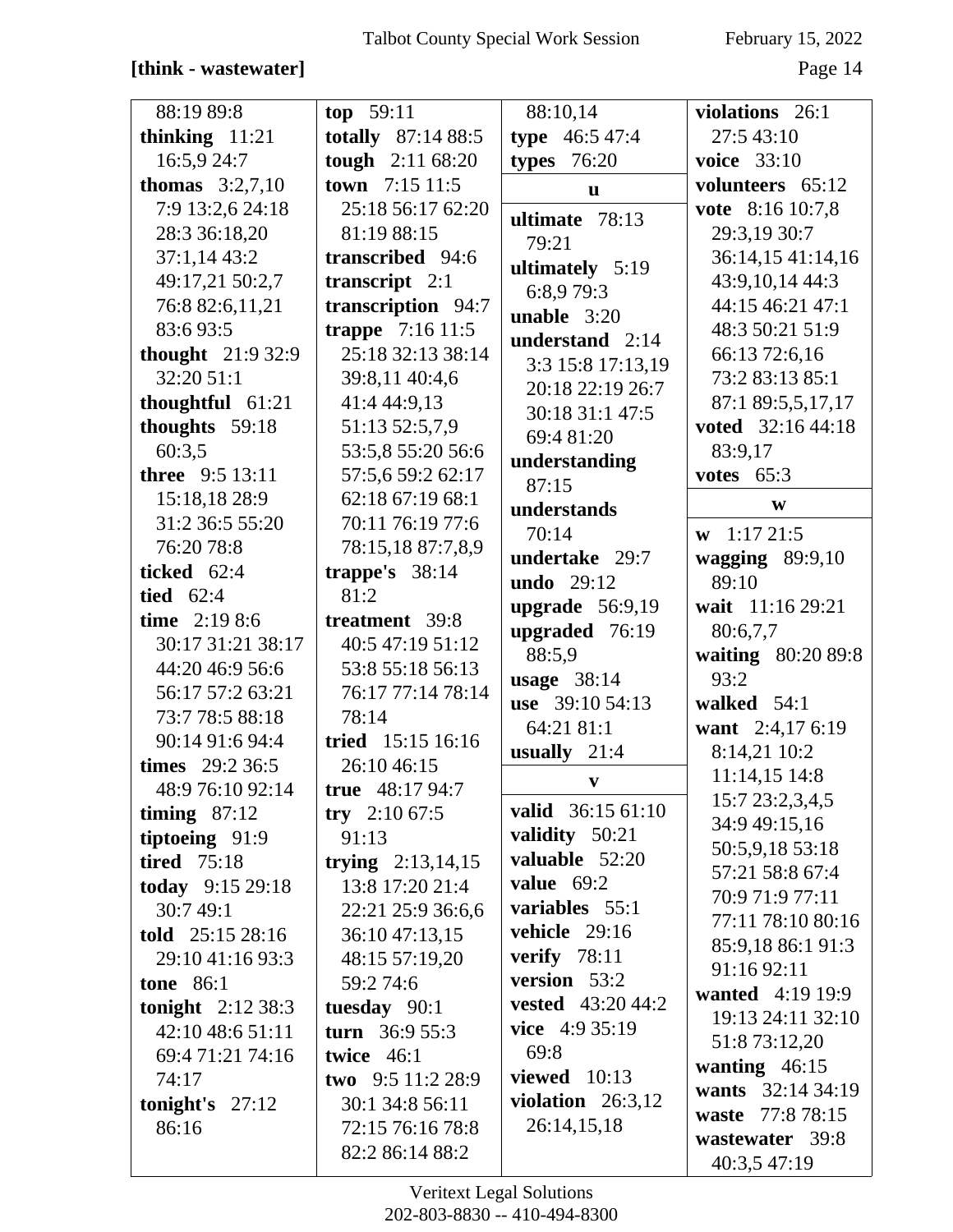# **[think - wastewater]** Page 14

| 88:19 89:8               | top 59:11                  | 88:10,14                   | violations 26:1        |
|--------------------------|----------------------------|----------------------------|------------------------|
| thinking $11:21$         | totally 87:14 88:5         | type $46:547:4$            | 27:5 43:10             |
| 16:5,9 24:7              | tough 2:11 68:20           | types $76:20$              | <b>voice</b> 33:10     |
| <b>thomas</b> $3:2,7,10$ | town 7:15 11:5             | $\mathbf{u}$               | volunteers 65:12       |
| 7:9 13:2,6 24:18         | 25:18 56:17 62:20          | ultimate 78:13             | vote 8:16 10:7,8       |
| 28:3 36:18,20            | 81:19 88:15                | 79:21                      | 29:3,19 30:7           |
| 37:1,1443:2              | transcribed 94:6           | ultimately 5:19            | 36:14,15 41:14,16      |
| 49:17,21 50:2,7          | transcript $2:1$           | 6:8,9 79:3                 | 43:9,10,14 44:3        |
| 76:8 82:6,11,21          | transcription 94:7         | <b>unable</b> $3:20$       | 44:15 46:21 47:1       |
| 83:693:5                 | <b>trappe</b> $7:16\,11:5$ | understand 2:14            | 48:3 50:21 51:9        |
| thought 21:9 32:9        | 25:18 32:13 38:14          | 3:3 15:8 17:13,19          | 66:13 72:6,16          |
| 32:20 51:1               | 39:8,11 40:4,6             | 20:18 22:19 26:7           | 73:2 83:13 85:1        |
| thoughtful $61:21$       | 41:4 44:9,13               | 30:18 31:1 47:5            | 87:1 89:5,5,17,17      |
| thoughts 59:18           | 51:13 52:5,7,9             | 69:4 81:20                 | voted 32:16 44:18      |
| 60:3,5                   | 53:5,8 55:20 56:6          | understanding              | 83:9,17                |
| three 9:5 13:11          | 57:5,6 59:2 62:17          | 87:15                      | votes $65:3$           |
| 15:18,18 28:9            | 62:18 67:19 68:1           | understands                | W                      |
| 31:2 36:5 55:20          | 70:11 76:19 77:6           | 70:14                      | $\mathbf{w}$ 1:17 21:5 |
| 76:20 78:8               | 78:15,18 87:7,8,9          | undertake 29:7             | wagging $89:9,10$      |
| ticked 62:4              | trappe's $38:14$           | undo 29:12                 | 89:10                  |
| tied $62:4$              | 81:2                       | upgrade $56:9,19$          | wait 11:16 29:21       |
| time $2:198:6$           | treatment 39:8             | upgraded 76:19             | 80:6,7,7               |
| 30:17 31:21 38:17        | 40:5 47:19 51:12           | 88:5,9                     | waiting 80:20 89:8     |
| 44:20 46:9 56:6          | 53:8 55:18 56:13           | <b>usage</b> 38:14         | 93:2                   |
| 56:17 57:2 63:21         | 76:17 77:14 78:14          | use 39:10 54:13            | walked $54:1$          |
| 73:7 78:5 88:18          | 78:14                      | 64:21 81:1                 | want 2:4,17 6:19       |
| 90:14 91:6 94:4          | tried 15:15 16:16          | usually $21:4$             | 8:14,21 10:2           |
| times 29:2 36:5          | 26:10 46:15                |                            | 11:14,15 14:8          |
| 48:9 76:10 92:14         | true $48:1794:7$           | V                          | 15:7 23:2,3,4,5        |
| timing $87:12$           | try $2:1067:5$             | valid 36:15 61:10          | 34:9 49:15,16          |
| tiptoeing 91:9           | 91:13                      | validity 50:21             | 50:5,9,18 53:18        |
| <b>tired</b> 75:18       | trying $2:13,14,15$        | valuable 52:20             | 57:21 58:8 67:4        |
| today 9:15 29:18         | 13:8 17:20 21:4            | value $69:2$               | 70:9 71:9 77:11        |
| 30:749:1                 | 22:21 25:9 36:6,6          | variables 55:1             | 77:11 78:10 80:16      |
| told $25:15\,28:16$      | 36:10 47:13,15             | vehicle 29:16              | 85:9,18 86:1 91:3      |
| 29:10 41:16 93:3         | 48:15 57:19,20             | verify $78:11$             | 91:16 92:11            |
| <b>tone</b> 86:1         | 59:2 74:6                  | version 53:2               | wanted 4:19 19:9       |
| tonight $2:12\,38:3$     | tuesday 90:1               | <b>vested</b> $43:20,44:2$ | 19:13 24:11 32:10      |
| 42:10 48:6 51:11         | turn $36:955:3$            | <b>vice</b> $4:935:19$     | 51:8 73:12,20          |
| 69:4 71:21 74:16         | twice $46:1$               | 69:8                       | wanting $46:15$        |
| 74:17                    | two 9:5 11:2 28:9          | viewed $10:13$             | wants 32:14 34:19      |
| tonight's $27:12$        | 30:1 34:8 56:11            | violation $26:3,12$        | waste 77:8 78:15       |
| 86:16                    | 72:15 76:16 78:8           | 26:14,15,18                | wastewater 39:8        |
|                          | 82:2 86:14 88:2            |                            | 40:3,5 47:19           |
|                          |                            |                            |                        |